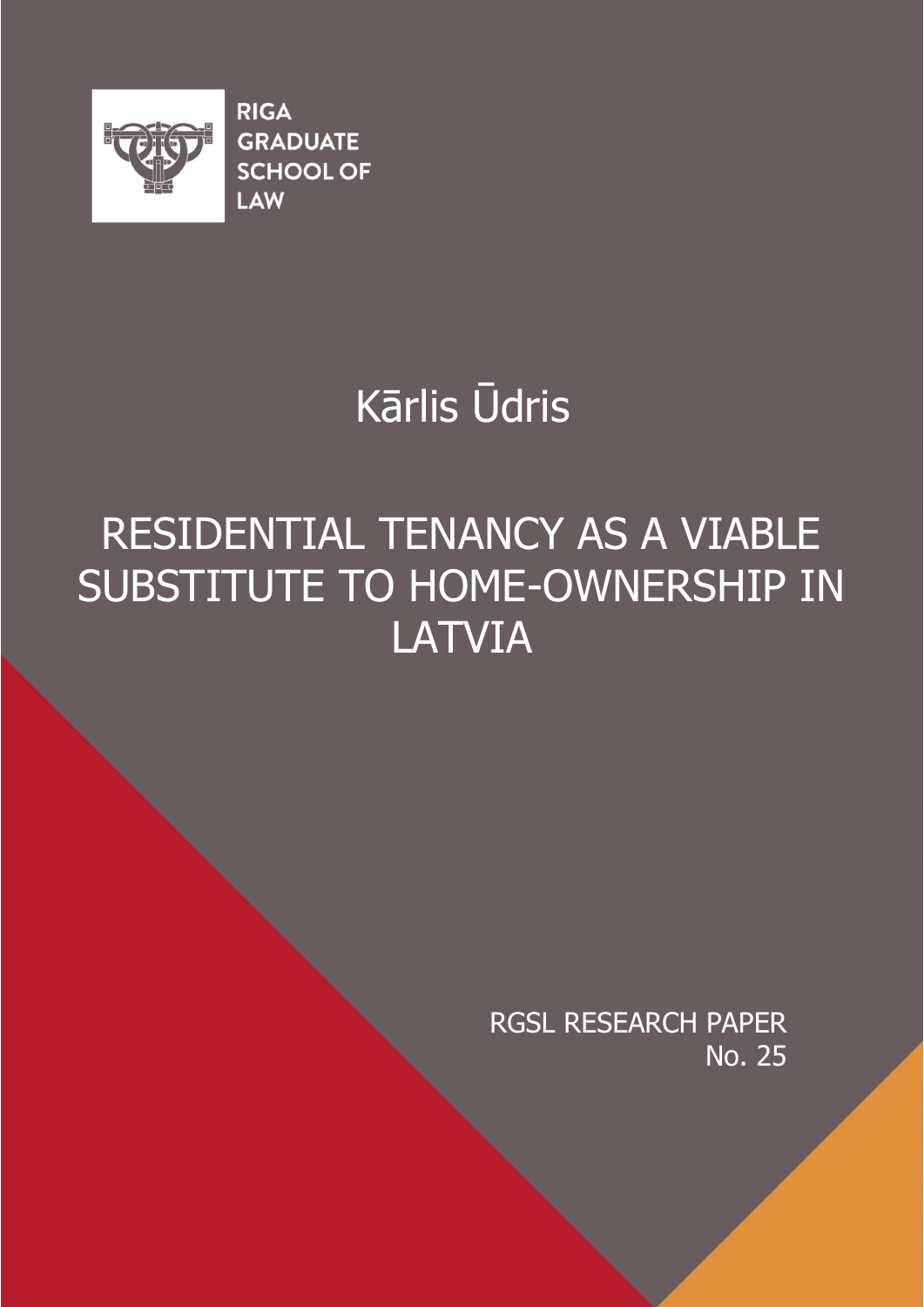

**RIGA GRADUATE SCHOOL OF** LAW

# Kārlis Ūdris

# RESIDENTIAL TENANCY AS A VIABLE SUBSTITUTE TO HOME-OWNERSHIP IN LATVIA

RGSL RESEARCH PAPER No. 25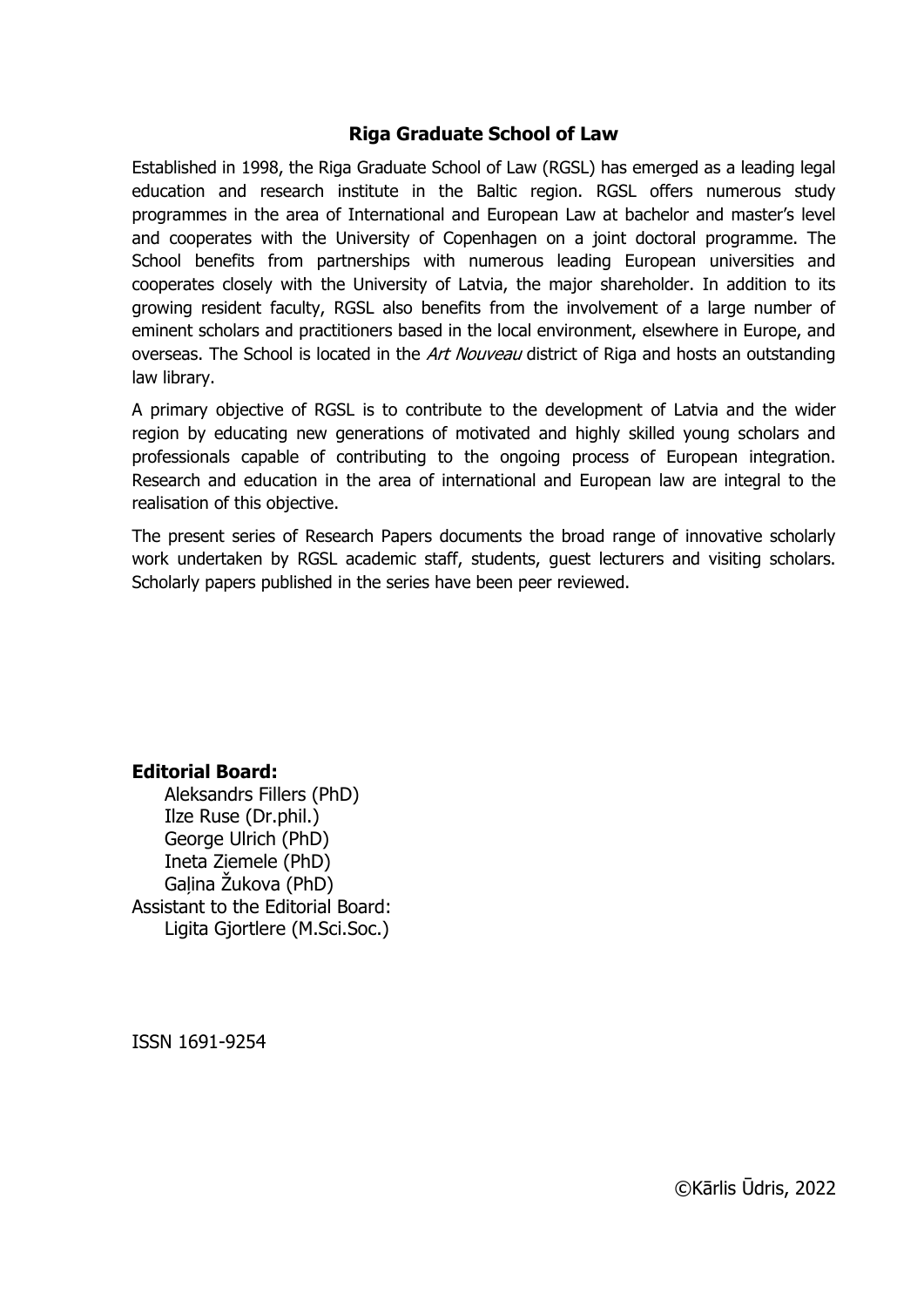#### **Riga Graduate School of Law**

Established in 1998, the Riga Graduate School of Law (RGSL) has emerged as a leading legal education and research institute in the Baltic region. RGSL offers numerous study programmes in the area of International and European Law at bachelor and master's level and cooperates with the University of Copenhagen on a joint doctoral programme. The School benefits from partnerships with numerous leading European universities and cooperates closely with the University of Latvia, the major shareholder. In addition to its growing resident faculty, RGSL also benefits from the involvement of a large number of eminent scholars and practitioners based in the local environment, elsewhere in Europe, and overseas. The School is located in the *Art Nouveau* district of Riga and hosts an outstanding law library.

A primary objective of RGSL is to contribute to the development of Latvia and the wider region by educating new generations of motivated and highly skilled young scholars and professionals capable of contributing to the ongoing process of European integration. Research and education in the area of international and European law are integral to the realisation of this objective.

The present series of Research Papers documents the broad range of innovative scholarly work undertaken by RGSL academic staff, students, guest lecturers and visiting scholars. Scholarly papers published in the series have been peer reviewed.

#### **Editorial Board:**

Aleksandrs Fillers (PhD) Ilze Ruse (Dr.phil.) George Ulrich (PhD) Ineta Ziemele (PhD) Galina Žukova (PhD) Assistant to the Editorial Board: Ligita Gjortlere (M.Sci.Soc.)

ISSN 1691-9254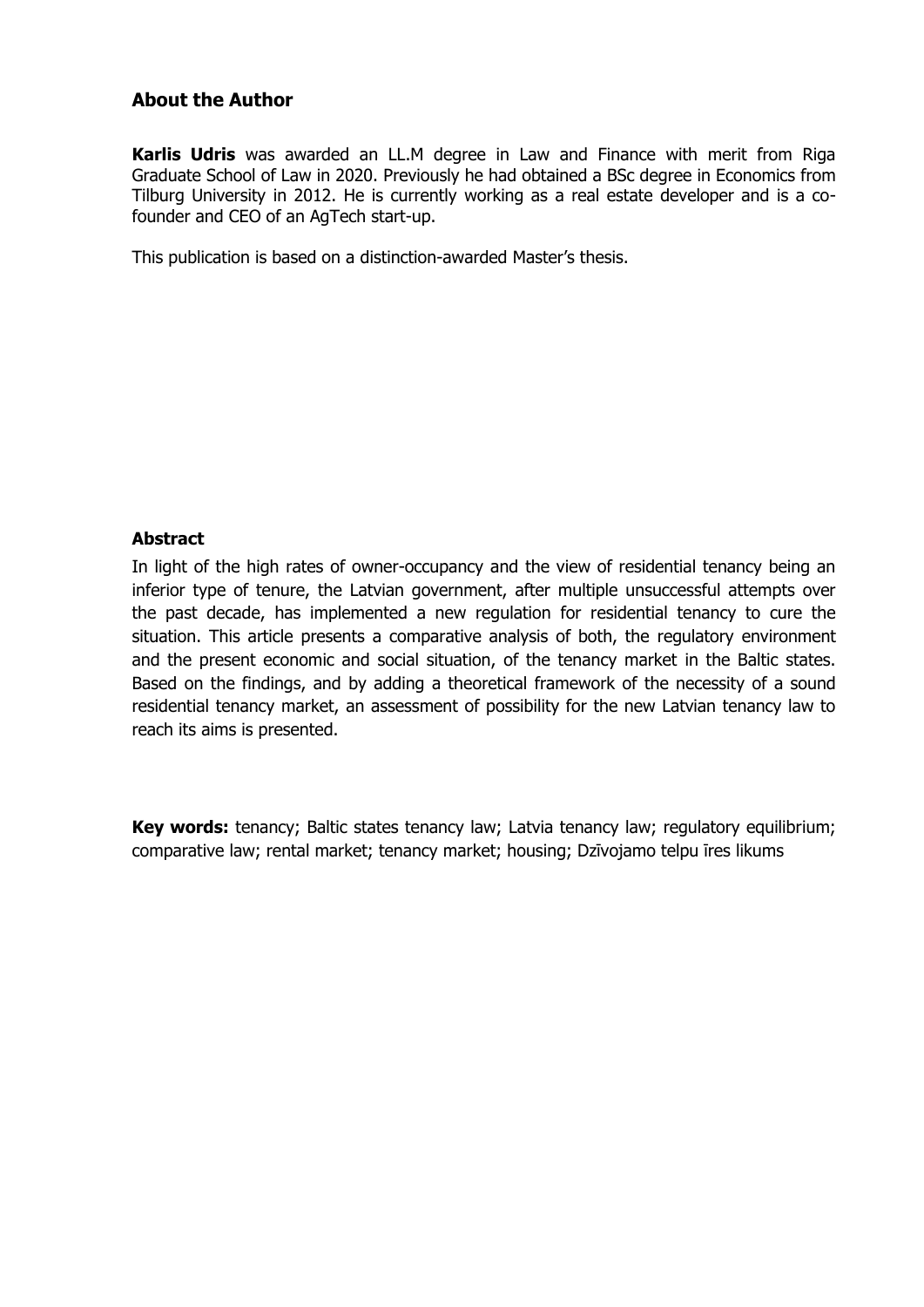#### **About the Author**

**Karlis Udris** was awarded an LL.M degree in Law and Finance with merit from Riga Graduate School of Law in 2020. Previously he had obtained a BSc degree in Economics from Tilburg University in 2012. He is currently working as a real estate developer and is a cofounder and CEO of an AgTech start-up.

This publication is based on a distinction-awarded Master's thesis.

#### **Abstract**

In light of the high rates of owner-occupancy and the view of residential tenancy being an inferior type of tenure, the Latvian government, after multiple unsuccessful attempts over the past decade, has implemented a new regulation for residential tenancy to cure the situation. This article presents a comparative analysis of both, the regulatory environment and the present economic and social situation, of the tenancy market in the Baltic states. Based on the findings, and by adding a theoretical framework of the necessity of a sound residential tenancy market, an assessment of possibility for the new Latvian tenancy law to reach its aims is presented.

**Key words:** tenancy; Baltic states tenancy law; Latvia tenancy law; regulatory equilibrium; comparative law; rental market; tenancy market; housing; Dzīvojamo telpu īres likums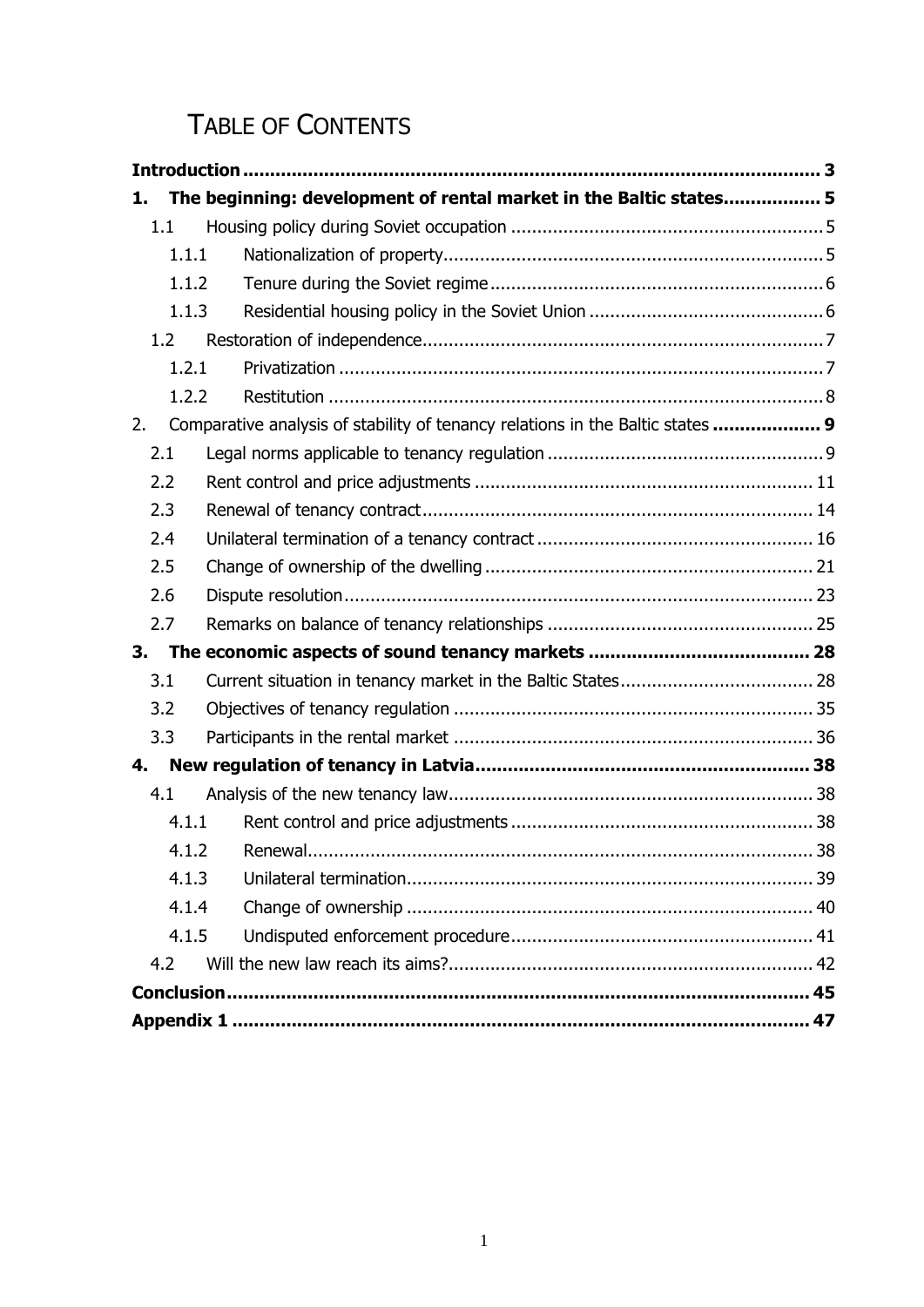# TABLE OF CONTENTS

| 1.    | The beginning: development of rental market in the Baltic states 5             |    |
|-------|--------------------------------------------------------------------------------|----|
| 1.1   |                                                                                |    |
| 1.1.1 |                                                                                |    |
| 1.1.2 |                                                                                |    |
| 1.1.3 |                                                                                |    |
| 1.2   |                                                                                |    |
| 1.2.1 |                                                                                |    |
| 1.2.2 |                                                                                |    |
| 2.    | Comparative analysis of stability of tenancy relations in the Baltic states  9 |    |
| 2.1   |                                                                                |    |
| 2.2   |                                                                                |    |
| 2.3   |                                                                                |    |
| 2.4   |                                                                                |    |
| 2.5   |                                                                                |    |
| 2.6   |                                                                                |    |
| 2.7   |                                                                                |    |
| 3.    |                                                                                |    |
| 3.1   |                                                                                |    |
| 3.2   |                                                                                |    |
| 3.3   |                                                                                |    |
| 4.    |                                                                                |    |
| 4.1   |                                                                                |    |
| 4.1.1 |                                                                                |    |
|       | 4.1.2<br>Renewal.                                                              | 38 |
| 4.1.3 |                                                                                |    |
| 4.1.4 |                                                                                |    |
| 4.1.5 |                                                                                |    |
| 4.2   |                                                                                |    |
|       |                                                                                |    |
|       |                                                                                |    |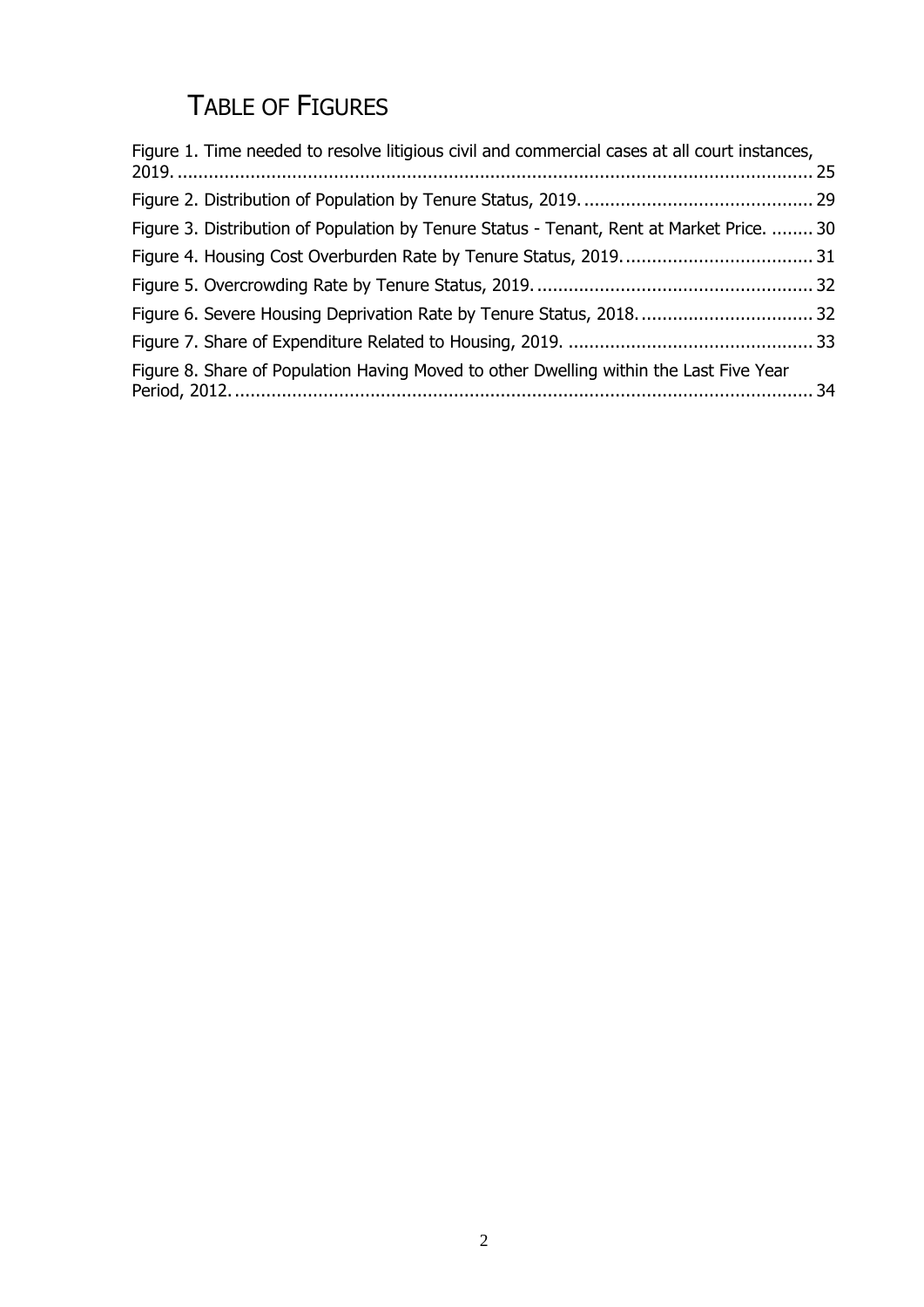# TABLE OF FIGURES

| Figure 1. Time needed to resolve litigious civil and commercial cases at all court instances, |  |
|-----------------------------------------------------------------------------------------------|--|
|                                                                                               |  |
| Figure 3. Distribution of Population by Tenure Status - Tenant, Rent at Market Price.  30     |  |
|                                                                                               |  |
|                                                                                               |  |
| Figure 6. Severe Housing Deprivation Rate by Tenure Status, 2018.  32                         |  |
|                                                                                               |  |
| Figure 8. Share of Population Having Moved to other Dwelling within the Last Five Year        |  |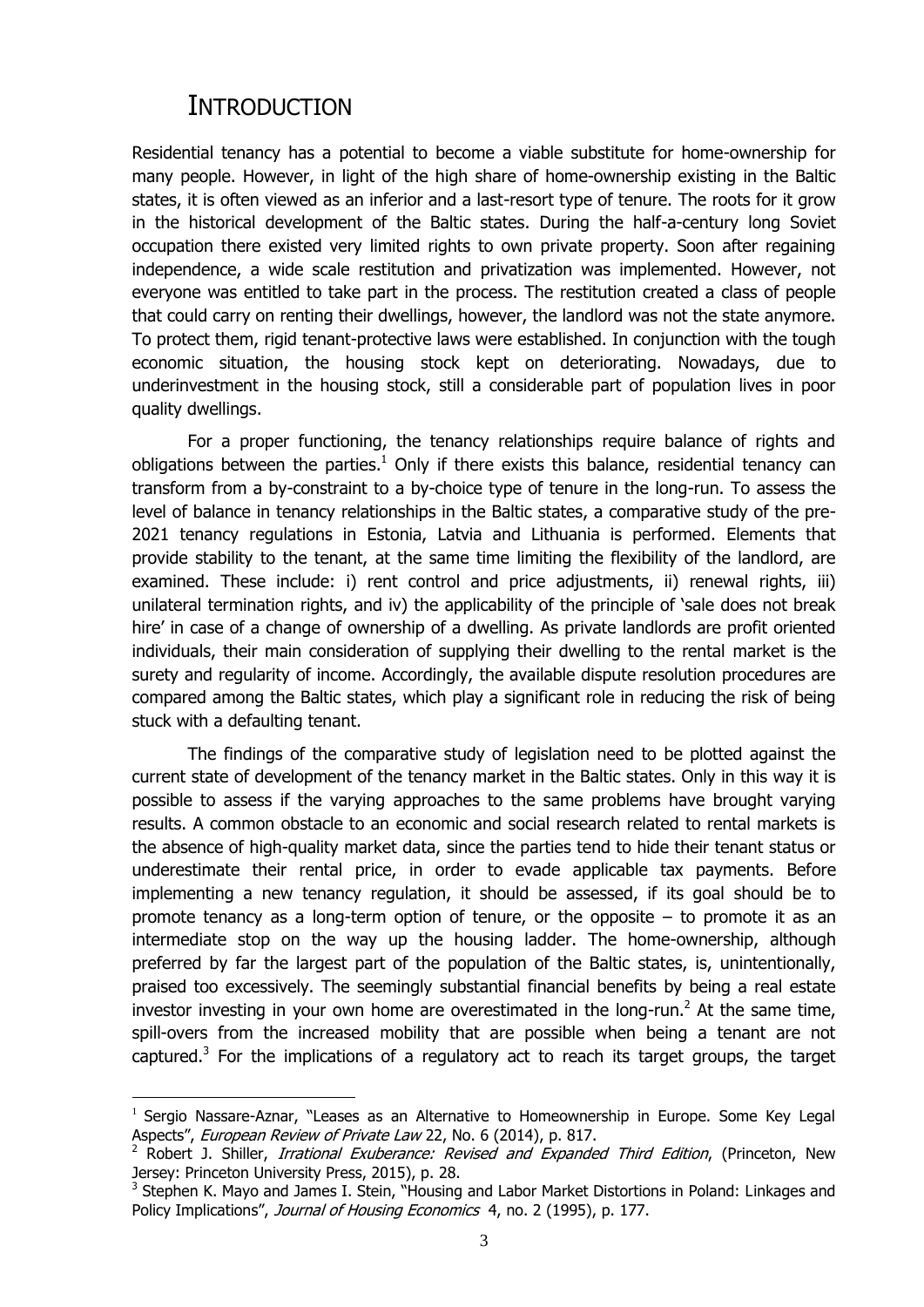## **INTRODUCTION**

<span id="page-5-2"></span><span id="page-5-1"></span><u>.</u>

<span id="page-5-0"></span>Residential tenancy has a potential to become a viable substitute for home-ownership for many people. However, in light of the high share of home-ownership existing in the Baltic states, it is often viewed as an inferior and a last-resort type of tenure. The roots for it grow in the historical development of the Baltic states. During the half-a-century long Soviet occupation there existed very limited rights to own private property. Soon after regaining independence, a wide scale restitution and privatization was implemented. However, not everyone was entitled to take part in the process. The restitution created a class of people that could carry on renting their dwellings, however, the landlord was not the state anymore. To protect them, rigid tenant-protective laws were established. In conjunction with the tough economic situation, the housing stock kept on deteriorating. Nowadays, due to underinvestment in the housing stock, still a considerable part of population lives in poor quality dwellings.

<span id="page-5-3"></span>For a proper functioning, the tenancy relationships require balance of rights and obligations between the parties.<sup>1</sup> Only if there exists this balance, residential tenancy can transform from a by-constraint to a by-choice type of tenure in the long-run. To assess the level of balance in tenancy relationships in the Baltic states, a comparative study of the pre-2021 tenancy regulations in Estonia, Latvia and Lithuania is performed. Elements that provide stability to the tenant, at the same time limiting the flexibility of the landlord, are examined. These include: i) rent control and price adjustments, ii) renewal rights, iii) unilateral termination rights, and iv) the applicability of the principle of 'sale does not break hire' in case of a change of ownership of a dwelling. As private landlords are profit oriented individuals, their main consideration of supplying their dwelling to the rental market is the surety and regularity of income. Accordingly, the available dispute resolution procedures are compared among the Baltic states, which play a significant role in reducing the risk of being stuck with a defaulting tenant.

The findings of the comparative study of legislation need to be plotted against the current state of development of the tenancy market in the Baltic states. Only in this way it is possible to assess if the varying approaches to the same problems have brought varying results. A common obstacle to an economic and social research related to rental markets is the absence of high-quality market data, since the parties tend to hide their tenant status or underestimate their rental price, in order to evade applicable tax payments. Before implementing a new tenancy regulation, it should be assessed, if its goal should be to promote tenancy as a long-term option of tenure, or the opposite – to promote it as an intermediate stop on the way up the housing ladder. The home-ownership, although preferred by far the largest part of the population of the Baltic states, is, unintentionally, praised too excessively. The seemingly substantial financial benefits by being a real estate investor investing in your own home are overestimated in the long-run.<sup>2</sup> At the same time, spill-overs from the increased mobility that are possible when being a tenant are not captured.<sup>3</sup> For the implications of a regulatory act to reach its target groups, the target

<sup>1</sup> Sergio Nassare-Aznar, "Leases as an Alternative to Homeownership in Europe. Some Key Legal Aspects", European Review of Private Law 22, No. 6 (2014), p. 817.

<sup>&</sup>lt;sup>2</sup> Robert J. Shiller, *Irrational Exuberance: Revised and Expanded Third Edition*, (Princeton, New Jersey: Princeton University Press, 2015), p. 28.

<sup>&</sup>lt;sup>3</sup> Stephen K. Mayo and James I. Stein, "Housing and Labor Market Distortions in Poland: Linkages and Policy Implications", Journal of Housing Economics 4, no. 2 (1995), p. 177.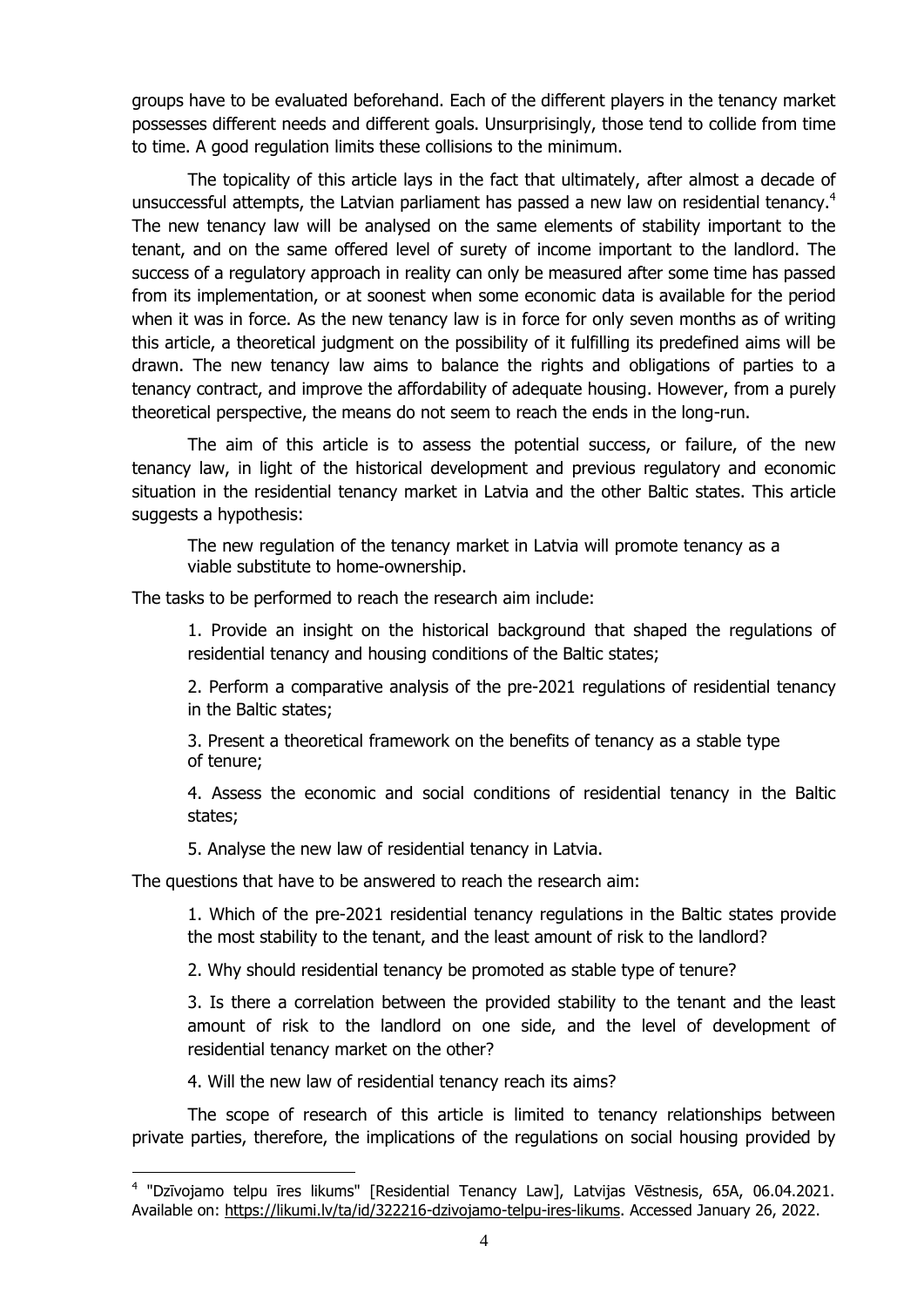groups have to be evaluated beforehand. Each of the different players in the tenancy market possesses different needs and different goals. Unsurprisingly, those tend to collide from time to time. A good regulation limits these collisions to the minimum.

<span id="page-6-1"></span><span id="page-6-0"></span>The topicality of this article lays in the fact that ultimately, after almost a decade of unsuccessful attempts, the Latvian parliament has passed a new law on residential tenancy.<sup>4</sup> The new tenancy law will be analysed on the same elements of stability important to the tenant, and on the same offered level of surety of income important to the landlord. The success of a regulatory approach in reality can only be measured after some time has passed from its implementation, or at soonest when some economic data is available for the period when it was in force. As the new tenancy law is in force for only seven months as of writing this article, a theoretical judgment on the possibility of it fulfilling its predefined aims will be drawn. The new tenancy law aims to balance the rights and obligations of parties to a tenancy contract, and improve the affordability of adequate housing. However, from a purely theoretical perspective, the means do not seem to reach the ends in the long-run.

The aim of this article is to assess the potential success, or failure, of the new tenancy law, in light of the historical development and previous regulatory and economic situation in the residential tenancy market in Latvia and the other Baltic states. This article suggests a hypothesis:

The new regulation of the tenancy market in Latvia will promote tenancy as a viable substitute to home-ownership.

The tasks to be performed to reach the research aim include:

1. Provide an insight on the historical background that shaped the regulations of residential tenancy and housing conditions of the Baltic states;

2. Perform a comparative analysis of the pre-2021 regulations of residential tenancy in the Baltic states;

3. Present a theoretical framework on the benefits of tenancy as a stable type of tenure;

4. Assess the economic and social conditions of residential tenancy in the Baltic states;

5. Analyse the new law of residential tenancy in Latvia.

The questions that have to be answered to reach the research aim:

1. Which of the pre-2021 residential tenancy regulations in the Baltic states provide the most stability to the tenant, and the least amount of risk to the landlord?

2. Why should residential tenancy be promoted as stable type of tenure?

3. Is there a correlation between the provided stability to the tenant and the least amount of risk to the landlord on one side, and the level of development of residential tenancy market on the other?

4. Will the new law of residential tenancy reach its aims?

<u>.</u>

The scope of research of this article is limited to tenancy relationships between private parties, therefore, the implications of the regulations on social housing provided by

<sup>&</sup>lt;sup>4</sup> "Dzīvojamo telpu īres likums" [Residential Tenancy Law], Latvijas Vēstnesis, 65A, 06.04.2021. Available on: [https://likumi.lv/ta/id/322216-dzivojamo-telpu-ires-likums.](https://likumi.lv/ta/id/322216-dzivojamo-telpu-ires-likums) Accessed January 26, 2022.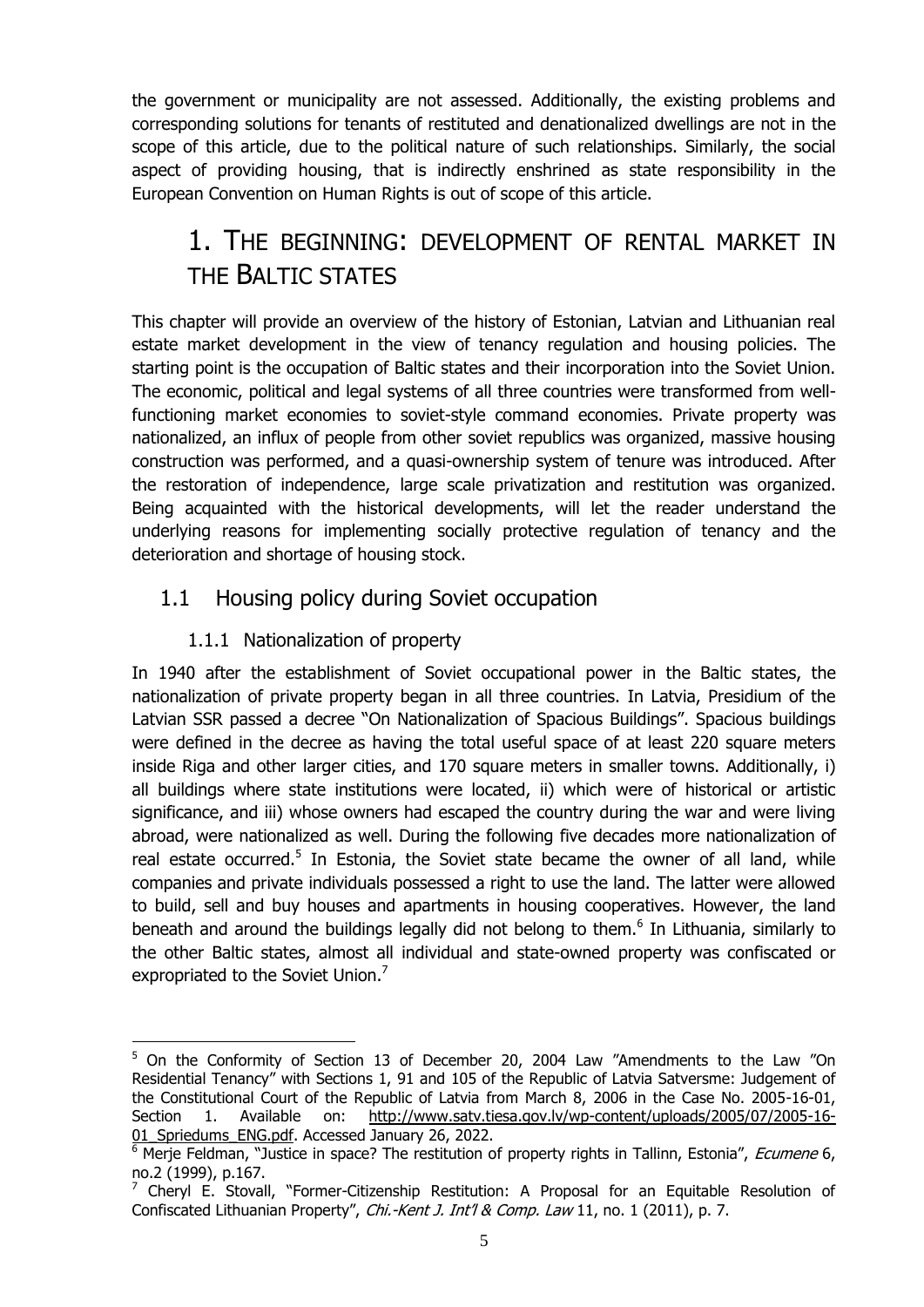the government or municipality are not assessed. Additionally, the existing problems and corresponding solutions for tenants of restituted and denationalized dwellings are not in the scope of this article, due to the political nature of such relationships. Similarly, the social aspect of providing housing, that is indirectly enshrined as state responsibility in the European Convention on Human Rights is out of scope of this article.

# <span id="page-7-0"></span>1. THE BEGINNING: DEVELOPMENT OF RENTAL MARKET IN THE BALTIC STATES

This chapter will provide an overview of the history of Estonian, Latvian and Lithuanian real estate market development in the view of tenancy regulation and housing policies. The starting point is the occupation of Baltic states and their incorporation into the Soviet Union. The economic, political and legal systems of all three countries were transformed from wellfunctioning market economies to soviet-style command economies. Private property was nationalized, an influx of people from other soviet republics was organized, massive housing construction was performed, and a quasi-ownership system of tenure was introduced. After the restoration of independence, large scale privatization and restitution was organized. Being acquainted with the historical developments, will let the reader understand the underlying reasons for implementing socially protective regulation of tenancy and the deterioration and shortage of housing stock.

## <span id="page-7-1"></span>1.1 Housing policy during Soviet occupation

## <span id="page-7-4"></span>1.1.1 Nationalization of property

<span id="page-7-3"></span>1

<span id="page-7-2"></span>In 1940 after the establishment of Soviet occupational power in the Baltic states, the nationalization of private property began in all three countries. In Latvia, Presidium of the Latvian SSR passed a decree "On Nationalization of Spacious Buildings". Spacious buildings were defined in the decree as having the total useful space of at least 220 square meters inside Riga and other larger cities, and 170 square meters in smaller towns. Additionally, i) all buildings where state institutions were located, ii) which were of historical or artistic significance, and iii) whose owners had escaped the country during the war and were living abroad, were nationalized as well. During the following five decades more nationalization of real estate occurred.<sup>5</sup> In Estonia, the Soviet state became the owner of all land, while companies and private individuals possessed a right to use the land. The latter were allowed to build, sell and buy houses and apartments in housing cooperatives. However, the land beneath and around the buildings legally did not belong to them.<sup>6</sup> In Lithuania, similarly to the other Baltic states, almost all individual and state-owned property was confiscated or expropriated to the Soviet Union.<sup>7</sup>

<sup>&</sup>lt;sup>5</sup> On the Conformity of Section 13 of December 20, 2004 Law "Amendments to the Law "On Residential Tenancy" with Sections 1, 91 and 105 of the Republic of Latvia Satversme: Judgement of the Constitutional Court of the Republic of Latvia from March 8, 2006 in the Case No. 2005-16-01, Section 1. Available on: [http://www.satv.tiesa.gov.lv/wp-content/uploads/2005/07/2005-16-](http://www.satv.tiesa.gov.lv/wp-content/uploads/2005/07/2005-16-01_Spriedums_ENG.pdf) [01\\_Spriedums\\_ENG.pdf.](http://www.satv.tiesa.gov.lv/wp-content/uploads/2005/07/2005-16-01_Spriedums_ENG.pdf) Accessed January 26, 2022.

<sup>&</sup>lt;sup>6</sup> Merie Feldman, "Justice in space? The restitution of property rights in Tallinn, Estonia", *Ecumene* 6, no.2 (1999), p.167.

 $7$  Cheryl E. Stovall, "Former-Citizenship Restitution: A Proposal for an Equitable Resolution of Confiscated Lithuanian Property", Chi.-Kent J. Int'l & Comp. Law 11, no. 1 (2011), p. 7.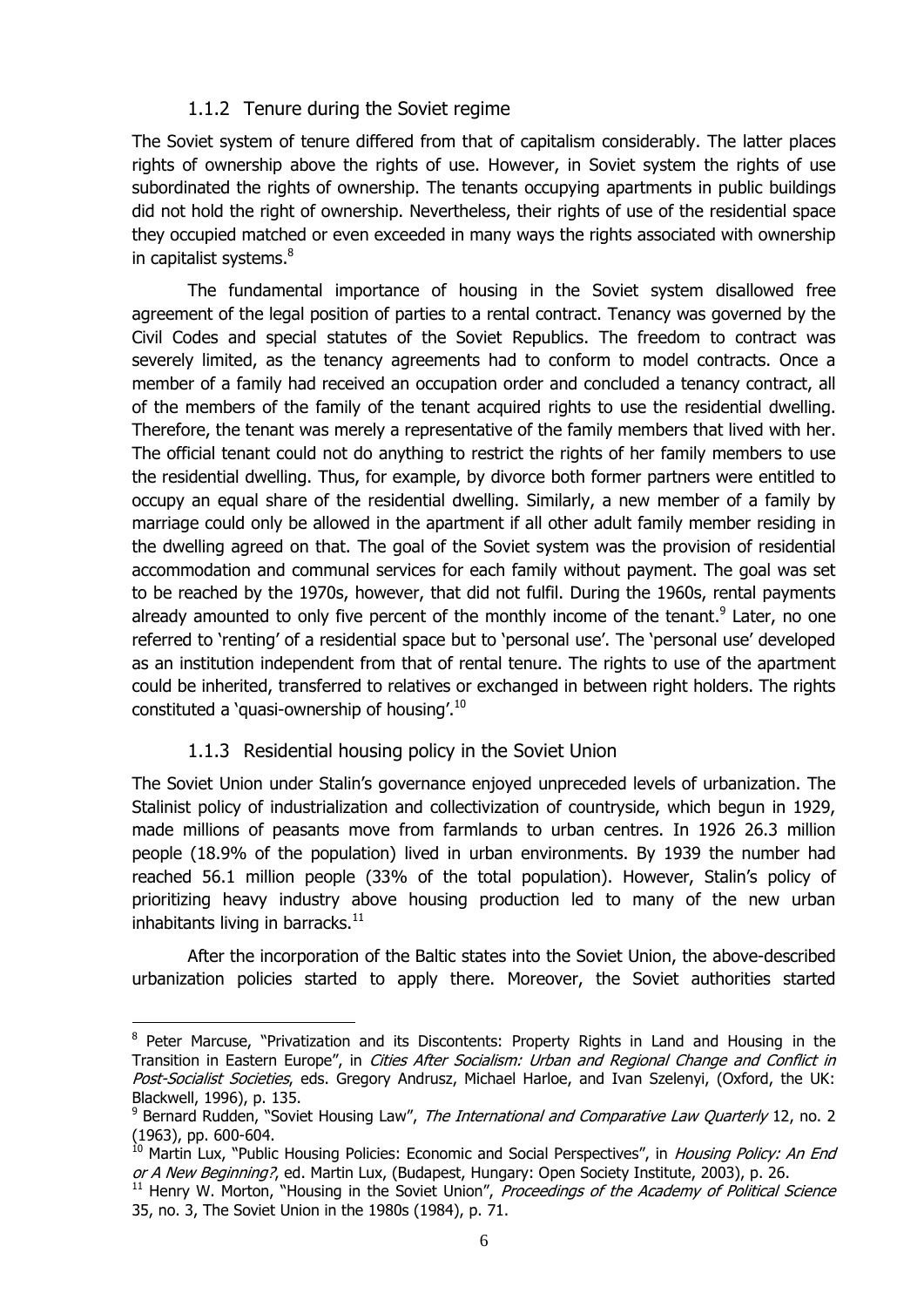#### 1.1.2 Tenure during the Soviet regime

<span id="page-8-0"></span>The Soviet system of tenure differed from that of capitalism considerably. The latter places rights of ownership above the rights of use. However, in Soviet system the rights of use subordinated the rights of ownership. The tenants occupying apartments in public buildings did not hold the right of ownership. Nevertheless, their rights of use of the residential space they occupied matched or even exceeded in many ways the rights associated with ownership in capitalist systems.<sup>8</sup>

The fundamental importance of housing in the Soviet system disallowed free agreement of the legal position of parties to a rental contract. Tenancy was governed by the Civil Codes and special statutes of the Soviet Republics. The freedom to contract was severely limited, as the tenancy agreements had to conform to model contracts. Once a member of a family had received an occupation order and concluded a tenancy contract, all of the members of the family of the tenant acquired rights to use the residential dwelling. Therefore, the tenant was merely a representative of the family members that lived with her. The official tenant could not do anything to restrict the rights of her family members to use the residential dwelling. Thus, for example, by divorce both former partners were entitled to occupy an equal share of the residential dwelling. Similarly, a new member of a family by marriage could only be allowed in the apartment if all other adult family member residing in the dwelling agreed on that. The goal of the Soviet system was the provision of residential accommodation and communal services for each family without payment. The goal was set to be reached by the 1970s, however, that did not fulfil. During the 1960s, rental payments already amounted to only five percent of the monthly income of the tenant.<sup>9</sup> Later, no one referred to 'renting' of a residential space but to 'personal use'. The 'personal use' developed as an institution independent from that of rental tenure. The rights to use of the apartment could be inherited, transferred to relatives or exchanged in between right holders. The rights constituted a 'quasi-ownership of housing'.<sup>10</sup>

#### 1.1.3 Residential housing policy in the Soviet Union

<u>.</u>

<span id="page-8-1"></span>The Soviet Union under Stalin's governance enjoyed unpreceded levels of urbanization. The Stalinist policy of industrialization and collectivization of countryside, which begun in 1929, made millions of peasants move from farmlands to urban centres. In 1926 26.3 million people (18.9% of the population) lived in urban environments. By 1939 the number had reached 56.1 million people (33% of the total population). However, Stalin's policy of prioritizing heavy industry above housing production led to many of the new urban inhabitants living in barracks. $11$ 

<span id="page-8-2"></span>After the incorporation of the Baltic states into the Soviet Union, the above-described urbanization policies started to apply there. Moreover, the Soviet authorities started

<sup>&</sup>lt;sup>8</sup> Peter Marcuse, "Privatization and its Discontents: Property Rights in Land and Housing in the Transition in Eastern Europe", in Cities After Socialism: Urban and Regional Change and Conflict in Post-Socialist Societies, eds. Gregory Andrusz, Michael Harloe, and Ivan Szelenyi, (Oxford, the UK: Blackwell, 1996), p. 135.

<sup>&</sup>lt;sup>9</sup> Bernard Rudden, "Soviet Housing Law", *The International and Comparative Law Quarterly* 12, no. 2 (1963), pp. 600-604.

<sup>&</sup>lt;sup>10</sup> Martin Lux, "Public Housing Policies: Economic and Social Perspectives", in *Housing Policy: An End* or A New Beginning?, ed. Martin Lux, (Budapest, Hungary: Open Society Institute, 2003), p. 26.

 $11$  Henry W. Morton, "Housing in the Soviet Union", Proceedings of the Academy of Political Science 35, no. 3, The Soviet Union in the 1980s (1984), p. 71.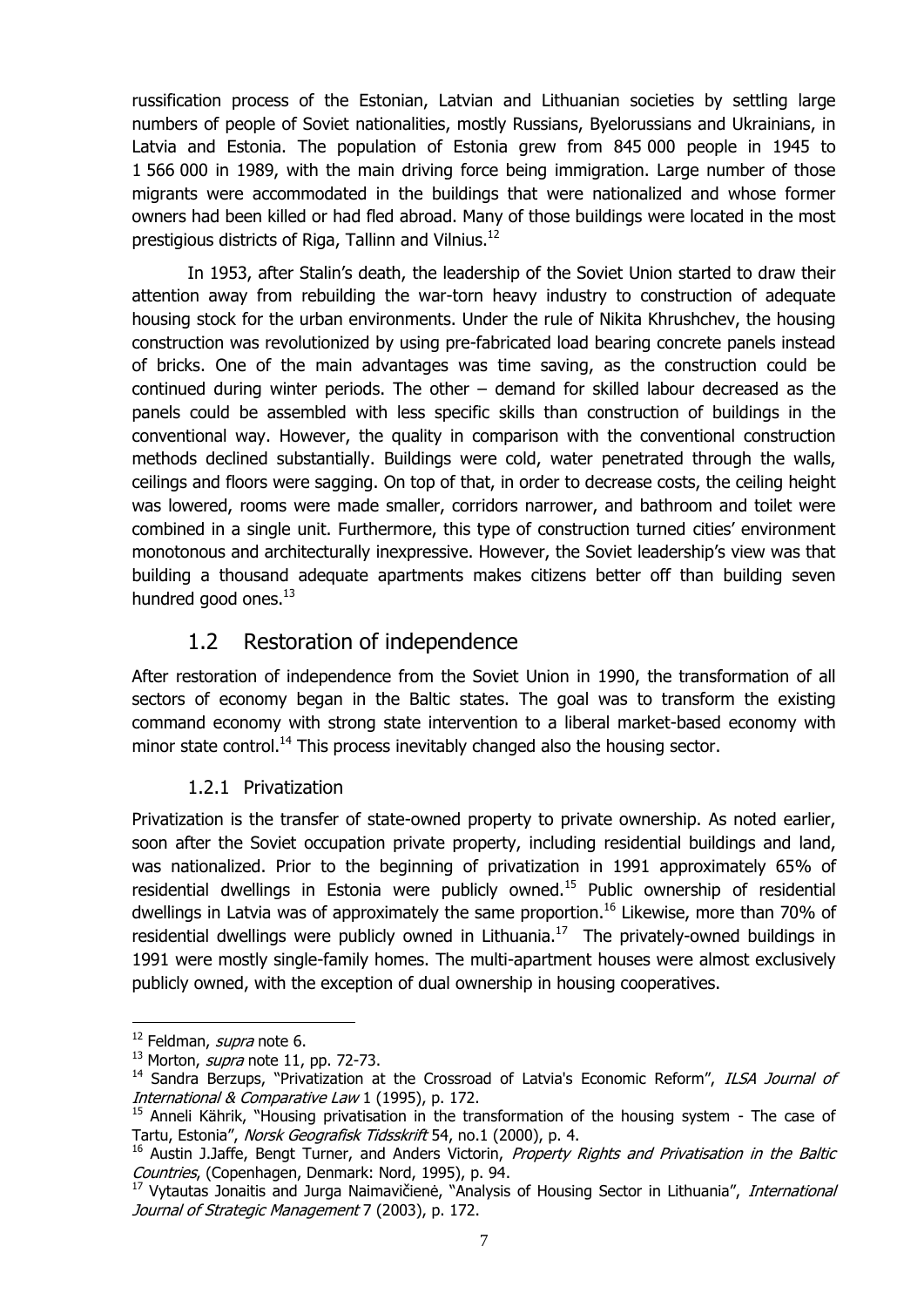russification process of the Estonian, Latvian and Lithuanian societies by settling large numbers of people of Soviet nationalities, mostly Russians, Byelorussians and Ukrainians, in Latvia and Estonia. The population of Estonia grew from 845 000 people in 1945 to 1 566 000 in 1989, with the main driving force being immigration. Large number of those migrants were accommodated in the buildings that were nationalized and whose former owners had been killed or had fled abroad. Many of those buildings were located in the most prestigious districts of Riga, Tallinn and Vilnius.<sup>12</sup>

In 1953, after Stalin's death, the leadership of the Soviet Union started to draw their attention away from rebuilding the war-torn heavy industry to construction of adequate housing stock for the urban environments. Under the rule of Nikita Khrushchev, the housing construction was revolutionized by using pre-fabricated load bearing concrete panels instead of bricks. One of the main advantages was time saving, as the construction could be continued during winter periods. The other – demand for skilled labour decreased as the panels could be assembled with less specific skills than construction of buildings in the conventional way. However, the quality in comparison with the conventional construction methods declined substantially. Buildings were cold, water penetrated through the walls, ceilings and floors were sagging. On top of that, in order to decrease costs, the ceiling height was lowered, rooms were made smaller, corridors narrower, and bathroom and toilet were combined in a single unit. Furthermore, this type of construction turned cities' environment monotonous and architecturally inexpressive. However, the Soviet leadership's view was that building a thousand adequate apartments makes citizens better off than building seven hundred good ones. $^{13}$ 

## 1.2 Restoration of independence

<span id="page-9-0"></span>After restoration of independence from the Soviet Union in 1990, the transformation of all sectors of economy began in the Baltic states. The goal was to transform the existing command economy with strong state intervention to a liberal market-based economy with minor state control.<sup>14</sup> This process inevitably changed also the housing sector.

#### 1.2.1 Privatization

<span id="page-9-1"></span>Privatization is the transfer of state-owned property to private ownership. As noted earlier, soon after the Soviet occupation private property, including residential buildings and land, was nationalized. Prior to the beginning of privatization in 1991 approximately 65% of residential dwellings in Estonia were publicly owned.<sup>15</sup> Public ownership of residential dwellings in Latvia was of approximately the same proportion.<sup>16</sup> Likewise, more than 70% of residential dwellings were publicly owned in Lithuania.<sup>17</sup> The privately-owned buildings in 1991 were mostly single-family homes. The multi-apartment houses were almost exclusively publicly owned, with the exception of dual ownership in housing cooperatives.

 $12$  Feldman, *supra* note [6.](#page-7-3)

 $13$  Morton, *supra* note [11,](#page-8-2) pp. 72-73.

<sup>&</sup>lt;sup>14</sup> Sandra Berzups, "Privatization at the Crossroad of Latvia's Economic Reform", ILSA Journal of International & Comparative Law 1 (1995), p. 172.

<sup>&</sup>lt;sup>15</sup> Anneli Kährik, "Housing privatisation in the transformation of the housing system - The case of Tartu, Estonia", Norsk Geografisk Tidsskrift 54, no.1 (2000), p. 4.

<sup>&</sup>lt;sup>16</sup> Austin J.Jaffe, Bengt Turner, and Anders Victorin, Property Rights and Privatisation in the Baltic Countries, (Copenhagen, Denmark: Nord, 1995), p. 94.

<sup>17</sup> Vytautas Jonaitis and Jurga Naimavičienė, "Analysis of Housing Sector in Lithuania", International Journal of Strategic Management 7 (2003), p. 172.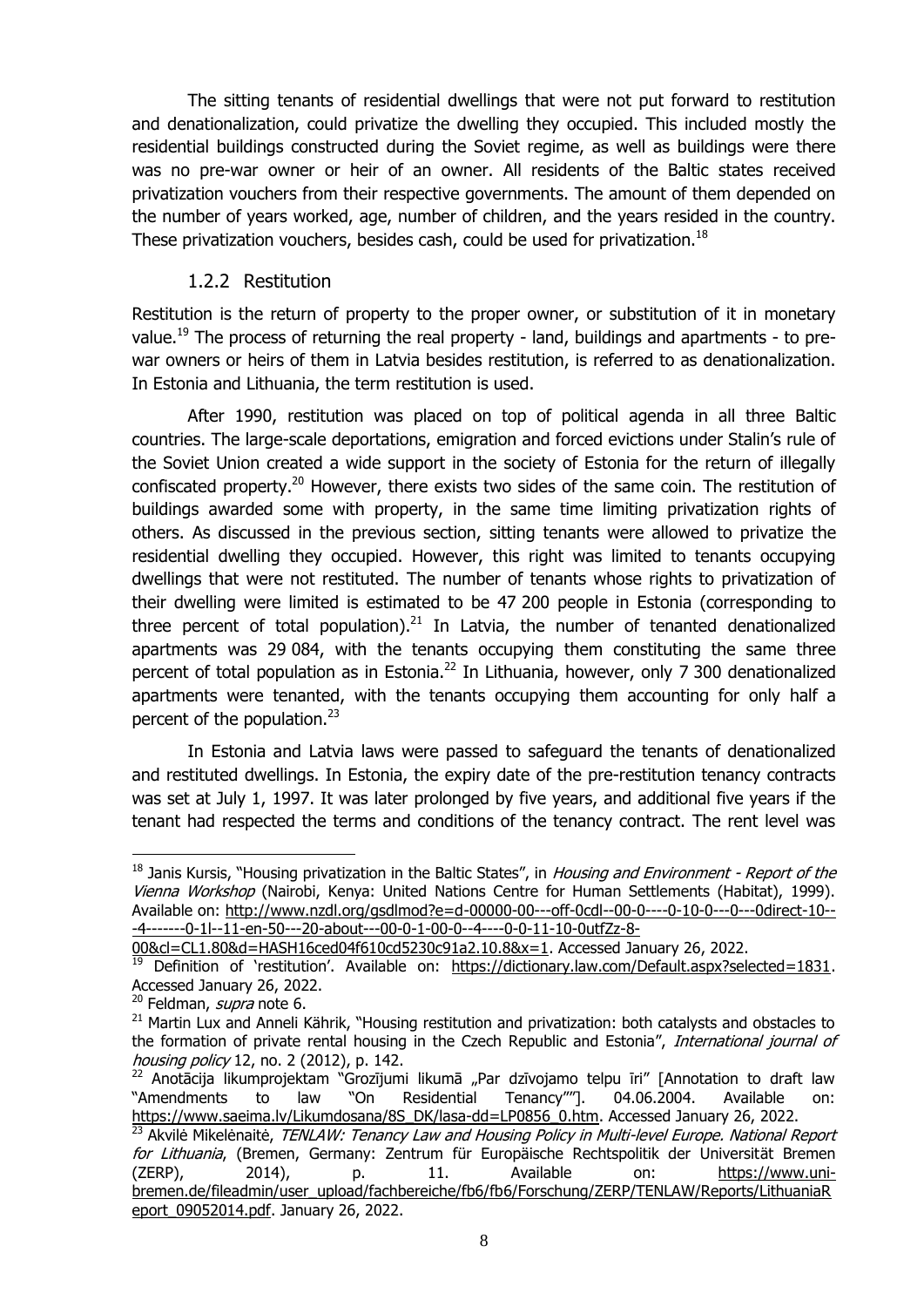The sitting tenants of residential dwellings that were not put forward to restitution and denationalization, could privatize the dwelling they occupied. This included mostly the residential buildings constructed during the Soviet regime, as well as buildings were there was no pre-war owner or heir of an owner. All residents of the Baltic states received privatization vouchers from their respective governments. The amount of them depended on the number of years worked, age, number of children, and the years resided in the country. These privatization vouchers, besides cash, could be used for privatization.<sup>18</sup>

#### 1.2.2 Restitution

<span id="page-10-0"></span>Restitution is the return of property to the proper owner, or substitution of it in monetary value.<sup>19</sup> The process of returning the real property - land, buildings and apartments - to prewar owners or heirs of them in Latvia besides restitution, is referred to as denationalization. In Estonia and Lithuania, the term restitution is used.

After 1990, restitution was placed on top of political agenda in all three Baltic countries. The large-scale deportations, emigration and forced evictions under Stalin's rule of the Soviet Union created a wide support in the society of Estonia for the return of illegally confiscated property.<sup>20</sup> However, there exists two sides of the same coin. The restitution of buildings awarded some with property, in the same time limiting privatization rights of others. As discussed in the previous section, sitting tenants were allowed to privatize the residential dwelling they occupied. However, this right was limited to tenants occupying dwellings that were not restituted. The number of tenants whose rights to privatization of their dwelling were limited is estimated to be 47 200 people in Estonia (corresponding to three percent of total population).<sup>21</sup> In Latvia, the number of tenanted denationalized apartments was 29 084, with the tenants occupying them constituting the same three percent of total population as in Estonia.<sup>22</sup> In Lithuania, however, only 7 300 denationalized apartments were tenanted, with the tenants occupying them accounting for only half a percent of the population.<sup>23</sup>

<span id="page-10-2"></span><span id="page-10-1"></span>In Estonia and Latvia laws were passed to safeguard the tenants of denationalized and restituted dwellings. In Estonia, the expiry date of the pre-restitution tenancy contracts was set at July 1, 1997. It was later prolonged by five years, and additional five years if the tenant had respected the terms and conditions of the tenancy contract. The rent level was

<sup>&</sup>lt;sup>18</sup> Janis Kursis, "Housing privatization in the Baltic States", in Housing and Environment - Report of the Vienna Workshop (Nairobi, Kenya: United Nations Centre for Human Settlements (Habitat), 1999). Available on: [http://www.nzdl.org/gsdlmod?e=d-00000-00---off-0cdl--00-0----0-10-0---0---0direct-10--](http://www.nzdl.org/gsdlmod?e=d-00000-00---off-0cdl--00-0----0-10-0---0---0direct-10---4-------0-1l--11-en-50---20-about---00-0-1-00-0--4----0-0-11-10-0utfZz-8-00&cl=CL1.80&d=HASH16ced04f610cd5230c91a2.10.8&x=1) [-4-------0-1l--11-en-50---20-about---00-0-1-00-0--4----0-0-11-10-0utfZz-8-](http://www.nzdl.org/gsdlmod?e=d-00000-00---off-0cdl--00-0----0-10-0---0---0direct-10---4-------0-1l--11-en-50---20-about---00-0-1-00-0--4----0-0-11-10-0utfZz-8-00&cl=CL1.80&d=HASH16ced04f610cd5230c91a2.10.8&x=1)

[<sup>00&</sup>amp;cl=CL1.80&d=HASH16ced04f610cd5230c91a2.10.8&x=1.](http://www.nzdl.org/gsdlmod?e=d-00000-00---off-0cdl--00-0----0-10-0---0---0direct-10---4-------0-1l--11-en-50---20-about---00-0-1-00-0--4----0-0-11-10-0utfZz-8-00&cl=CL1.80&d=HASH16ced04f610cd5230c91a2.10.8&x=1) Accessed January 26, 2022.

<sup>&</sup>lt;sup>19</sup> Definition of 'restitution'. Available on: [https://dictionary.law.com/Default.aspx?selected=1831.](https://dictionary.law.com/Default.aspx?selected=1831) Accessed January 26, 2022.

<sup>&</sup>lt;sup>20</sup> Feldman, *supra* note [6.](#page-7-3)

<sup>&</sup>lt;sup>21</sup> Martin Lux and Anneli Kährik, "Housing restitution and privatization: both catalysts and obstacles to the formation of private rental housing in the Czech Republic and Estonia", International journal of housing policy 12, no. 2 (2012), p. 142.

 $^{22}$  Anotācija likumprojektam "Grozījumi likumā "Par dzīvojamo telpu īri" [Annotation to draft law "Amendments to law "On Residential Tenancy""]. 04.06.2004. Available [https://www.saeima.lv/Likumdosana/8S\\_DK/lasa-dd=LP0856\\_0.htm.](https://www.saeima.lv/Likumdosana/8S_DK/lasa-dd=LP0856_0.htm) Accessed January 26, 2022.

 $\frac{23}{23}$  Akvilė Mikelėnaitė, TENLAW: Tenancy Law and Housing Policy in Multi-level Europe. National Report for Lithuania, (Bremen, Germany: Zentrum für Europäische Rechtspolitik der Universität Bremen (ZERP), 2014), p. 11. Available on: [https://www.uni](https://www.uni-bremen.de/fileadmin/user_upload/fachbereiche/fb6/fb6/Forschung/ZERP/TENLAW/Reports/LithuaniaReport_09052014.pdf)[bremen.de/fileadmin/user\\_upload/fachbereiche/fb6/fb6/Forschung/ZERP/TENLAW/Reports/LithuaniaR](https://www.uni-bremen.de/fileadmin/user_upload/fachbereiche/fb6/fb6/Forschung/ZERP/TENLAW/Reports/LithuaniaReport_09052014.pdf) [eport\\_09052014.pdf.](https://www.uni-bremen.de/fileadmin/user_upload/fachbereiche/fb6/fb6/Forschung/ZERP/TENLAW/Reports/LithuaniaReport_09052014.pdf) January 26, 2022.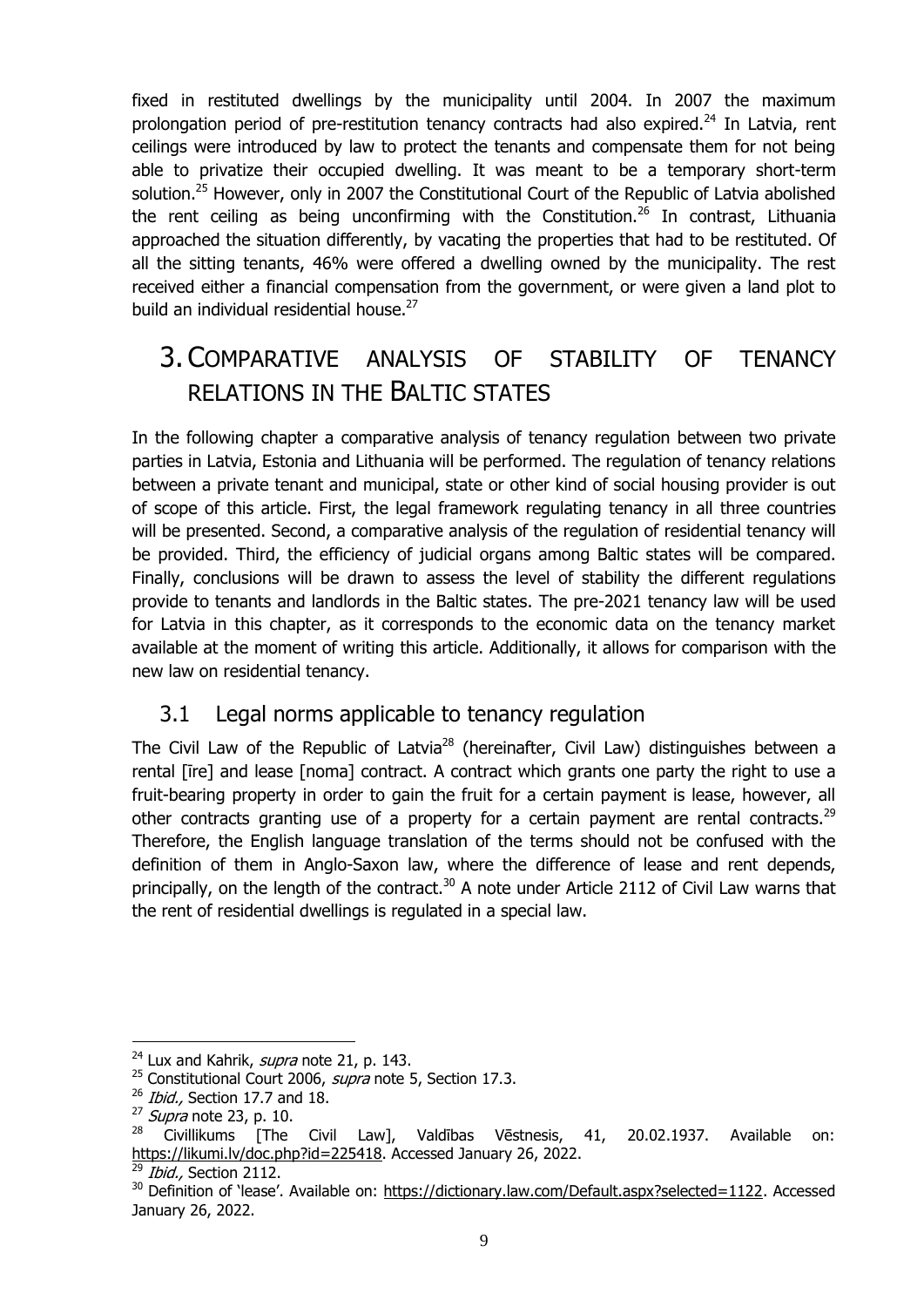fixed in restituted dwellings by the municipality until 2004. In 2007 the maximum prolongation period of pre-restitution tenancy contracts had also expired.<sup>24</sup> In Latvia, rent ceilings were introduced by law to protect the tenants and compensate them for not being able to privatize their occupied dwelling. It was meant to be a temporary short-term solution.<sup>25</sup> However, only in 2007 the Constitutional Court of the Republic of Latvia abolished the rent ceiling as being unconfirming with the Constitution.<sup>26</sup> In contrast, Lithuania approached the situation differently, by vacating the properties that had to be restituted. Of all the sitting tenants, 46% were offered a dwelling owned by the municipality. The rest received either a financial compensation from the government, or were given a land plot to build an individual residential house. $27$ 

## <span id="page-11-0"></span>3. COMPARATIVE ANALYSIS OF STABILITY OF TENANCY RELATIONS IN THE BALTIC STATES

In the following chapter a comparative analysis of tenancy regulation between two private parties in Latvia, Estonia and Lithuania will be performed. The regulation of tenancy relations between a private tenant and municipal, state or other kind of social housing provider is out of scope of this article. First, the legal framework regulating tenancy in all three countries will be presented. Second, a comparative analysis of the regulation of residential tenancy will be provided. Third, the efficiency of judicial organs among Baltic states will be compared. Finally, conclusions will be drawn to assess the level of stability the different regulations provide to tenants and landlords in the Baltic states. The pre-2021 tenancy law will be used for Latvia in this chapter, as it corresponds to the economic data on the tenancy market available at the moment of writing this article. Additionally, it allows for comparison with the new law on residential tenancy.

## <span id="page-11-2"></span><span id="page-11-1"></span>3.1 Legal norms applicable to tenancy regulation

The Civil Law of the Republic of Latvia<sup>28</sup> (hereinafter, Civil Law) distinguishes between a rental [īre] and lease [noma] contract. A contract which grants one party the right to use a fruit-bearing property in order to gain the fruit for a certain payment is lease, however, all other contracts granting use of a property for a certain payment are rental contracts.<sup>29</sup> Therefore, the English language translation of the terms should not be confused with the definition of them in Anglo-Saxon law, where the difference of lease and rent depends, principally, on the length of the contract.<sup>30</sup> A note under Article 2112 of Civil Law warns that the rent of residential dwellings is regulated in a special law.

1

 $^{24}$  Lux and Kahrik, *supra* note [21,](#page-10-1) p. 143.

<sup>&</sup>lt;sup>25</sup> Constitutional Court 2006, *supra* note [5,](#page-7-4) Section 17.3.

 $^{26}$  Ibid., Section 17.7 and 18.

 $^{27}$  *Supra* note [23,](#page-10-2) p. 10.

<sup>28</sup> Civillikums [The Civil Law], Valdības Vēstnesis, 41, 20.02.1937. Available on: [https://likumi.lv/doc.php?id=225418.](https://likumi.lv/doc.php?id=225418) Accessed January 26, 2022.

 $^{29}$  *Ibid.*, Section 2112.

<sup>30</sup> Definition of 'lease'. Available on: [https://dictionary.law.com/Default.aspx?selected=1122.](https://dictionary.law.com/Default.aspx?selected=1122) Accessed January 26, 2022.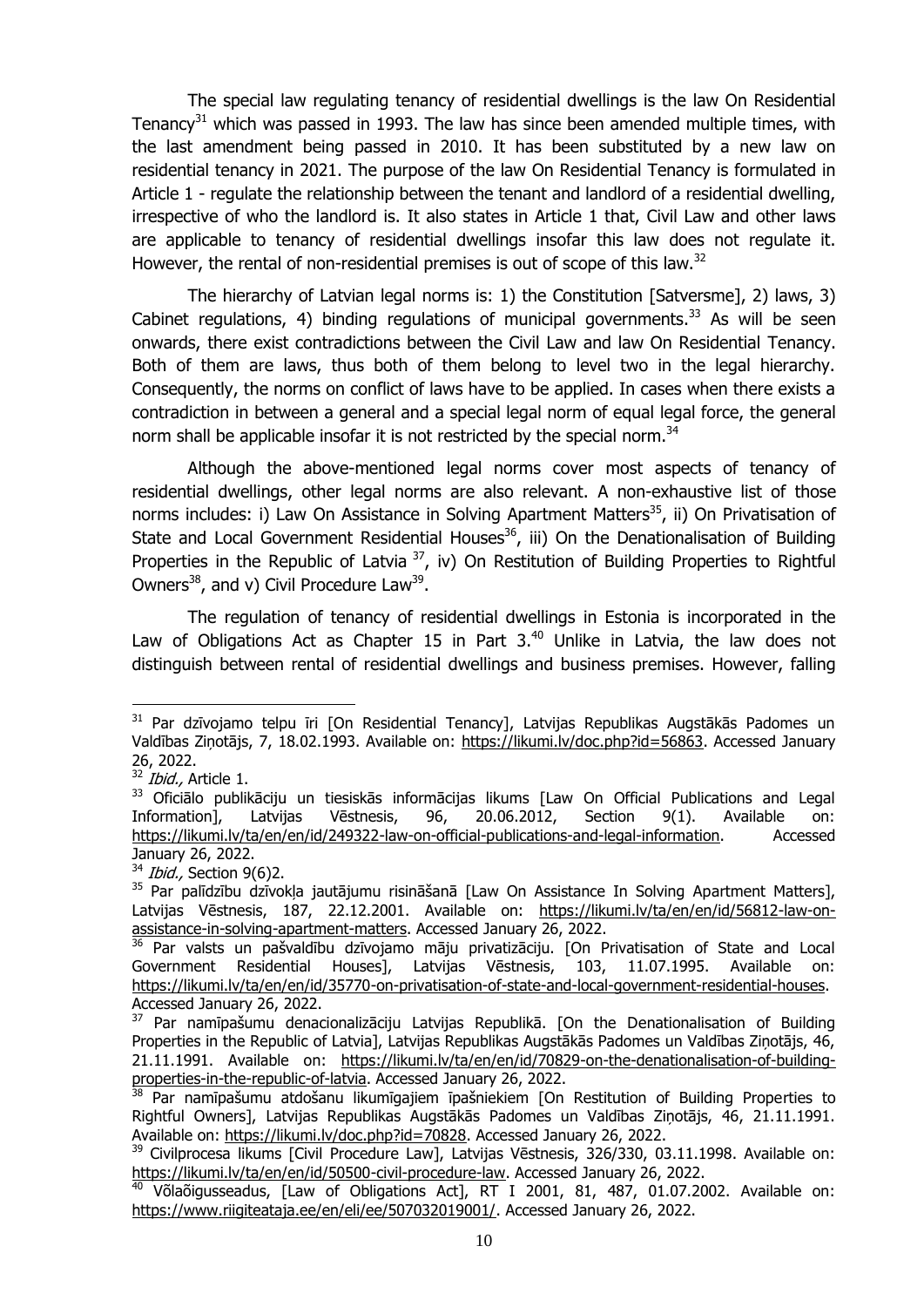<span id="page-12-0"></span>The special law regulating tenancy of residential dwellings is the law On Residential Tenancy<sup>31</sup> which was passed in 1993. The law has since been amended multiple times, with the last amendment being passed in 2010. It has been substituted by a new law on residential tenancy in 2021. The purpose of the law On Residential Tenancy is formulated in Article 1 - regulate the relationship between the tenant and landlord of a residential dwelling, irrespective of who the landlord is. It also states in Article 1 that, Civil Law and other laws are applicable to tenancy of residential dwellings insofar this law does not regulate it. However, the rental of non-residential premises is out of scope of this law.<sup>32</sup>

The hierarchy of Latvian legal norms is: 1) the Constitution [Satversme], 2) laws, 3) Cabinet regulations, 4) binding regulations of municipal governments.<sup>33</sup> As will be seen onwards, there exist contradictions between the Civil Law and law On Residential Tenancy. Both of them are laws, thus both of them belong to level two in the legal hierarchy. Consequently, the norms on conflict of laws have to be applied. In cases when there exists a contradiction in between a general and a special legal norm of equal legal force, the general norm shall be applicable insofar it is not restricted by the special norm.<sup>34</sup>

Although the above-mentioned legal norms cover most aspects of tenancy of residential dwellings, other legal norms are also relevant. A non-exhaustive list of those norms includes: i) Law On Assistance in Solving Apartment Matters<sup>35</sup>, ii) On Privatisation of State and Local Government Residential Houses<sup>36</sup>, iii) On the Denationalisation of Building Properties in the Republic of Latvia <sup>37</sup>, iv) On Restitution of Building Properties to Rightful Owners $^{38}$ , and v) Civil Procedure Law $^{39}$ .

<span id="page-12-4"></span><span id="page-12-3"></span><span id="page-12-2"></span><span id="page-12-1"></span>The regulation of tenancy of residential dwellings in Estonia is incorporated in the Law of Obligations Act as Chapter 15 in Part  $3.^{40}$  Unlike in Latvia, the law does not distinguish between rental of residential dwellings and business premises. However, falling

<sup>&</sup>lt;sup>31</sup> Par dzīvojamo telpu īri [On Residential Tenancy], Latvijas Republikas Augstākās Padomes un Valdības Ziņotājs, 7, 18.02.1993. Available on: [https://likumi.lv/doc.php?id=56863.](https://likumi.lv/doc.php?id=56863) Accessed January 26, 2022.

 $32$  *Ibid.*, Article 1.

<sup>33</sup> Oficiālo publikāciju un tiesiskās informācijas likums [Law On Official Publications and Legal Information], Latvijas Vēstnesis, 96, 20.06.2012, Section 9(1). Available on: [https://likumi.lv/ta/en/en/id/249322-law-on-official-publications-and-legal-information.](https://likumi.lv/ta/en/en/id/249322-law-on-official-publications-and-legal-information) Accessed January 26, 2022.

 $34$  *Ibid.*, Section 9(6)2.

<sup>&</sup>lt;sup>35</sup> Par palīdzību dzīvokļa jautājumu risināšanā [Law On Assistance In Solving Apartment Matters], Latvijas Vēstnesis, 187, 22.12.2001. Available on: [https://likumi.lv/ta/en/en/id/56812-law-on](https://likumi.lv/ta/en/en/id/56812-law-on-assistance-in-solving-apartment-matters)[assistance-in-solving-apartment-matters.](https://likumi.lv/ta/en/en/id/56812-law-on-assistance-in-solving-apartment-matters) Accessed January 26, 2022.

<sup>&</sup>lt;sup>36</sup> Par valsts un pašvaldību dzīvojamo māju privatizāciju. [On Privatisation of State and Local Government Residential Houses], Latvijas Vēstnesis, 103, 11.07.1995. Available on: [https://likumi.lv/ta/en/en/id/35770-on-privatisation-of-state-and-local-government-residential-houses.](https://likumi.lv/ta/en/en/id/35770-on-privatisation-of-state-and-local-government-residential-houses) Accessed January 26, 2022.

<sup>&</sup>lt;sup>37</sup> Par namīpašumu denacionalizāciju Latvijas Republikā. [On the Denationalisation of Building Properties in the Republic of Latvia], Latvijas Republikas Augstākās Padomes un Valdības Ziņotājs, 46, 21.11.1991. Available on: [https://likumi.lv/ta/en/en/id/70829-on-the-denationalisation-of-building](https://likumi.lv/ta/en/en/id/70829-on-the-denationalisation-of-building-properties-in-the-republic-of-latvia)[properties-in-the-republic-of-latvia.](https://likumi.lv/ta/en/en/id/70829-on-the-denationalisation-of-building-properties-in-the-republic-of-latvia) Accessed January 26, 2022.

<sup>&</sup>lt;sup>38</sup> Par namīpašumu atdošanu likumīgajiem īpašniekiem [On Restitution of Building Properties to Rightful Owners], Latvijas Republikas Augstākās Padomes un Valdības Ziņotājs, 46, 21.11.1991. Available on: [https://likumi.lv/doc.php?id=70828.](https://likumi.lv/doc.php?id=70828) Accessed January 26, 2022.

<sup>&</sup>lt;sup>39</sup> Civilprocesa likums [Civil Procedure Law], Latvijas Vēstnesis, 326/330, 03.11.1998. Available on: [https://likumi.lv/ta/en/en/id/50500-civil-procedure-law.](https://likumi.lv/ta/en/en/id/50500-civil-procedure-law) Accessed January 26, 2022.

<sup>&</sup>lt;sup>40</sup> Võlaõigusseadus, [Law of Obligations Act], RT I 2001, 81, 487, 01.07.2002. Available on: [https://www.riigiteataja.ee/en/eli/ee/507032019001/.](https://www.riigiteataja.ee/en/eli/ee/507032019001/) Accessed January 26, 2022.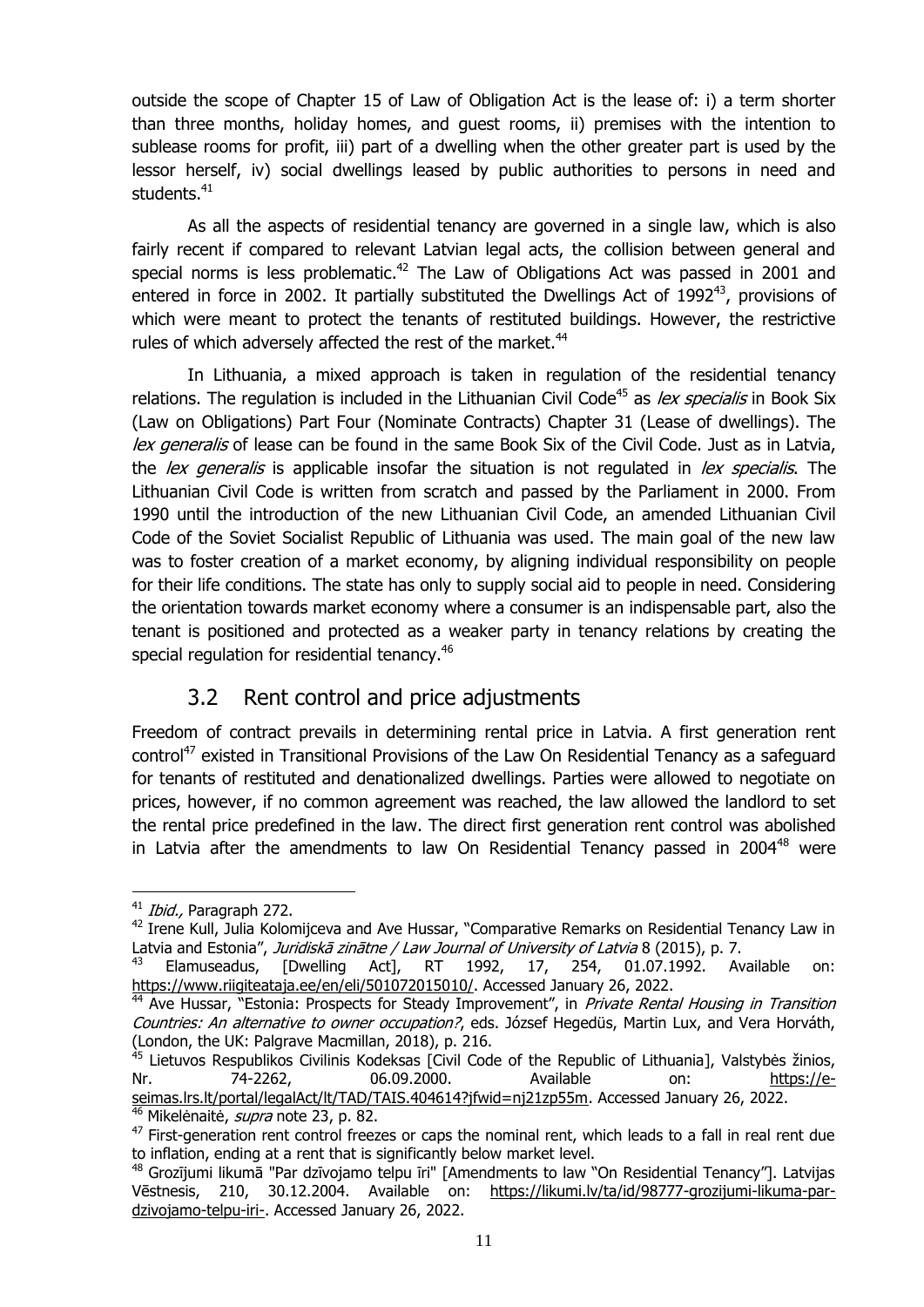outside the scope of Chapter 15 of Law of Obligation Act is the lease of: i) a term shorter than three months, holiday homes, and guest rooms, ii) premises with the intention to sublease rooms for profit, iii) part of a dwelling when the other greater part is used by the lessor herself, iv) social dwellings leased by public authorities to persons in need and students.<sup>41</sup>

As all the aspects of residential tenancy are governed in a single law, which is also fairly recent if compared to relevant Latvian legal acts, the collision between general and special norms is less problematic.<sup>42</sup> The Law of Obligations Act was passed in 2001 and entered in force in 2002. It partially substituted the Dwellings Act of 1992<sup>43</sup>, provisions of which were meant to protect the tenants of restituted buildings. However, the restrictive rules of which adversely affected the rest of the market.<sup>44</sup>

<span id="page-13-1"></span>In Lithuania, a mixed approach is taken in regulation of the residential tenancy relations. The regulation is included in the Lithuanian Civil Code<sup>45</sup> as *lex specialis* in Book Six (Law on Obligations) Part Four (Nominate Contracts) Chapter 31 (Lease of dwellings). The lex generalis of lease can be found in the same Book Six of the Civil Code. Just as in Latvia, the lex generalis is applicable insofar the situation is not regulated in lex specialis. The Lithuanian Civil Code is written from scratch and passed by the Parliament in 2000. From 1990 until the introduction of the new Lithuanian Civil Code, an amended Lithuanian Civil Code of the Soviet Socialist Republic of Lithuania was used. The main goal of the new law was to foster creation of a market economy, by aligning individual responsibility on people for their life conditions. The state has only to supply social aid to people in need. Considering the orientation towards market economy where a consumer is an indispensable part, also the tenant is positioned and protected as a weaker party in tenancy relations by creating the special regulation for residential tenancy.<sup>46</sup>

## 3.2 Rent control and price adjustments

<span id="page-13-0"></span>Freedom of contract prevails in determining rental price in Latvia. A first generation rent control<sup>47</sup> existed in Transitional Provisions of the Law On Residential Tenancy as a safeguard for tenants of restituted and denationalized dwellings. Parties were allowed to negotiate on prices, however, if no common agreement was reached, the law allowed the landlord to set the rental price predefined in the law. The direct first generation rent control was abolished in Latvia after the amendments to law On Residential Tenancy passed in 2004 $48$  were

 $41$  *Ibid.*, Paragraph 272.

<sup>&</sup>lt;sup>42</sup> Irene Kull, Julia Kolomijceva and Ave Hussar, "Comparative Remarks on Residential Tenancy Law in Latvia and Estonia", Juridiskā zinātne / Law Journal of University of Latvia 8 (2015), p. 7.

<sup>&</sup>lt;sup>43</sup> Elamuseadus, [Dwelling Act], RT 1992, 17, 254, 01.07.1992. Available on: [https://www.riigiteataja.ee/en/eli/501072015010/.](https://www.riigiteataja.ee/en/eli/501072015010/) Accessed January 26, 2022.

Ave Hussar, "Estonia: Prospects for Steady Improvement", in Private Rental Housing in Transition Countries: An alternative to owner occupation?, eds. József Hegedüs, Martin Lux, and Vera Horváth, (London, the UK: Palgrave Macmillan, 2018), p. 216.

<sup>&</sup>lt;sup>45</sup> Lietuvos Respublikos Civilinis Kodeksas [Civil Code of the Republic of Lithuania], Valstybės žinios, Nr. 74-2262, 06.09.2000. Available on: [https://e](https://e-seimas.lrs.lt/portal/legalAct/lt/TAD/TAIS.404614?jfwid=nj21zp55m)[seimas.lrs.lt/portal/legalAct/lt/TAD/TAIS.404614?jfwid=nj21zp55m.](https://e-seimas.lrs.lt/portal/legalAct/lt/TAD/TAIS.404614?jfwid=nj21zp55m) Accessed January 26, 2022. <sup>46</sup> Mikelėnaitė, *supra* note [23,](#page-10-2) p. 82.

<sup>&</sup>lt;sup>47</sup> First-generation rent control freezes or caps the nominal rent, which leads to a fall in real rent due to inflation, ending at a rent that is significantly below market level.

<sup>48</sup> Grozījumi likumā "Par dzīvojamo telpu īri" [Amendments to law "On Residential Tenancy"]. Latvijas Vēstnesis, 210, 30.12.2004. Available on: [https://likumi.lv/ta/id/98777-grozijumi-likuma-par](https://likumi.lv/ta/id/98777-grozijumi-likuma-par-dzivojamo-telpu-iri-)[dzivojamo-telpu-iri-.](https://likumi.lv/ta/id/98777-grozijumi-likuma-par-dzivojamo-telpu-iri-) Accessed January 26, 2022.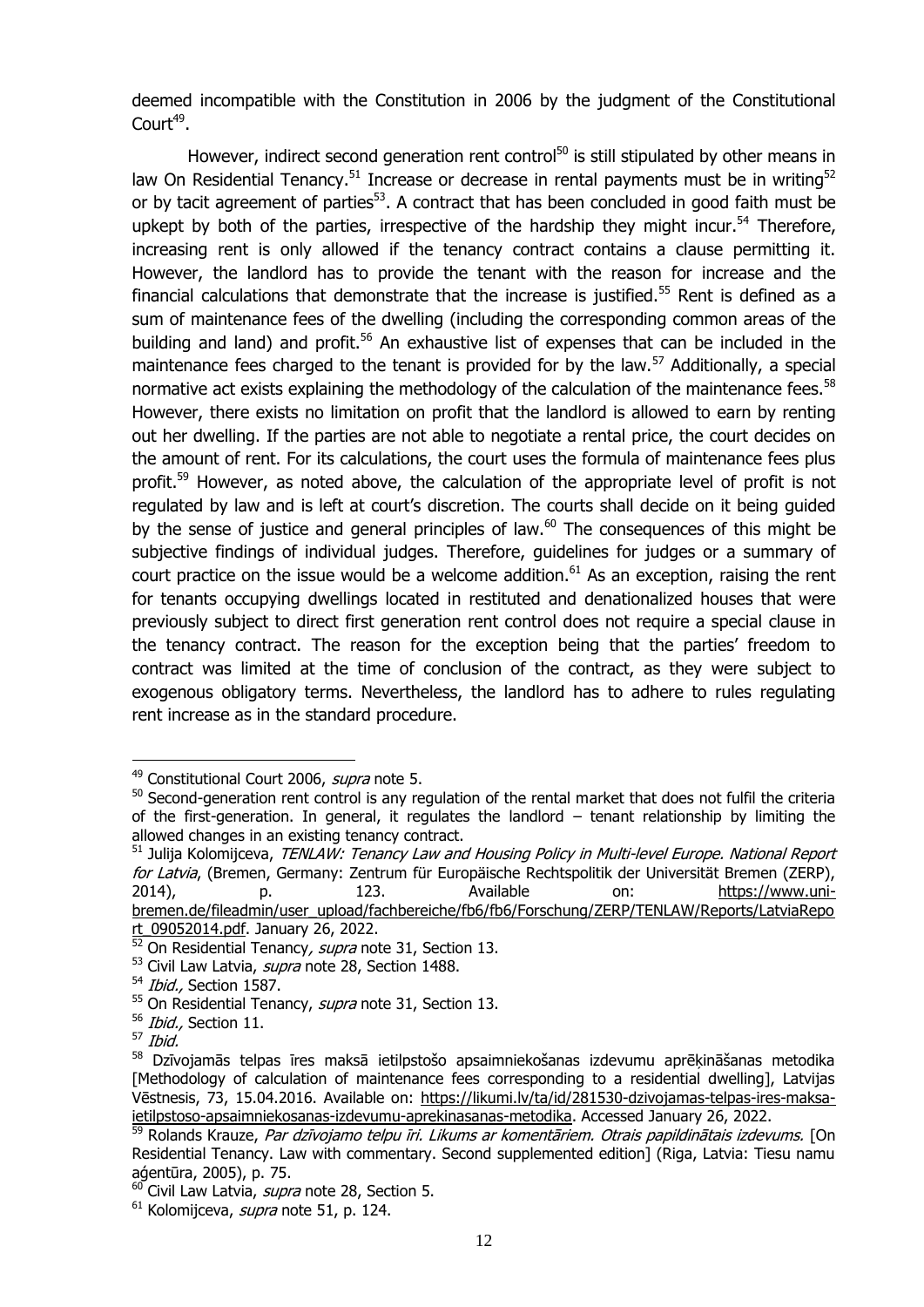deemed incompatible with the Constitution in 2006 by the judgment of the Constitutional Court<sup>49</sup>.

<span id="page-14-0"></span>However, indirect second generation rent control<sup>50</sup> is still stipulated by other means in law On Residential Tenancy.<sup>51</sup> Increase or decrease in rental payments must be in writing<sup>52</sup> or by tacit agreement of parties $53$ . A contract that has been concluded in good faith must be upkept by both of the parties, irrespective of the hardship they might incur.<sup>54</sup> Therefore, increasing rent is only allowed if the tenancy contract contains a clause permitting it. However, the landlord has to provide the tenant with the reason for increase and the financial calculations that demonstrate that the increase is justified.<sup>55</sup> Rent is defined as a sum of maintenance fees of the dwelling (including the corresponding common areas of the building and land) and profit.<sup>56</sup> An exhaustive list of expenses that can be included in the maintenance fees charged to the tenant is provided for by the law.<sup>57</sup> Additionally, a special normative act exists explaining the methodology of the calculation of the maintenance fees.<sup>58</sup> However, there exists no limitation on profit that the landlord is allowed to earn by renting out her dwelling. If the parties are not able to negotiate a rental price, the court decides on the amount of rent. For its calculations, the court uses the formula of maintenance fees plus profit.<sup>59</sup> However, as noted above, the calculation of the appropriate level of profit is not regulated by law and is left at court's discretion. The courts shall decide on it being guided by the sense of justice and general principles of law.<sup>60</sup> The consequences of this might be subjective findings of individual judges. Therefore, guidelines for judges or a summary of court practice on the issue would be a welcome addition. $61$  As an exception, raising the rent for tenants occupying dwellings located in restituted and denationalized houses that were previously subject to direct first generation rent control does not require a special clause in the tenancy contract. The reason for the exception being that the parties' freedom to contract was limited at the time of conclusion of the contract, as they were subject to exogenous obligatory terms. Nevertheless, the landlord has to adhere to rules regulating rent increase as in the standard procedure.

<span id="page-14-1"></span><sup>&</sup>lt;sup>49</sup> Constitutional Court 2006, *supra* note [5.](#page-7-4)

<sup>&</sup>lt;sup>50</sup> Second-generation rent control is any regulation of the rental market that does not fulfil the criteria of the first-generation. In general, it regulates the landlord – tenant relationship by limiting the allowed changes in an existing tenancy contract.

<sup>&</sup>lt;sup>51</sup> Julija Kolomijceva, TENLAW: Tenancy Law and Housing Policy in Multi-level Europe. National Report for Latvia, (Bremen, Germany: Zentrum für Europäische Rechtspolitik der Universität Bremen (ZERP), 2014), p. 123. Available on: [https://www.uni](https://www.uni-bremen.de/fileadmin/user_upload/fachbereiche/fb6/fb6/Forschung/ZERP/TENLAW/Reports/LatviaReport_09052014.pdf)[bremen.de/fileadmin/user\\_upload/fachbereiche/fb6/fb6/Forschung/ZERP/TENLAW/Reports/LatviaRepo](https://www.uni-bremen.de/fileadmin/user_upload/fachbereiche/fb6/fb6/Forschung/ZERP/TENLAW/Reports/LatviaReport_09052014.pdf) [rt\\_09052014.pdf.](https://www.uni-bremen.de/fileadmin/user_upload/fachbereiche/fb6/fb6/Forschung/ZERP/TENLAW/Reports/LatviaReport_09052014.pdf) January 26, 2022.

 $52$  On Residential Tenancy, supra note [31,](#page-12-0) Section 13.

<sup>&</sup>lt;sup>53</sup> Civil Law Latvia, *supra* note [28,](#page-11-2) Section 1488.

<sup>&</sup>lt;sup>54</sup> Ibid., Section 1587.

 $55$  On Residential Tenancy, *supra* note [31,](#page-12-0) Section 13.

<sup>&</sup>lt;sup>56</sup> Ibid., Section 11.

 $57$  Ibid.

<sup>58</sup> Dzīvojamās telpas īres maksā ietilpstošo apsaimniekošanas izdevumu aprēķināšanas metodika [Methodology of calculation of maintenance fees corresponding to a residential dwelling], Latvijas Vēstnesis, 73, 15.04.2016. Available on: [https://likumi.lv/ta/id/281530-dzivojamas-telpas-ires-maksa](https://likumi.lv/ta/id/281530-dzivojamas-telpas-ires-maksa-ietilpstoso-apsaimniekosanas-izdevumu-aprekinasanas-metodika)[ietilpstoso-apsaimniekosanas-izdevumu-aprekinasanas-metodika.](https://likumi.lv/ta/id/281530-dzivojamas-telpas-ires-maksa-ietilpstoso-apsaimniekosanas-izdevumu-aprekinasanas-metodika) Accessed January 26, 2022.

Rolands Krauze, Par dzīvojamo telpu īri. Likums ar komentāriem. Otrais papildinātais izdevums. [On Residential Tenancy. Law with commentary. Second supplemented edition] (Riga, Latvia: Tiesu namu aģentūra, 2005), p. 75.

<sup>&</sup>lt;sup>60</sup> Civil Law Latvia, *supra* note [28,](#page-11-2) Section 5.

 $61$  Kolomijceva, *supra* note [51,](#page-14-0) p. 124.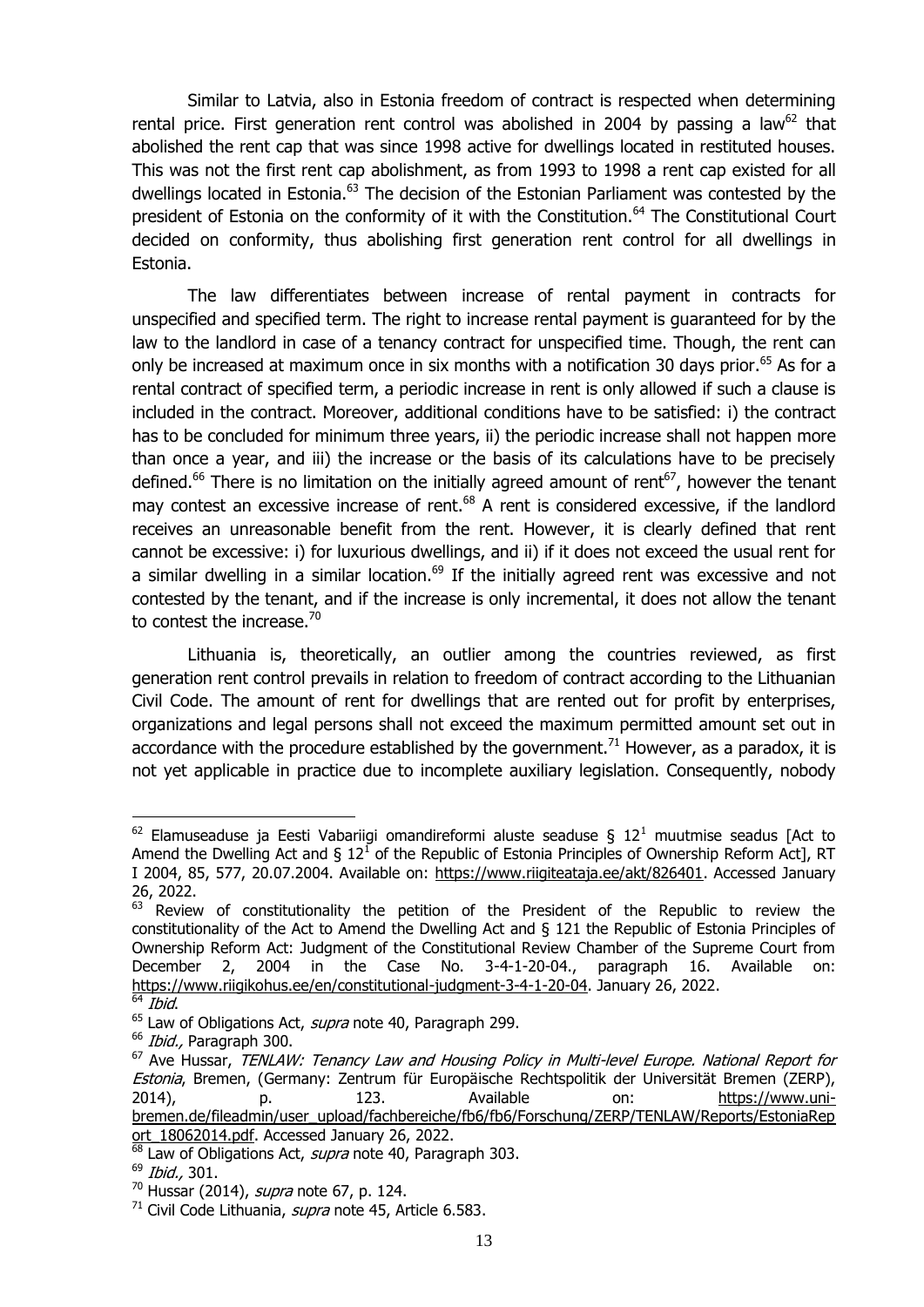Similar to Latvia, also in Estonia freedom of contract is respected when determining rental price. First generation rent control was abolished in 2004 by passing a law<sup>62</sup> that abolished the rent cap that was since 1998 active for dwellings located in restituted houses. This was not the first rent cap abolishment, as from 1993 to 1998 a rent cap existed for all dwellings located in Estonia.<sup>63</sup> The decision of the Estonian Parliament was contested by the president of Estonia on the conformity of it with the Constitution.<sup>64</sup> The Constitutional Court decided on conformity, thus abolishing first generation rent control for all dwellings in Estonia.

The law differentiates between increase of rental payment in contracts for unspecified and specified term. The right to increase rental payment is guaranteed for by the law to the landlord in case of a tenancy contract for unspecified time. Though, the rent can only be increased at maximum once in six months with a notification 30 days prior.<sup>65</sup> As for a rental contract of specified term, a periodic increase in rent is only allowed if such a clause is included in the contract. Moreover, additional conditions have to be satisfied: i) the contract has to be concluded for minimum three years, ii) the periodic increase shall not happen more than once a year, and iii) the increase or the basis of its calculations have to be precisely defined.<sup>66</sup> There is no limitation on the initially agreed amount of rent<sup>67</sup>, however the tenant may contest an excessive increase of rent.<sup>68</sup> A rent is considered excessive, if the landlord receives an unreasonable benefit from the rent. However, it is clearly defined that rent cannot be excessive: i) for luxurious dwellings, and ii) if it does not exceed the usual rent for a similar dwelling in a similar location.<sup>69</sup> If the initially agreed rent was excessive and not contested by the tenant, and if the increase is only incremental, it does not allow the tenant to contest the increase. $70$ 

<span id="page-15-0"></span>Lithuania is, theoretically, an outlier among the countries reviewed, as first generation rent control prevails in relation to freedom of contract according to the Lithuanian Civil Code. The amount of rent for dwellings that are rented out for profit by enterprises, organizations and legal persons shall not exceed the maximum permitted amount set out in accordance with the procedure established by the government.<sup>71</sup> However, as a paradox, it is not yet applicable in practice due to incomplete auxiliary legislation. Consequently, nobody

<sup>&</sup>lt;sup>62</sup> Elamuseaduse ja Eesti Vabariigi omandireformi aluste seaduse § 12<sup>1</sup> muutmise seadus [Act to Amend the Dwelling Act and § 12<sup>1</sup> of the Republic of Estonia Principles of Ownership Reform Act], RT I 2004, 85, 577, 20.07.2004. Available on: [https://www.riigiteataja.ee/akt/826401.](https://www.riigiteataja.ee/akt/826401) Accessed January 26, 2022.

<sup>63</sup> Review of constitutionality the petition of the President of the Republic to review the constitutionality of the Act to Amend the Dwelling Act and § 121 the Republic of Estonia Principles of Ownership Reform Act: Judgment of the Constitutional Review Chamber of the Supreme Court from December 2, 2004 in the Case No. 3-4-1-20-04., paragraph 16. Available on: [https://www.riigikohus.ee/en/constitutional-judgment-3-4-1-20-04.](https://www.riigikohus.ee/en/constitutional-judgment-3-4-1-20-04) January 26, 2022.

Ibid.

<sup>&</sup>lt;sup>65</sup> Law of Obligations Act, *supra* note [40,](#page-12-1) Paragraph 299.

<sup>&</sup>lt;sup>66</sup> Ibid., Paragraph 300.

 $67$  Ave Hussar, TENLAW: Tenancy Law and Housing Policy in Multi-level Europe. National Report for Estonia, Bremen, (Germany: Zentrum für Europäische Rechtspolitik der Universität Bremen (ZERP), 2014), p. 123. Available on: [https://www.uni](https://www.uni-bremen.de/fileadmin/user_upload/fachbereiche/fb6/fb6/Forschung/ZERP/TENLAW/Reports/EstoniaReport_18062014.pdf)[bremen.de/fileadmin/user\\_upload/fachbereiche/fb6/fb6/Forschung/ZERP/TENLAW/Reports/EstoniaRep](https://www.uni-bremen.de/fileadmin/user_upload/fachbereiche/fb6/fb6/Forschung/ZERP/TENLAW/Reports/EstoniaReport_18062014.pdf) [ort\\_18062014.pdf.](https://www.uni-bremen.de/fileadmin/user_upload/fachbereiche/fb6/fb6/Forschung/ZERP/TENLAW/Reports/EstoniaReport_18062014.pdf) Accessed January 26, 2022.

 $\overline{68}$  Law of Obligations Act, *supra* note [40,](#page-12-1) Paragraph 303.

<sup>69</sup> Ibid., 301.

 $70$  Hussar (2014), *supra* note [67,](#page-15-0) p. 124.

 $71$  Civil Code Lithuania, *supra* note [45,](#page-13-1) Article 6.583.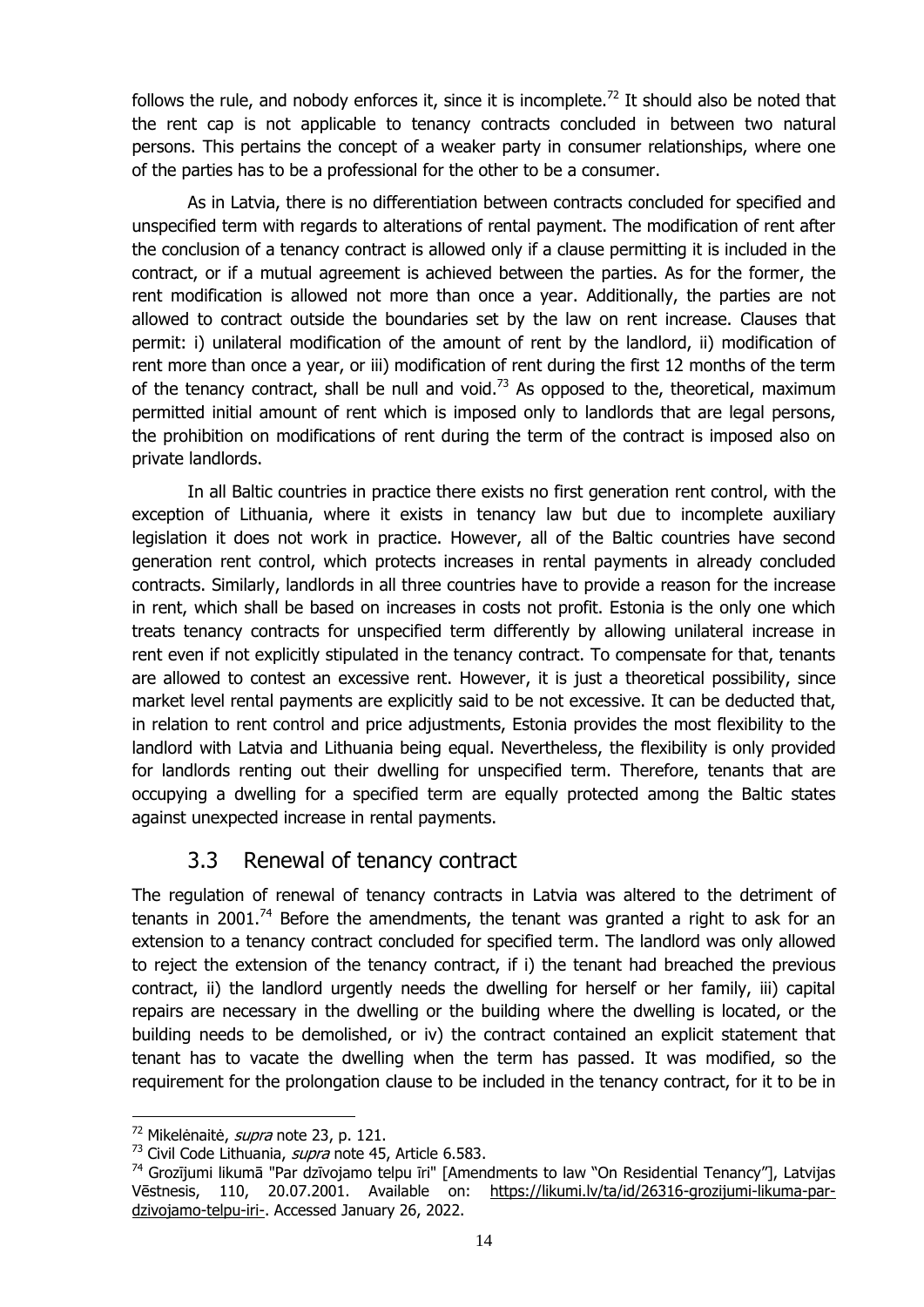follows the rule, and nobody enforces it, since it is incomplete.<sup>72</sup> It should also be noted that the rent cap is not applicable to tenancy contracts concluded in between two natural persons. This pertains the concept of a weaker party in consumer relationships, where one of the parties has to be a professional for the other to be a consumer.

As in Latvia, there is no differentiation between contracts concluded for specified and unspecified term with regards to alterations of rental payment. The modification of rent after the conclusion of a tenancy contract is allowed only if a clause permitting it is included in the contract, or if a mutual agreement is achieved between the parties. As for the former, the rent modification is allowed not more than once a year. Additionally, the parties are not allowed to contract outside the boundaries set by the law on rent increase. Clauses that permit: i) unilateral modification of the amount of rent by the landlord, ii) modification of rent more than once a year, or iii) modification of rent during the first 12 months of the term of the tenancy contract, shall be null and void.<sup>73</sup> As opposed to the, theoretical, maximum permitted initial amount of rent which is imposed only to landlords that are legal persons, the prohibition on modifications of rent during the term of the contract is imposed also on private landlords.

In all Baltic countries in practice there exists no first generation rent control, with the exception of Lithuania, where it exists in tenancy law but due to incomplete auxiliary legislation it does not work in practice. However, all of the Baltic countries have second generation rent control, which protects increases in rental payments in already concluded contracts. Similarly, landlords in all three countries have to provide a reason for the increase in rent, which shall be based on increases in costs not profit. Estonia is the only one which treats tenancy contracts for unspecified term differently by allowing unilateral increase in rent even if not explicitly stipulated in the tenancy contract. To compensate for that, tenants are allowed to contest an excessive rent. However, it is just a theoretical possibility, since market level rental payments are explicitly said to be not excessive. It can be deducted that, in relation to rent control and price adjustments, Estonia provides the most flexibility to the landlord with Latvia and Lithuania being equal. Nevertheless, the flexibility is only provided for landlords renting out their dwelling for unspecified term. Therefore, tenants that are occupying a dwelling for a specified term are equally protected among the Baltic states against unexpected increase in rental payments.

## 3.3 Renewal of tenancy contract

<span id="page-16-0"></span>The regulation of renewal of tenancy contracts in Latvia was altered to the detriment of tenants in 2001.<sup>74</sup> Before the amendments, the tenant was granted a right to ask for an extension to a tenancy contract concluded for specified term. The landlord was only allowed to reject the extension of the tenancy contract, if i) the tenant had breached the previous contract, ii) the landlord urgently needs the dwelling for herself or her family, iii) capital repairs are necessary in the dwelling or the building where the dwelling is located, or the building needs to be demolished, or iv) the contract contained an explicit statement that tenant has to vacate the dwelling when the term has passed. It was modified, so the requirement for the prolongation clause to be included in the tenancy contract, for it to be in

<sup>&</sup>lt;sup>72</sup> Mikelėnaitė, *supra* note [23,](#page-10-2) p. 121.

<sup>&</sup>lt;sup>73</sup> Civil Code Lithuania, *supra* note [45,](#page-13-1) Article 6.583.

<sup>&</sup>lt;sup>74</sup> Grozījumi likumā "Par dzīvojamo telpu īri" [Amendments to law "On Residential Tenancy"], Latvijas Vēstnesis, 110, 20.07.2001. Available on: [https://likumi.lv/ta/id/26316-grozijumi-likuma-par](https://likumi.lv/ta/id/26316-grozijumi-likuma-par-dzivojamo-telpu-iri-)[dzivojamo-telpu-iri-.](https://likumi.lv/ta/id/26316-grozijumi-likuma-par-dzivojamo-telpu-iri-) Accessed January 26, 2022.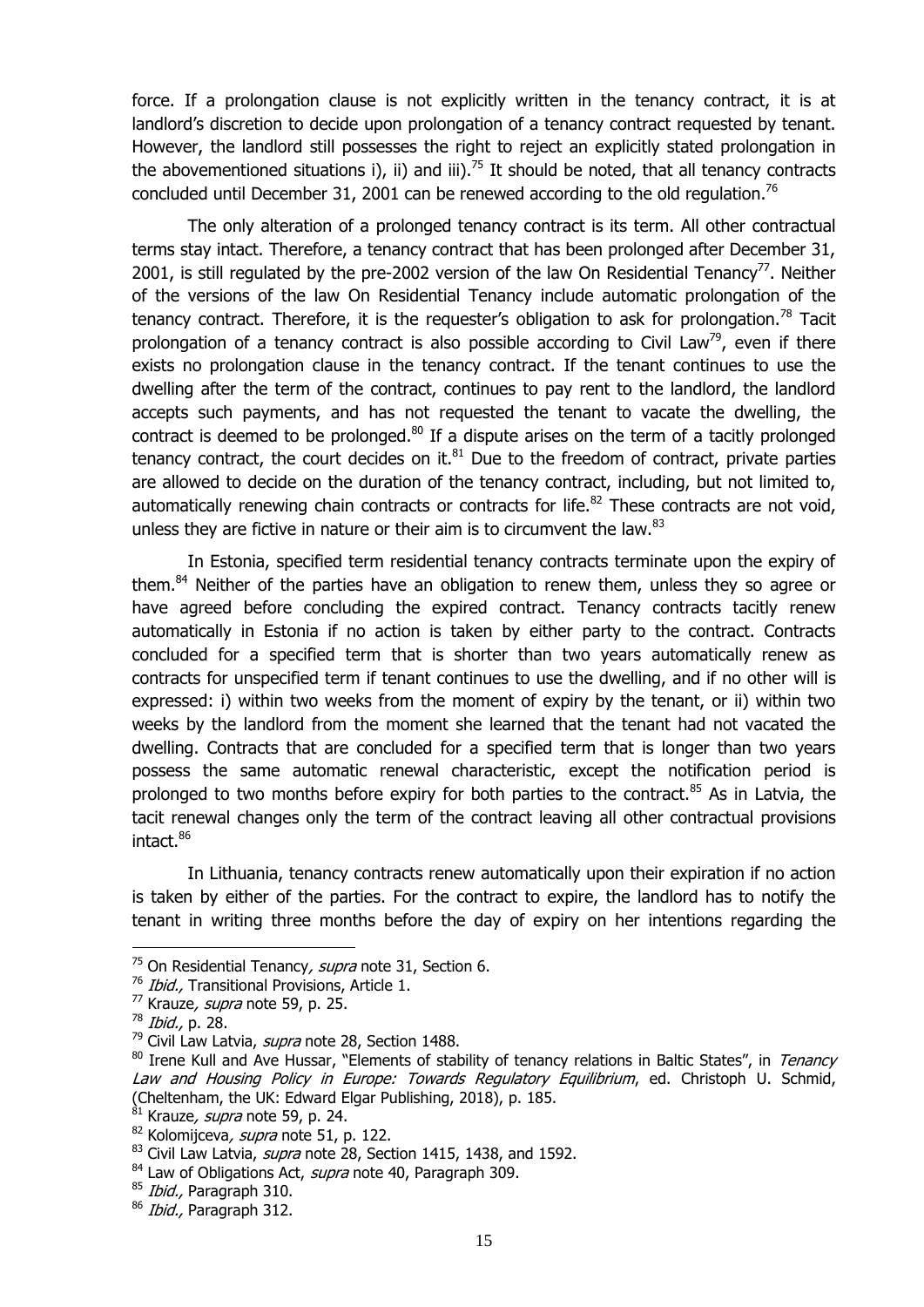force. If a prolongation clause is not explicitly written in the tenancy contract, it is at landlord's discretion to decide upon prolongation of a tenancy contract requested by tenant. However, the landlord still possesses the right to reject an explicitly stated prolongation in the abovementioned situations i), ii) and iii).<sup>75</sup> It should be noted, that all tenancy contracts concluded until December 31, 2001 can be renewed according to the old regulation.<sup>76</sup>

The only alteration of a prolonged tenancy contract is its term. All other contractual terms stay intact. Therefore, a tenancy contract that has been prolonged after December 31, 2001, is still regulated by the pre-2002 version of the law On Residential Tenancy<sup>77</sup>. Neither of the versions of the law On Residential Tenancy include automatic prolongation of the tenancy contract. Therefore, it is the requester's obligation to ask for prolongation.<sup>78</sup> Tacit prolongation of a tenancy contract is also possible according to Civil Law<sup>79</sup>, even if there exists no prolongation clause in the tenancy contract. If the tenant continues to use the dwelling after the term of the contract, continues to pay rent to the landlord, the landlord accepts such payments, and has not requested the tenant to vacate the dwelling, the contract is deemed to be prolonged. $80$  If a dispute arises on the term of a tacitly prolonged tenancy contract, the court decides on it. $81$  Due to the freedom of contract, private parties are allowed to decide on the duration of the tenancy contract, including, but not limited to, automatically renewing chain contracts or contracts for life.<sup>82</sup> These contracts are not void, unless they are fictive in nature or their aim is to circumvent the law.<sup>83</sup>

<span id="page-17-0"></span>In Estonia, specified term residential tenancy contracts terminate upon the expiry of them.<sup>84</sup> Neither of the parties have an obligation to renew them, unless they so agree or have agreed before concluding the expired contract. Tenancy contracts tacitly renew automatically in Estonia if no action is taken by either party to the contract. Contracts concluded for a specified term that is shorter than two years automatically renew as contracts for unspecified term if tenant continues to use the dwelling, and if no other will is expressed: i) within two weeks from the moment of expiry by the tenant, or ii) within two weeks by the landlord from the moment she learned that the tenant had not vacated the dwelling. Contracts that are concluded for a specified term that is longer than two years possess the same automatic renewal characteristic, except the notification period is prolonged to two months before expiry for both parties to the contract. $85$  As in Latvia, the tacit renewal changes only the term of the contract leaving all other contractual provisions intact.<sup>86</sup>

In Lithuania, tenancy contracts renew automatically upon their expiration if no action is taken by either of the parties. For the contract to expire, the landlord has to notify the tenant in writing three months before the day of expiry on her intentions regarding the

 $^{75}$  On Residential Tenancy, *supra* note [31,](#page-12-0) Section 6.

<sup>&</sup>lt;sup>76</sup> Ibid., Transitional Provisions, Article 1.

 $\frac{77}{77}$  Krauze, *supra* note [59,](#page-14-1) p. 25.

<sup>78</sup> *Ibid.*, p. 28.

<sup>&</sup>lt;sup>79</sup> Civil Law Latvia, *supra* note [28,](#page-11-2) Section 1488.

<sup>&</sup>lt;sup>80</sup> Irene Kull and Ave Hussar, "Elements of stability of tenancy relations in Baltic States", in Tenancy Law and Housing Policy in Europe: Towards Regulatory Equilibrium, ed. Christoph U. Schmid, (Cheltenham, the UK: Edward Elgar Publishing, 2018), p. 185.

 $81$  Krauze, *supra* note [59,](#page-14-1) p. 24.

<sup>82</sup> Kolomijceva, supra note [51,](#page-14-0) p. 122.

 $83$  Civil Law Latvia, *supra* note [28,](#page-11-2) Section 1415, 1438, and 1592.

<sup>&</sup>lt;sup>84</sup> Law of Obligations Act, *supra* note [40,](#page-12-1) Paragraph 309.

<sup>85</sup> Ibid., Paragraph 310.

<sup>&</sup>lt;sup>86</sup> Ibid., Paragraph 312.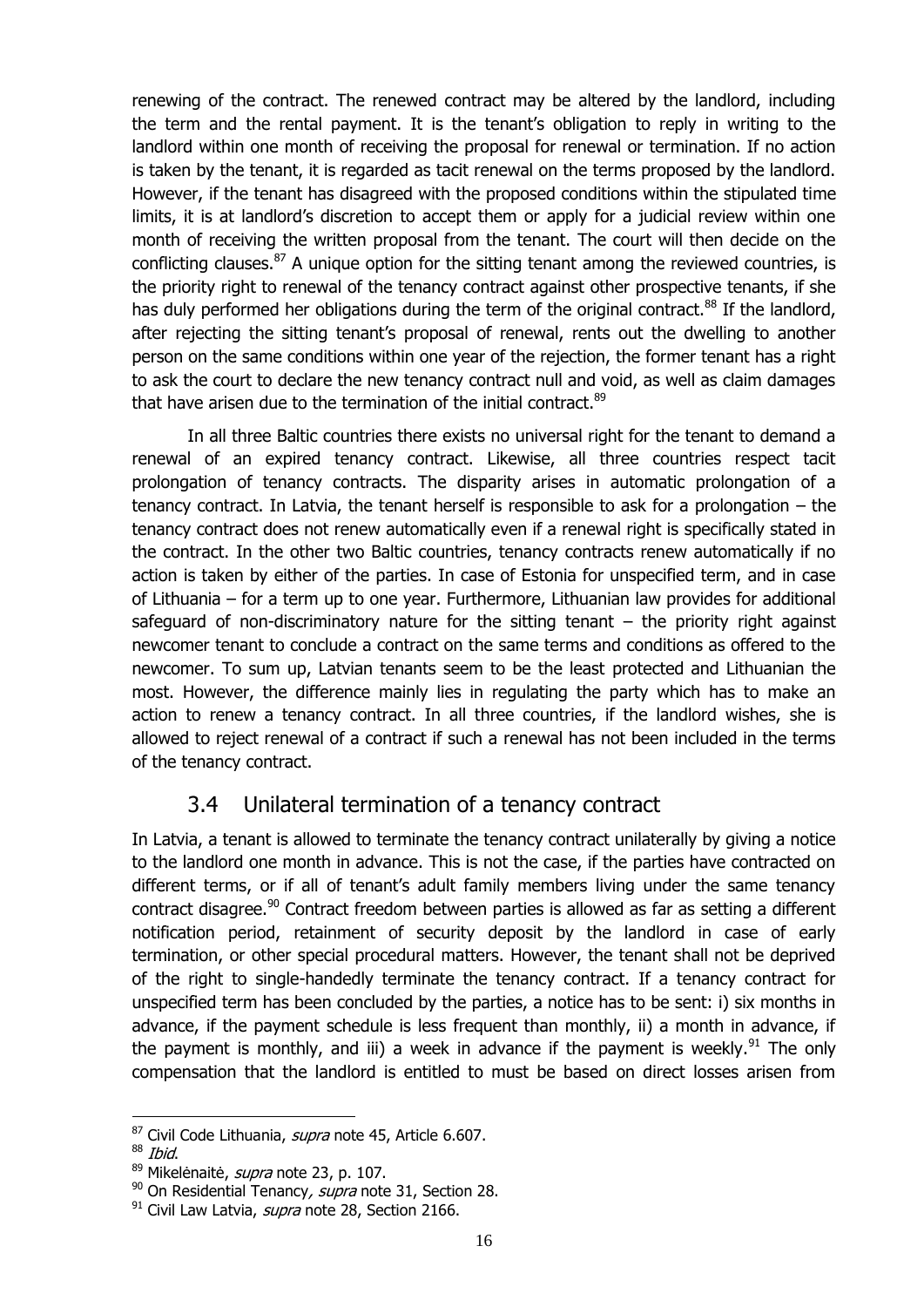renewing of the contract. The renewed contract may be altered by the landlord, including the term and the rental payment. It is the tenant's obligation to reply in writing to the landlord within one month of receiving the proposal for renewal or termination. If no action is taken by the tenant, it is regarded as tacit renewal on the terms proposed by the landlord. However, if the tenant has disagreed with the proposed conditions within the stipulated time limits, it is at landlord's discretion to accept them or apply for a judicial review within one month of receiving the written proposal from the tenant. The court will then decide on the conflicting clauses.<sup>87</sup> A unique option for the sitting tenant among the reviewed countries, is the priority right to renewal of the tenancy contract against other prospective tenants, if she has duly performed her obligations during the term of the original contract.<sup>88</sup> If the landlord, after rejecting the sitting tenant's proposal of renewal, rents out the dwelling to another person on the same conditions within one year of the rejection, the former tenant has a right to ask the court to declare the new tenancy contract null and void, as well as claim damages that have arisen due to the termination of the initial contract.<sup>89</sup>

In all three Baltic countries there exists no universal right for the tenant to demand a renewal of an expired tenancy contract. Likewise, all three countries respect tacit prolongation of tenancy contracts. The disparity arises in automatic prolongation of a tenancy contract. In Latvia, the tenant herself is responsible to ask for a prolongation – the tenancy contract does not renew automatically even if a renewal right is specifically stated in the contract. In the other two Baltic countries, tenancy contracts renew automatically if no action is taken by either of the parties. In case of Estonia for unspecified term, and in case of Lithuania – for a term up to one year. Furthermore, Lithuanian law provides for additional safeguard of non-discriminatory nature for the sitting tenant – the priority right against newcomer tenant to conclude a contract on the same terms and conditions as offered to the newcomer. To sum up, Latvian tenants seem to be the least protected and Lithuanian the most. However, the difference mainly lies in regulating the party which has to make an action to renew a tenancy contract. In all three countries, if the landlord wishes, she is allowed to reject renewal of a contract if such a renewal has not been included in the terms of the tenancy contract.

## 3.4 Unilateral termination of a tenancy contract

<span id="page-18-0"></span>In Latvia, a tenant is allowed to terminate the tenancy contract unilaterally by giving a notice to the landlord one month in advance. This is not the case, if the parties have contracted on different terms, or if all of tenant's adult family members living under the same tenancy contract disagree.<sup>90</sup> Contract freedom between parties is allowed as far as setting a different notification period, retainment of security deposit by the landlord in case of early termination, or other special procedural matters. However, the tenant shall not be deprived of the right to single-handedly terminate the tenancy contract. If a tenancy contract for unspecified term has been concluded by the parties, a notice has to be sent: i) six months in advance, if the payment schedule is less frequent than monthly, ii) a month in advance, if the payment is monthly, and iii) a week in advance if the payment is weekly.<sup>91</sup> The only compensation that the landlord is entitled to must be based on direct losses arisen from

<sup>&</sup>lt;u>.</u> 87 Civil Code Lithuania, supra note [45,](#page-13-1) Article 6.607.

 $88$  Ibid.

<sup>89</sup> Mikelėnaitė, *supra* note [23,](#page-10-2) p. 107.

 $90$  On Residential Tenancy, supra note [31,](#page-12-0) Section 28.

 $91$  Civil Law Latvia, *supra* note [28,](#page-11-2) Section 2166.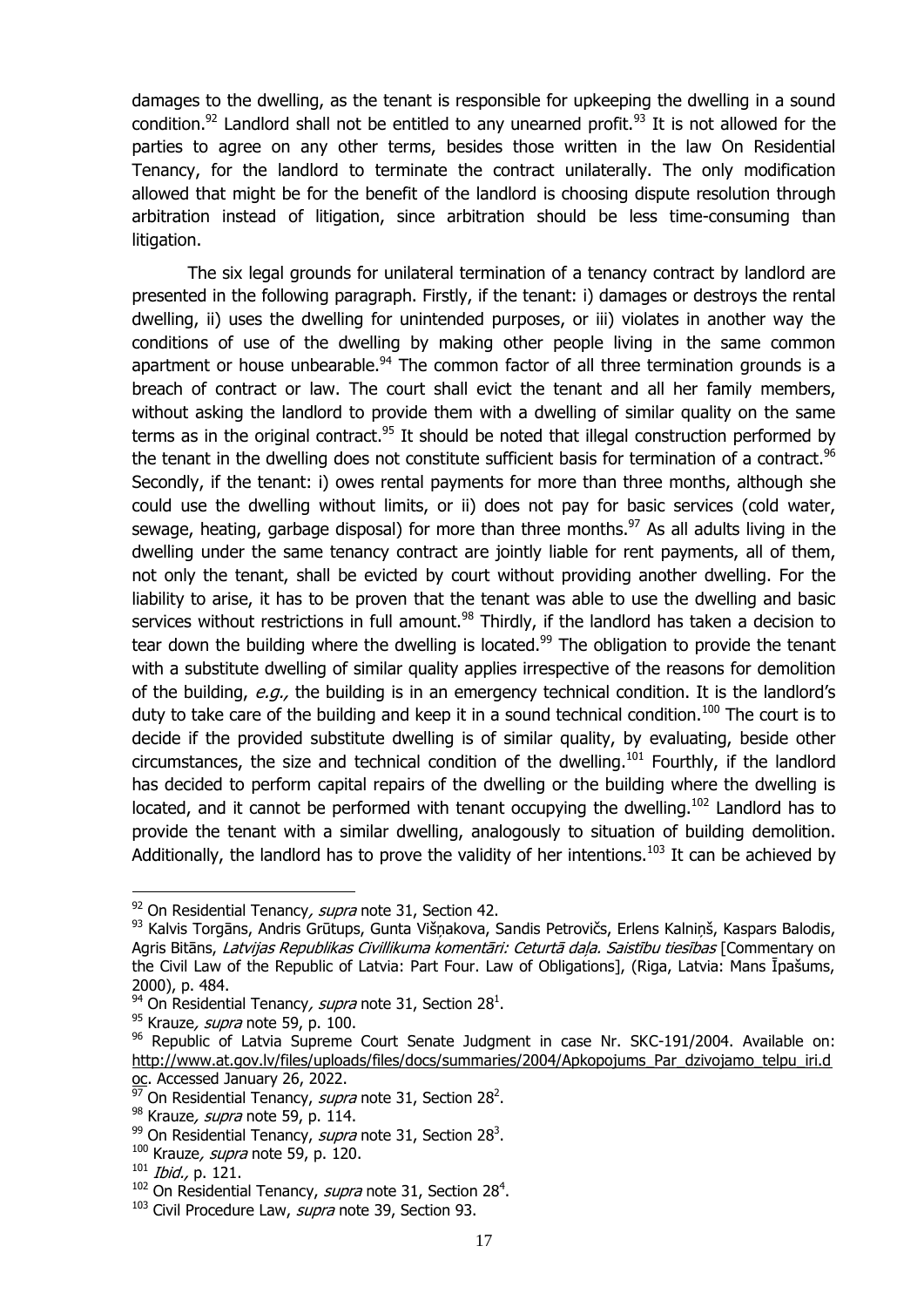damages to the dwelling, as the tenant is responsible for upkeeping the dwelling in a sound condition.<sup>92</sup> Landlord shall not be entitled to any unearned profit.<sup>93</sup> It is not allowed for the parties to agree on any other terms, besides those written in the law On Residential Tenancy, for the landlord to terminate the contract unilaterally. The only modification allowed that might be for the benefit of the landlord is choosing dispute resolution through arbitration instead of litigation, since arbitration should be less time-consuming than litigation.

<span id="page-19-0"></span>The six legal grounds for unilateral termination of a tenancy contract by landlord are presented in the following paragraph. Firstly, if the tenant: i) damages or destroys the rental dwelling, ii) uses the dwelling for unintended purposes, or iii) violates in another way the conditions of use of the dwelling by making other people living in the same common apartment or house unbearable. $94$  The common factor of all three termination grounds is a breach of contract or law. The court shall evict the tenant and all her family members, without asking the landlord to provide them with a dwelling of similar quality on the same terms as in the original contract. $95$  It should be noted that illegal construction performed by the tenant in the dwelling does not constitute sufficient basis for termination of a contract.<sup>96</sup> Secondly, if the tenant: i) owes rental payments for more than three months, although she could use the dwelling without limits, or ii) does not pay for basic services (cold water, sewage, heating, garbage disposal) for more than three months.<sup>97</sup> As all adults living in the dwelling under the same tenancy contract are jointly liable for rent payments, all of them, not only the tenant, shall be evicted by court without providing another dwelling. For the liability to arise, it has to be proven that the tenant was able to use the dwelling and basic services without restrictions in full amount.<sup>98</sup> Thirdly, if the landlord has taken a decision to tear down the building where the dwelling is located.<sup>99</sup> The obligation to provide the tenant with a substitute dwelling of similar quality applies irrespective of the reasons for demolition of the building, e.g., the building is in an emergency technical condition. It is the landlord's duty to take care of the building and keep it in a sound technical condition.<sup>100</sup> The court is to decide if the provided substitute dwelling is of similar quality, by evaluating, beside other circumstances, the size and technical condition of the dwelling.<sup>101</sup> Fourthly, if the landlord has decided to perform capital repairs of the dwelling or the building where the dwelling is located, and it cannot be performed with tenant occupying the dwelling.<sup>102</sup> Landlord has to provide the tenant with a similar dwelling, analogously to situation of building demolition. Additionally, the landlord has to prove the validity of her intentions.<sup>103</sup> It can be achieved by

 $92$  On Residential Tenancy, supra note [31,](#page-12-0) Section 42.

<sup>93</sup> Kalvis Torgāns, Andris Grūtups, Gunta Višņakova, Sandis Petrovičs, Erlens Kalniņš, Kaspars Balodis, Agris Bitāns, Latvijas Republikas Civillikuma komentāri: Ceturtā daļa. Saistību tiesības [Commentary on the Civil Law of the Republic of Latvia: Part Four. Law of Obligations], (Riga, Latvia: Mans Īpašums, 2000), p. 484.

<sup>&</sup>lt;sup>94</sup> On Residential Tenancy, supra note [31,](#page-12-0) Section 28<sup>1</sup>.

<sup>&</sup>lt;sup>95</sup> Krauze, *supra* note [59,](#page-14-1) p. 100.

 $96$  Republic of Latvia Supreme Court Senate Judgment in case Nr. SKC-191/2004. Available on: [http://www.at.gov.lv/files/uploads/files/docs/summaries/2004/Apkopojums\\_Par\\_dzivojamo\\_telpu\\_iri.d](http://www.at.gov.lv/files/uploads/files/docs/summaries/2004/Apkopojums_Par_dzivojamo_telpu_iri.doc) [oc.](http://www.at.gov.lv/files/uploads/files/docs/summaries/2004/Apkopojums_Par_dzivojamo_telpu_iri.doc) Accessed January 26, 2022.

<sup>&</sup>lt;sup>97</sup> On Residential Tenancy, *supra* note [31,](#page-12-0) Section 28<sup>2</sup>.

<sup>98</sup> Krauze, *supra* note [59,](#page-14-1) p. 114.

<sup>&</sup>lt;sup>99</sup> On Residential Tenancy, *supra* note [31,](#page-12-0) Section 28<sup>3</sup>.

 $100$  Krauze, *supra* note [59,](#page-14-1) p. 120.

<sup>101</sup> Ibid., p. 121.

<sup>&</sup>lt;sup>102</sup> On Residential Tenancy, *supra* note [31,](#page-12-0) Section 28<sup>4</sup>.

<sup>&</sup>lt;sup>103</sup> Civil Procedure Law, *supra* note [39,](#page-12-2) Section 93.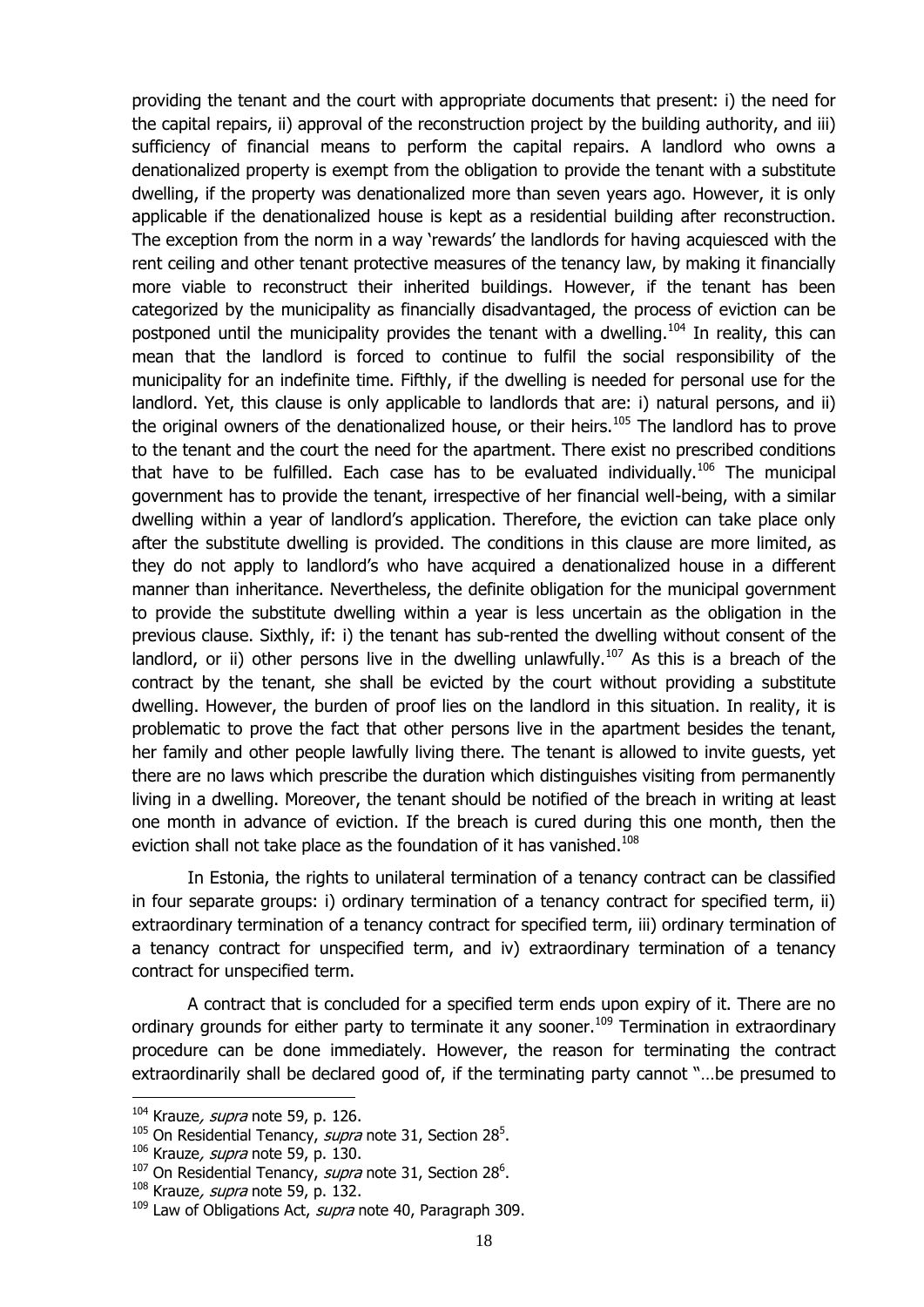providing the tenant and the court with appropriate documents that present: i) the need for the capital repairs, ii) approval of the reconstruction project by the building authority, and iii) sufficiency of financial means to perform the capital repairs. A landlord who owns a denationalized property is exempt from the obligation to provide the tenant with a substitute dwelling, if the property was denationalized more than seven years ago. However, it is only applicable if the denationalized house is kept as a residential building after reconstruction. The exception from the norm in a way 'rewards' the landlords for having acquiesced with the rent ceiling and other tenant protective measures of the tenancy law, by making it financially more viable to reconstruct their inherited buildings. However, if the tenant has been categorized by the municipality as financially disadvantaged, the process of eviction can be postponed until the municipality provides the tenant with a dwelling.<sup>104</sup> In reality, this can mean that the landlord is forced to continue to fulfil the social responsibility of the municipality for an indefinite time. Fifthly, if the dwelling is needed for personal use for the landlord. Yet, this clause is only applicable to landlords that are: i) natural persons, and ii) the original owners of the denationalized house, or their heirs.<sup>105</sup> The landlord has to prove to the tenant and the court the need for the apartment. There exist no prescribed conditions that have to be fulfilled. Each case has to be evaluated individually.<sup>106</sup> The municipal government has to provide the tenant, irrespective of her financial well-being, with a similar dwelling within a year of landlord's application. Therefore, the eviction can take place only after the substitute dwelling is provided. The conditions in this clause are more limited, as they do not apply to landlord's who have acquired a denationalized house in a different manner than inheritance. Nevertheless, the definite obligation for the municipal government to provide the substitute dwelling within a year is less uncertain as the obligation in the previous clause. Sixthly, if: i) the tenant has sub-rented the dwelling without consent of the landlord, or ii) other persons live in the dwelling unlawfully.<sup>107</sup> As this is a breach of the contract by the tenant, she shall be evicted by the court without providing a substitute dwelling. However, the burden of proof lies on the landlord in this situation. In reality, it is problematic to prove the fact that other persons live in the apartment besides the tenant, her family and other people lawfully living there. The tenant is allowed to invite guests, yet there are no laws which prescribe the duration which distinguishes visiting from permanently living in a dwelling. Moreover, the tenant should be notified of the breach in writing at least one month in advance of eviction. If the breach is cured during this one month, then the eviction shall not take place as the foundation of it has vanished.<sup>108</sup>

In Estonia, the rights to unilateral termination of a tenancy contract can be classified in four separate groups: i) ordinary termination of a tenancy contract for specified term, ii) extraordinary termination of a tenancy contract for specified term, iii) ordinary termination of a tenancy contract for unspecified term, and iv) extraordinary termination of a tenancy contract for unspecified term.

A contract that is concluded for a specified term ends upon expiry of it. There are no ordinary grounds for either party to terminate it any sooner.<sup>109</sup> Termination in extraordinary procedure can be done immediately. However, the reason for terminating the contract extraordinarily shall be declared good of, if the terminating party cannot "…be presumed to

 $104$  Krauze, *supra* note [59,](#page-14-1) p. 126.

<sup>&</sup>lt;sup>105</sup> On Residential Tenancy, *supra* note [31,](#page-12-0) Section 28<sup>5</sup>.

 $106$  Krauze, *supra* note [59,](#page-14-1) p. 130.

<sup>&</sup>lt;sup>107</sup> On Residential Tenancy, *supra* note [31,](#page-12-0) Section 28<sup>6</sup>.

 $108$  Krauze, *supra* note [59,](#page-14-1) p. 132.

<sup>&</sup>lt;sup>109</sup> Law of Obligations Act, *supra* note [40,](#page-12-1) Paragraph 309.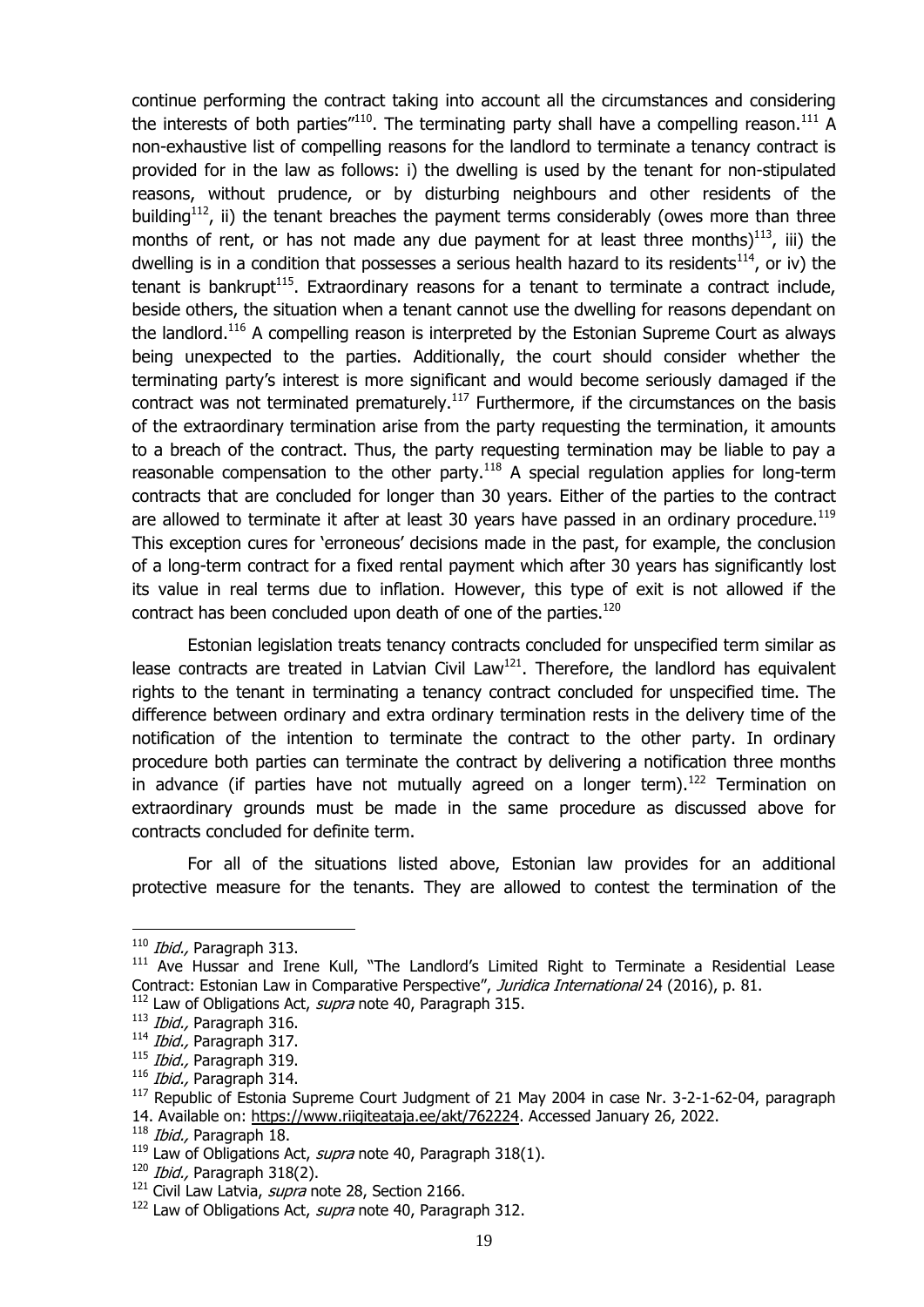continue performing the contract taking into account all the circumstances and considering the interests of both parties"<sup>110</sup>. The terminating party shall have a compelling reason.<sup>111</sup> A non-exhaustive list of compelling reasons for the landlord to terminate a tenancy contract is provided for in the law as follows: i) the dwelling is used by the tenant for non-stipulated reasons, without prudence, or by disturbing neighbours and other residents of the building<sup>112</sup>, ii) the tenant breaches the payment terms considerably (owes more than three months of rent, or has not made any due payment for at least three months) $^{113}$ , iii) the dwelling is in a condition that possesses a serious health hazard to its residents<sup>114</sup>, or iv) the tenant is bankrupt<sup>115</sup>. Extraordinary reasons for a tenant to terminate a contract include, beside others, the situation when a tenant cannot use the dwelling for reasons dependant on the landlord.<sup>116</sup> A compelling reason is interpreted by the Estonian Supreme Court as always being unexpected to the parties. Additionally, the court should consider whether the terminating party's interest is more significant and would become seriously damaged if the contract was not terminated prematurely.<sup>117</sup> Furthermore, if the circumstances on the basis of the extraordinary termination arise from the party requesting the termination, it amounts to a breach of the contract. Thus, the party requesting termination may be liable to pay a reasonable compensation to the other party.<sup>118</sup> A special regulation applies for long-term contracts that are concluded for longer than 30 years. Either of the parties to the contract are allowed to terminate it after at least 30 years have passed in an ordinary procedure.<sup>119</sup> This exception cures for 'erroneous' decisions made in the past, for example, the conclusion of a long-term contract for a fixed rental payment which after 30 years has significantly lost its value in real terms due to inflation. However, this type of exit is not allowed if the contract has been concluded upon death of one of the parties.<sup>120</sup>

Estonian legislation treats tenancy contracts concluded for unspecified term similar as lease contracts are treated in Latvian Civil Law<sup>121</sup>. Therefore, the landlord has equivalent rights to the tenant in terminating a tenancy contract concluded for unspecified time. The difference between ordinary and extra ordinary termination rests in the delivery time of the notification of the intention to terminate the contract to the other party. In ordinary procedure both parties can terminate the contract by delivering a notification three months in advance (if parties have not mutually agreed on a longer term).<sup>122</sup> Termination on extraordinary grounds must be made in the same procedure as discussed above for contracts concluded for definite term.

For all of the situations listed above, Estonian law provides for an additional protective measure for the tenants. They are allowed to contest the termination of the

 $110$  *Ibid.*, Paragraph 313.

<sup>&</sup>lt;sup>111</sup> Ave Hussar and Irene Kull, "The Landlord's Limited Right to Terminate a Residential Lease Contract: Estonian Law in Comparative Perspective", Juridica International 24 (2016), p. 81.

<sup>&</sup>lt;sup>112</sup> Law of Obligations Act, *supra* note [40,](#page-12-1) Paragraph 315.

<sup>113</sup> Ibid., Paragraph 316.

<sup>&</sup>lt;sup>114</sup> Ibid., Paragraph 317.

<sup>&</sup>lt;sup>115</sup> Ibid., Paragraph 319.

<sup>116</sup> Ibid., Paragraph 314.

<sup>&</sup>lt;sup>117</sup> Republic of Estonia Supreme Court Judgment of 21 May 2004 in case Nr. 3-2-1-62-04, paragraph 14. Available on: [https://www.riigiteataja.ee/akt/762224.](https://www.riigiteataja.ee/akt/762224) Accessed January 26, 2022.

<sup>&</sup>lt;sup>118</sup> Ibid., Paragraph 18.

 $^{119}$  Law of Obligations Act, *supra* note [40,](#page-12-1) Paragraph 318(1).

<sup>120</sup> Ibid., Paragraph 318(2).

 $121$  Civil Law Latvia, *supra* note [28,](#page-11-2) Section 2166.

<sup>&</sup>lt;sup>122</sup> Law of Obligations Act, *supra* note [40,](#page-12-1) Paragraph 312.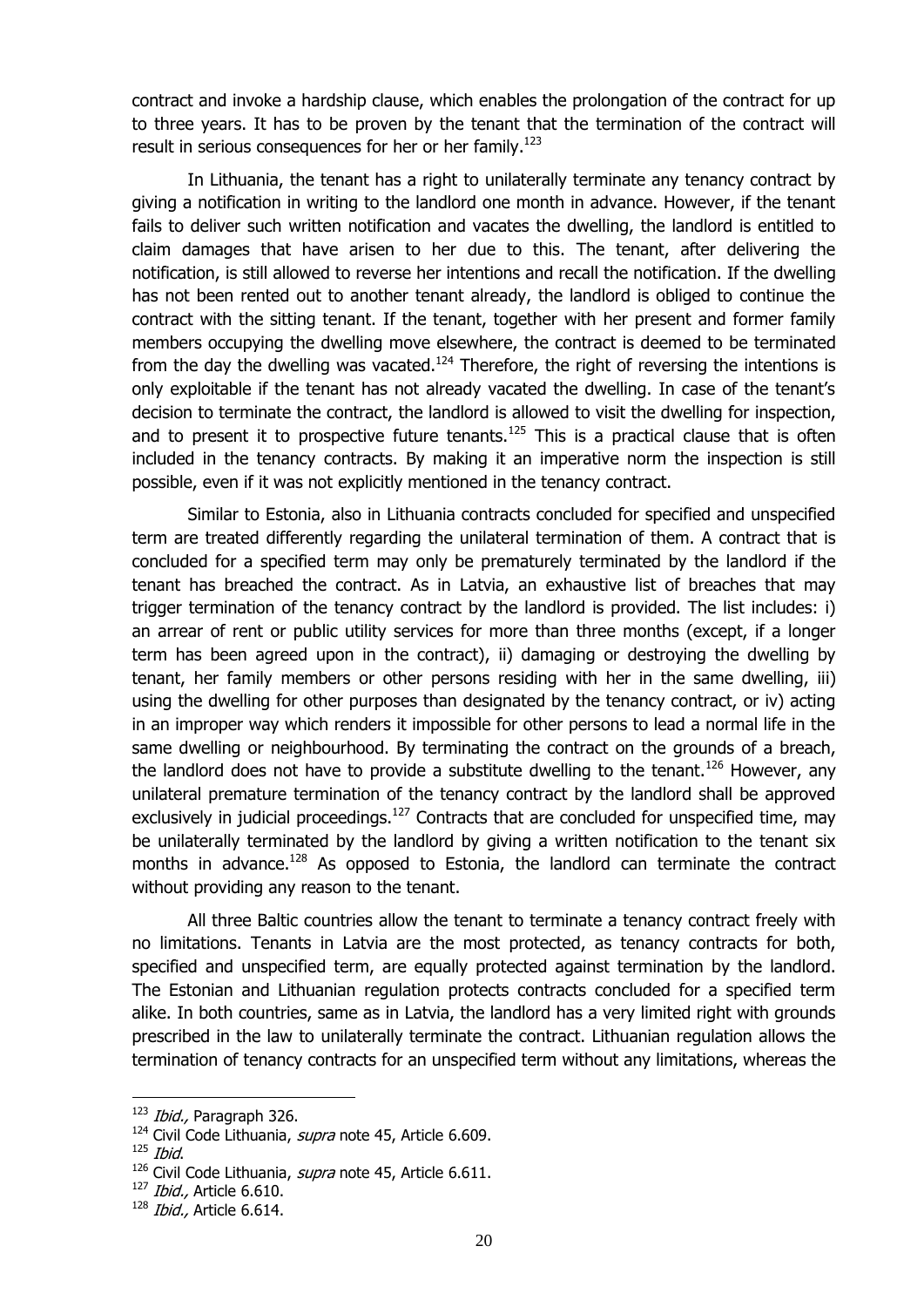contract and invoke a hardship clause, which enables the prolongation of the contract for up to three years. It has to be proven by the tenant that the termination of the contract will result in serious consequences for her or her family.<sup>123</sup>

In Lithuania, the tenant has a right to unilaterally terminate any tenancy contract by giving a notification in writing to the landlord one month in advance. However, if the tenant fails to deliver such written notification and vacates the dwelling, the landlord is entitled to claim damages that have arisen to her due to this. The tenant, after delivering the notification, is still allowed to reverse her intentions and recall the notification. If the dwelling has not been rented out to another tenant already, the landlord is obliged to continue the contract with the sitting tenant. If the tenant, together with her present and former family members occupying the dwelling move elsewhere, the contract is deemed to be terminated from the day the dwelling was vacated.<sup>124</sup> Therefore, the right of reversing the intentions is only exploitable if the tenant has not already vacated the dwelling. In case of the tenant's decision to terminate the contract, the landlord is allowed to visit the dwelling for inspection, and to present it to prospective future tenants.<sup>125</sup> This is a practical clause that is often included in the tenancy contracts. By making it an imperative norm the inspection is still possible, even if it was not explicitly mentioned in the tenancy contract.

Similar to Estonia, also in Lithuania contracts concluded for specified and unspecified term are treated differently regarding the unilateral termination of them. A contract that is concluded for a specified term may only be prematurely terminated by the landlord if the tenant has breached the contract. As in Latvia, an exhaustive list of breaches that may trigger termination of the tenancy contract by the landlord is provided. The list includes: i) an arrear of rent or public utility services for more than three months (except, if a longer term has been agreed upon in the contract), ii) damaging or destroying the dwelling by tenant, her family members or other persons residing with her in the same dwelling, iii) using the dwelling for other purposes than designated by the tenancy contract, or iv) acting in an improper way which renders it impossible for other persons to lead a normal life in the same dwelling or neighbourhood. By terminating the contract on the grounds of a breach, the landlord does not have to provide a substitute dwelling to the tenant.<sup>126</sup> However, any unilateral premature termination of the tenancy contract by the landlord shall be approved exclusively in judicial proceedings.<sup>127</sup> Contracts that are concluded for unspecified time, may be unilaterally terminated by the landlord by giving a written notification to the tenant six months in advance.<sup>128</sup> As opposed to Estonia, the landlord can terminate the contract without providing any reason to the tenant.

All three Baltic countries allow the tenant to terminate a tenancy contract freely with no limitations. Tenants in Latvia are the most protected, as tenancy contracts for both, specified and unspecified term, are equally protected against termination by the landlord. The Estonian and Lithuanian regulation protects contracts concluded for a specified term alike. In both countries, same as in Latvia, the landlord has a very limited right with grounds prescribed in the law to unilaterally terminate the contract. Lithuanian regulation allows the termination of tenancy contracts for an unspecified term without any limitations, whereas the

<sup>&</sup>lt;sup>123</sup> Ibid., Paragraph 326.

<sup>&</sup>lt;sup>124</sup> Civil Code Lithuania, *supra* note [45,](#page-13-1) Article 6.609.

 $125$  *Ibid.* 

<sup>&</sup>lt;sup>126</sup> Civil Code Lithuania, *supra* note [45,](#page-13-1) Article 6.611.

 $127$  *Ibid.*, Article 6.610.

 $128$  *Ibid.*, Article 6.614.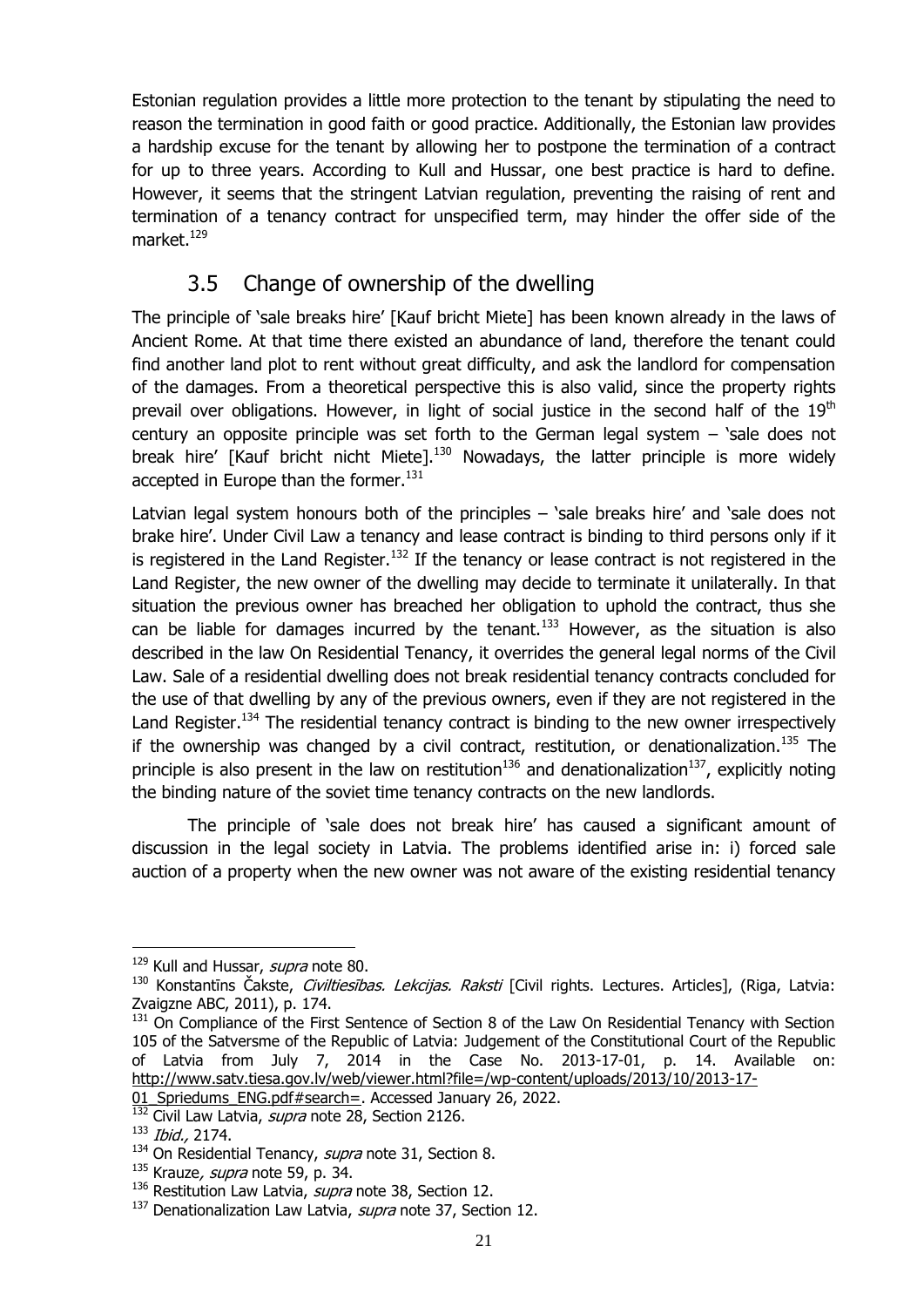Estonian regulation provides a little more protection to the tenant by stipulating the need to reason the termination in good faith or good practice. Additionally, the Estonian law provides a hardship excuse for the tenant by allowing her to postpone the termination of a contract for up to three years. According to Kull and Hussar, one best practice is hard to define. However, it seems that the stringent Latvian regulation, preventing the raising of rent and termination of a tenancy contract for unspecified term, may hinder the offer side of the market. $129$ 

## 3.5 Change of ownership of the dwelling

<span id="page-23-0"></span>The principle of 'sale breaks hire' [Kauf bricht Miete] has been known already in the laws of Ancient Rome. At that time there existed an abundance of land, therefore the tenant could find another land plot to rent without great difficulty, and ask the landlord for compensation of the damages. From a theoretical perspective this is also valid, since the property rights prevail over obligations. However, in light of social justice in the second half of the  $19<sup>th</sup>$ century an opposite principle was set forth to the German legal system – 'sale does not break hire' [Kauf bricht nicht Miete].<sup>130</sup> Nowadays, the latter principle is more widely accepted in Europe than the former.<sup>131</sup>

<span id="page-23-1"></span>Latvian legal system honours both of the principles – 'sale breaks hire' and 'sale does not brake hire'. Under Civil Law a tenancy and lease contract is binding to third persons only if it is registered in the Land Register.<sup>132</sup> If the tenancy or lease contract is not registered in the Land Register, the new owner of the dwelling may decide to terminate it unilaterally. In that situation the previous owner has breached her obligation to uphold the contract, thus she can be liable for damages incurred by the tenant.<sup>133</sup> However, as the situation is also described in the law On Residential Tenancy, it overrides the general legal norms of the Civil Law. Sale of a residential dwelling does not break residential tenancy contracts concluded for the use of that dwelling by any of the previous owners, even if they are not registered in the Land Register.<sup>134</sup> The residential tenancy contract is binding to the new owner irrespectively if the ownership was changed by a civil contract, restitution, or denationalization.<sup>135</sup> The principle is also present in the law on restitution<sup>136</sup> and denationalization<sup>137</sup>, explicitly noting the binding nature of the soviet time tenancy contracts on the new landlords.

The principle of 'sale does not break hire' has caused a significant amount of discussion in the legal society in Latvia. The problems identified arise in: i) forced sale auction of a property when the new owner was not aware of the existing residential tenancy

<sup>&</sup>lt;sup>129</sup> Kull and Hussar, *supra* note [80.](#page-17-0)

<sup>130</sup> Konstantīns Čakste, Civiltiesības. Lekcijas. Raksti [Civil rights. Lectures. Articles], (Riga, Latvia: Zvaigzne ABC, 2011), p. 174.

<sup>131</sup> On Compliance of the First Sentence of Section 8 of the Law On Residential Tenancy with Section 105 of the Satversme of the Republic of Latvia: Judgement of the Constitutional Court of the Republic of Latvia from July 7, 2014 in the Case No. 2013-17-01, p. 14. Available on: [http://www.satv.tiesa.gov.lv/web/viewer.html?file=/wp-content/uploads/2013/10/2013-17-](http://www.satv.tiesa.gov.lv/web/viewer.html?file=/wp-content/uploads/2013/10/2013-17-01_Spriedums_ENG.pdf#search=)

<sup>01</sup> Spriedums ENG.pdf#search=. Accessed January 26, 2022.

Civil Law Latvia, supra note [28,](#page-11-2) Section 2126.

<sup>133</sup> Ibid., 2174.

<sup>&</sup>lt;sup>134</sup> On Residential Tenancy, *supra* note [31,](#page-12-0) Section 8.

 $135$  Krauze, *supra* note [59,](#page-14-1) p. 34.

<sup>&</sup>lt;sup>136</sup> Restitution Law Latvia, *supra* note [38,](#page-12-3) Section 12.

<sup>&</sup>lt;sup>137</sup> Denationalization Law Latvia, *supra* note [37,](#page-12-4) Section 12.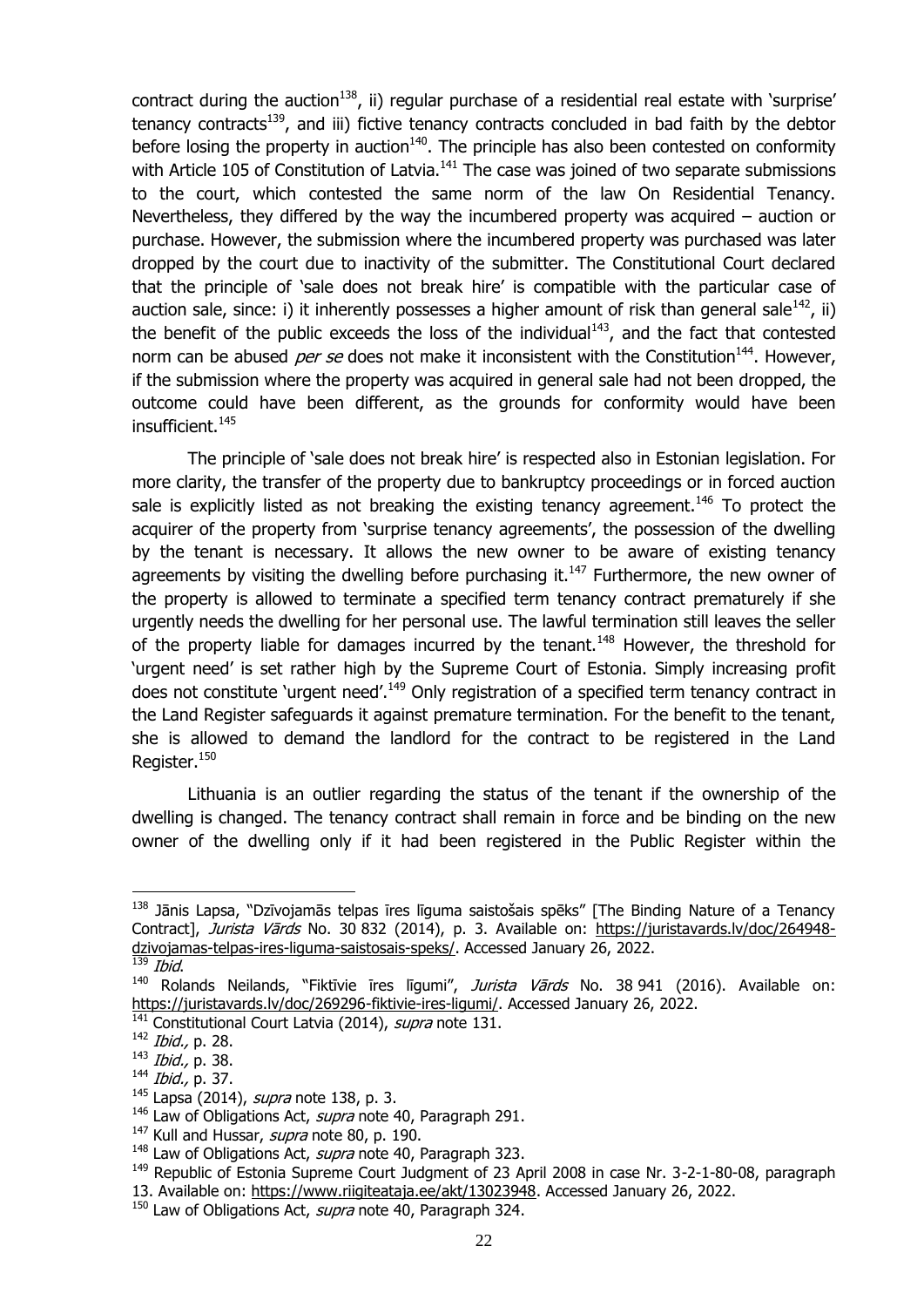<span id="page-24-0"></span>contract during the auction<sup>138</sup>, ii) regular purchase of a residential real estate with 'surprise' tenancy contracts<sup>139</sup>, and iii) fictive tenancy contracts concluded in bad faith by the debtor before losing the property in auction $140$ . The principle has also been contested on conformity with Article 105 of Constitution of Latvia.<sup>141</sup> The case was joined of two separate submissions to the court, which contested the same norm of the law On Residential Tenancy. Nevertheless, they differed by the way the incumbered property was acquired – auction or purchase. However, the submission where the incumbered property was purchased was later dropped by the court due to inactivity of the submitter. The Constitutional Court declared that the principle of 'sale does not break hire' is compatible with the particular case of auction sale, since: i) it inherently possesses a higher amount of risk than general sale<sup>142</sup>, ii) the benefit of the public exceeds the loss of the individual $143$ , and the fact that contested norm can be abused *per se* does not make it inconsistent with the Constitution<sup>144</sup>. However, if the submission where the property was acquired in general sale had not been dropped, the outcome could have been different, as the grounds for conformity would have been insufficient.<sup>145</sup>

The principle of 'sale does not break hire' is respected also in Estonian legislation. For more clarity, the transfer of the property due to bankruptcy proceedings or in forced auction sale is explicitly listed as not breaking the existing tenancy agreement.<sup>146</sup> To protect the acquirer of the property from 'surprise tenancy agreements', the possession of the dwelling by the tenant is necessary. It allows the new owner to be aware of existing tenancy agreements by visiting the dwelling before purchasing it. $147$  Furthermore, the new owner of the property is allowed to terminate a specified term tenancy contract prematurely if she urgently needs the dwelling for her personal use. The lawful termination still leaves the seller of the property liable for damages incurred by the tenant.<sup>148</sup> However, the threshold for 'urgent need' is set rather high by the Supreme Court of Estonia. Simply increasing profit does not constitute 'urgent need'.<sup>149</sup> Only registration of a specified term tenancy contract in the Land Register safeguards it against premature termination. For the benefit to the tenant, she is allowed to demand the landlord for the contract to be registered in the Land Register.<sup>150</sup>

Lithuania is an outlier regarding the status of the tenant if the ownership of the dwelling is changed. The tenancy contract shall remain in force and be binding on the new owner of the dwelling only if it had been registered in the Public Register within the

<sup>&</sup>lt;sup>138</sup> Jānis Lapsa, "Dzīvojamās telpas īres līguma saistošais spēks" [The Binding Nature of a Tenancy Contract], Jurista Vārds No. 30 832 (2014), p. 3. Available on: [https://juristavards.lv/doc/264948](https://juristavards.lv/doc/264948-dzivojamas-telpas-ires-liguma-saistosais-speks/) [dzivojamas-telpas-ires-liguma-saistosais-speks/.](https://juristavards.lv/doc/264948-dzivojamas-telpas-ires-liguma-saistosais-speks/) Accessed January 26, 2022.

Ibid.

 $140$  Rolands Neilands, "Fiktīvie īres līgumi", *Jurista Vārds* No. 38 941 (2016). Available on: [https://juristavards.lv/doc/269296-fiktivie-ires-ligumi/.](https://juristavards.lv/doc/269296-fiktivie-ires-ligumi/) Accessed January 26, 2022.

 $\frac{141}{141}$  Constitutional Court Latvia (2014), *supra* note [131.](#page-23-1)

<sup>&</sup>lt;sup>142</sup> *Ibid.*, p. 28.

<sup>143</sup> Ibid., p. 38.

<sup>144</sup> *Ibid.*, p. 37.

 $145$  Lapsa (2014), *supra* note [138,](#page-24-0) p. 3.

 $146$  Law of Obligations Act, *supra* note [40,](#page-12-1) Paragraph 291.

 $147$  Kull and Hussar, *supra* note [80,](#page-17-0) p. 190.

 $148$  Law of Obligations Act, *supra* note [40,](#page-12-1) Paragraph 323.

<sup>&</sup>lt;sup>149</sup> Republic of Estonia Supreme Court Judgment of 23 April 2008 in case Nr. 3-2-1-80-08, paragraph 13. Available on: [https://www.riigiteataja.ee/akt/13023948.](https://www.riigiteataja.ee/akt/13023948) Accessed January 26, 2022.

<sup>&</sup>lt;sup>150</sup> Law of Obligations Act, *supra* note [40,](#page-12-1) Paragraph 324.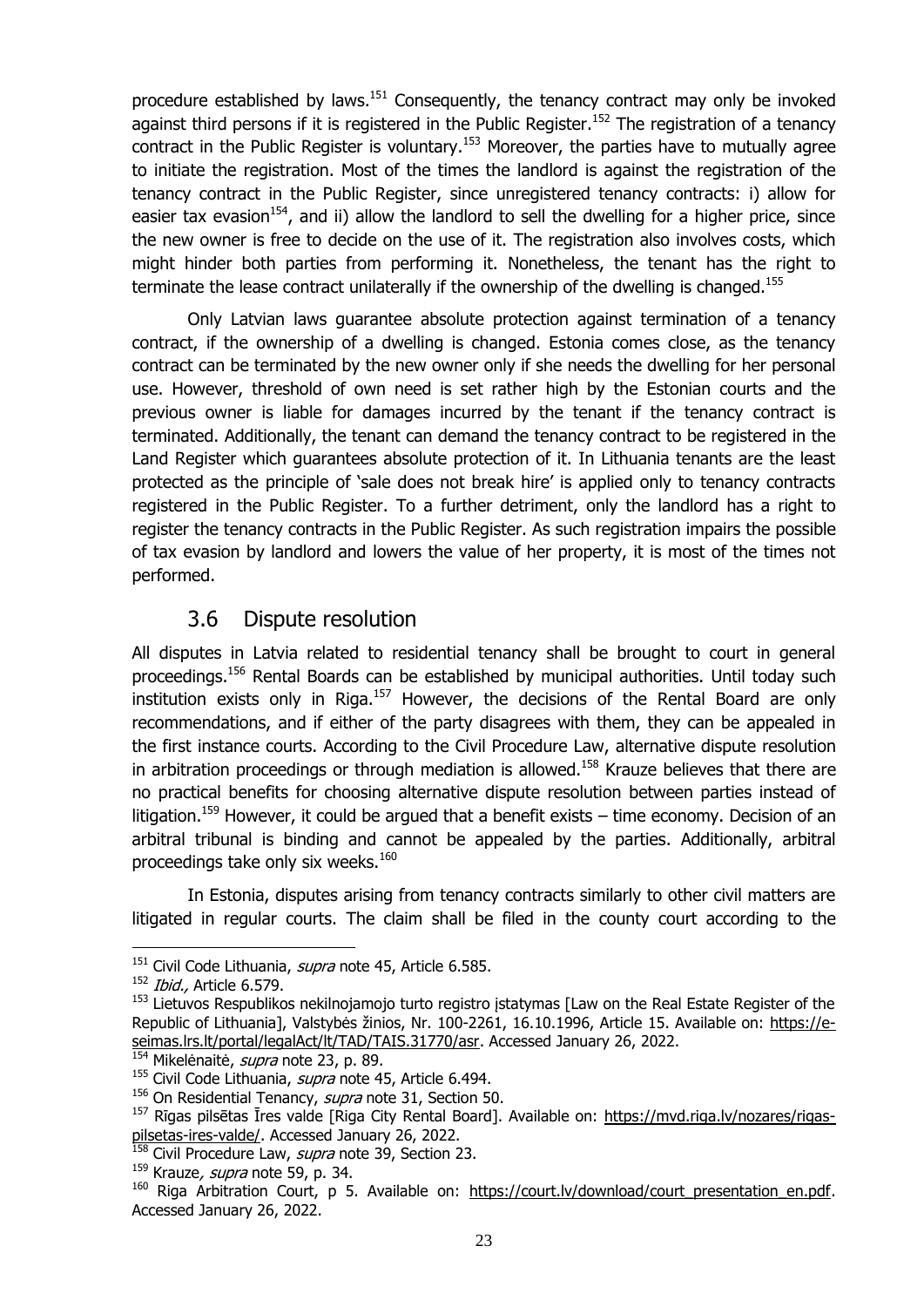procedure established by laws.<sup>151</sup> Consequently, the tenancy contract may only be invoked against third persons if it is registered in the Public Register.<sup>152</sup> The registration of a tenancy contract in the Public Register is voluntary.<sup>153</sup> Moreover, the parties have to mutually agree to initiate the registration. Most of the times the landlord is against the registration of the tenancy contract in the Public Register, since unregistered tenancy contracts: i) allow for easier tax evasion<sup>154</sup>, and ii) allow the landlord to sell the dwelling for a higher price, since the new owner is free to decide on the use of it. The registration also involves costs, which might hinder both parties from performing it. Nonetheless, the tenant has the right to terminate the lease contract unilaterally if the ownership of the dwelling is changed.<sup>155</sup>

Only Latvian laws guarantee absolute protection against termination of a tenancy contract, if the ownership of a dwelling is changed. Estonia comes close, as the tenancy contract can be terminated by the new owner only if she needs the dwelling for her personal use. However, threshold of own need is set rather high by the Estonian courts and the previous owner is liable for damages incurred by the tenant if the tenancy contract is terminated. Additionally, the tenant can demand the tenancy contract to be registered in the Land Register which guarantees absolute protection of it. In Lithuania tenants are the least protected as the principle of 'sale does not break hire' is applied only to tenancy contracts registered in the Public Register. To a further detriment, only the landlord has a right to register the tenancy contracts in the Public Register. As such registration impairs the possible of tax evasion by landlord and lowers the value of her property, it is most of the times not performed.

## 3.6 Dispute resolution

<span id="page-25-0"></span>All disputes in Latvia related to residential tenancy shall be brought to court in general proceedings.<sup>156</sup> Rental Boards can be established by municipal authorities. Until today such institution exists only in Riga. $157$  However, the decisions of the Rental Board are only recommendations, and if either of the party disagrees with them, they can be appealed in the first instance courts. According to the Civil Procedure Law, alternative dispute resolution in arbitration proceedings or through mediation is allowed.<sup>158</sup> Krauze believes that there are no practical benefits for choosing alternative dispute resolution between parties instead of litigation.<sup>159</sup> However, it could be argued that a benefit exists – time economy. Decision of an arbitral tribunal is binding and cannot be appealed by the parties. Additionally, arbitral proceedings take only six weeks. $160$ 

In Estonia, disputes arising from tenancy contracts similarly to other civil matters are litigated in regular courts. The claim shall be filed in the county court according to the

<sup>&</sup>lt;sup>151</sup> Civil Code Lithuania, *supra* note [45,](#page-13-1) Article 6.585.

 $152$  *Ibid.*, Article 6.579.

<sup>153</sup> Lietuvos Respublikos nekilnojamojo turto registro įstatymas [Law on the Real Estate Register of the Republic of Lithuania], Valstybės žinios, Nr. 100-2261, 16.10.1996, Article 15. Available on: [https://e](https://e-seimas.lrs.lt/portal/legalAct/lt/TAD/TAIS.31770/asr)[seimas.lrs.lt/portal/legalAct/lt/TAD/TAIS.31770/asr.](https://e-seimas.lrs.lt/portal/legalAct/lt/TAD/TAIS.31770/asr) Accessed January 26, 2022.

<sup>&</sup>lt;sup>154</sup> Mikelėnaitė, *supra* note [23,](#page-10-2) p. 89.

<sup>&</sup>lt;sup>155</sup> Civil Code Lithuania, *supra* note [45,](#page-13-1) Article 6.494.

<sup>&</sup>lt;sup>156</sup> On Residential Tenancy, *supra* note [31,](#page-12-0) Section 50.

<sup>&</sup>lt;sup>157</sup> Rīgas pilsētas Īres valde [Riga City Rental Board]. Available on: [https://mvd.riga.lv/nozares/rigas](https://mvd.riga.lv/nozares/rigas-pilsetas-ires-valde/)[pilsetas-ires-valde/.](https://mvd.riga.lv/nozares/rigas-pilsetas-ires-valde/) Accessed January 26, 2022.

<sup>&</sup>lt;sup>158</sup> Civil Procedure Law, *supra* note [39,](#page-12-2) Section 23.

 $159$  Krauze, *supra* note [59,](#page-14-1) p. 34.

<sup>&</sup>lt;sup>160</sup> Riga Arbitration Court, p 5. Available on: [https://court.lv/download/court\\_presentation\\_en.pdf.](https://court.lv/download/court_presentation_en.pdf) Accessed January 26, 2022.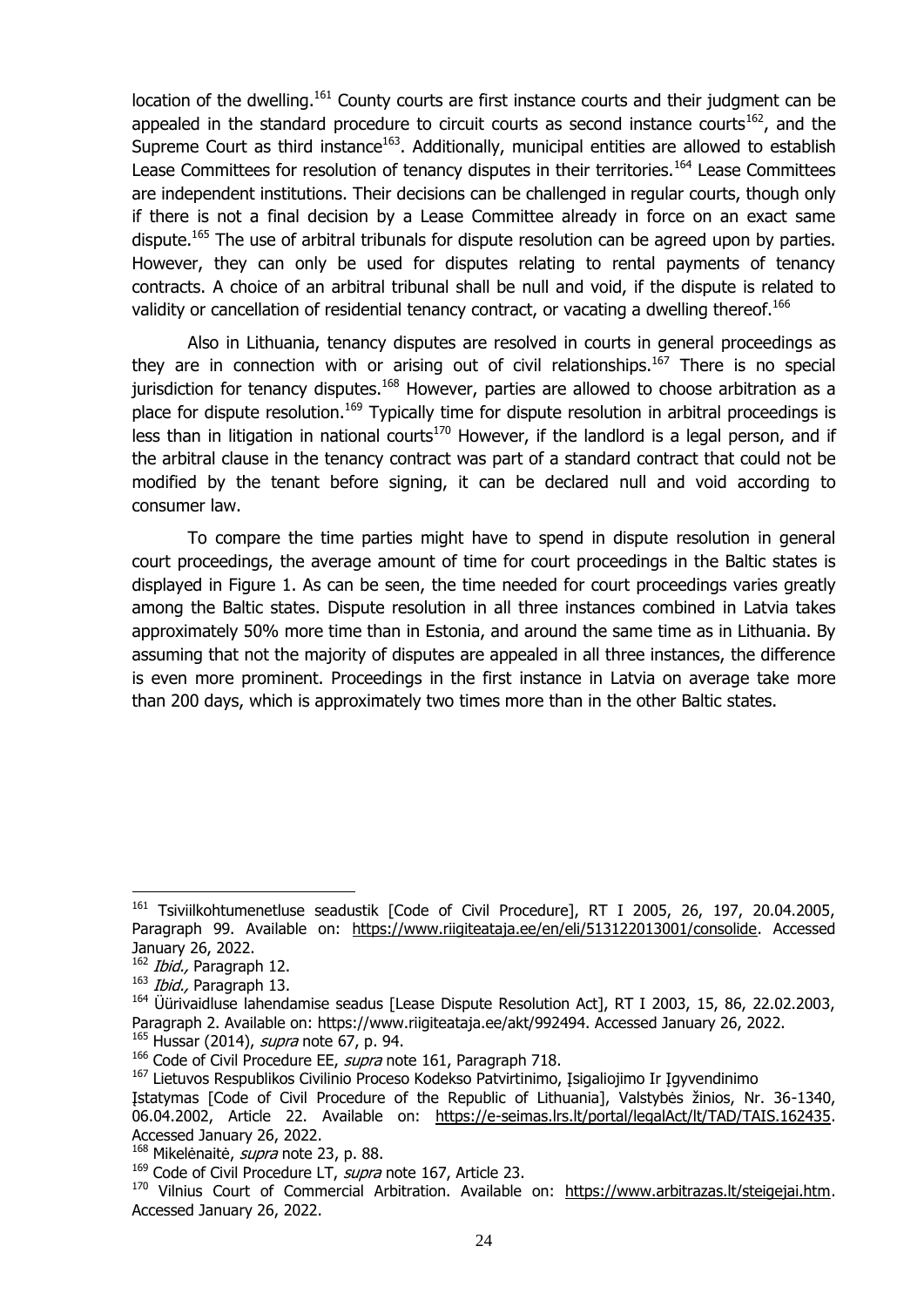<span id="page-26-0"></span>location of the dwelling.<sup>161</sup> County courts are first instance courts and their judgment can be appealed in the standard procedure to circuit courts as second instance courts<sup>162</sup>, and the Supreme Court as third instance $163$ . Additionally, municipal entities are allowed to establish Lease Committees for resolution of tenancy disputes in their territories.<sup>164</sup> Lease Committees are independent institutions. Their decisions can be challenged in regular courts, though only if there is not a final decision by a Lease Committee already in force on an exact same dispute.<sup>165</sup> The use of arbitral tribunals for dispute resolution can be agreed upon by parties. However, they can only be used for disputes relating to rental payments of tenancy contracts. A choice of an arbitral tribunal shall be null and void, if the dispute is related to validity or cancellation of residential tenancy contract, or vacating a dwelling thereof.<sup>166</sup>

<span id="page-26-1"></span>Also in Lithuania, tenancy disputes are resolved in courts in general proceedings as they are in connection with or arising out of civil relationships.<sup>167</sup> There is no special jurisdiction for tenancy disputes.<sup>168</sup> However, parties are allowed to choose arbitration as a place for dispute resolution.<sup>169</sup> Typically time for dispute resolution in arbitral proceedings is less than in litigation in national courts<sup>170</sup> However, if the landlord is a legal person, and if the arbitral clause in the tenancy contract was part of a standard contract that could not be modified by the tenant before signing, it can be declared null and void according to consumer law.

To compare the time parties might have to spend in dispute resolution in general court proceedings, the average amount of time for court proceedings in the Baltic states is displayed in Figure 1. As can be seen, the time needed for court proceedings varies greatly among the Baltic states. Dispute resolution in all three instances combined in Latvia takes approximately 50% more time than in Estonia, and around the same time as in Lithuania. By assuming that not the majority of disputes are appealed in all three instances, the difference is even more prominent. Proceedings in the first instance in Latvia on average take more than 200 days, which is approximately two times more than in the other Baltic states.

<sup>&</sup>lt;sup>161</sup> Tsiviilkohtumenetluse seadustik [Code of Civil Procedure], RT I 2005, 26, 197, 20.04.2005, Paragraph 99. Available on: [https://www.riigiteataja.ee/en/eli/513122013001/consolide.](https://www.riigiteataja.ee/en/eli/513122013001/consolide) Accessed January 26, 2022.

<sup>&</sup>lt;sup>162</sup> *Ibid.*, Paragraph 12.

 $163$  *Ibid.*, Paragraph 13.

<sup>&</sup>lt;sup>164</sup> Üürivaidluse lahendamise seadus [Lease Dispute Resolution Act], RT I 2003, 15, 86, 22.02.2003, Paragraph 2. Available on: https://www.riigiteataja.ee/akt/992494. Accessed January 26, 2022. <sup>165</sup> Hussar (2014), *supra* note [67,](#page-15-0) p. 94.

<sup>&</sup>lt;sup>166</sup> Code of Civil Procedure EE, supra note [161,](#page-26-0) Paragraph 718.

<sup>&</sup>lt;sup>167</sup> Lietuvos Respublikos Civilinio Proceso Kodekso Patvirtinimo, Įsigaliojimo Ir Įgyvendinimo

Įstatymas [Code of Civil Procedure of the Republic of Lithuania], Valstybės žinios, Nr. 36-1340, 06.04.2002, Article 22. Available on: [https://e-seimas.lrs.lt/portal/legalAct/lt/TAD/TAIS.162435.](https://e-seimas.lrs.lt/portal/legalAct/lt/TAD/TAIS.162435) Accessed January 26, 2022.

<sup>&</sup>lt;sup>168</sup> Mikelėnaitė, *supra* note [23,](#page-10-2) p. 88.

 $169$  Code of Civil Procedure LT, supra note [167,](#page-26-1) Article 23.

<sup>&</sup>lt;sup>170</sup> Vilnius Court of Commercial Arbitration. Available on: [https://www.arbitrazas.lt/steigejai.htm.](https://www.arbitrazas.lt/steigejai.htm) Accessed January 26, 2022.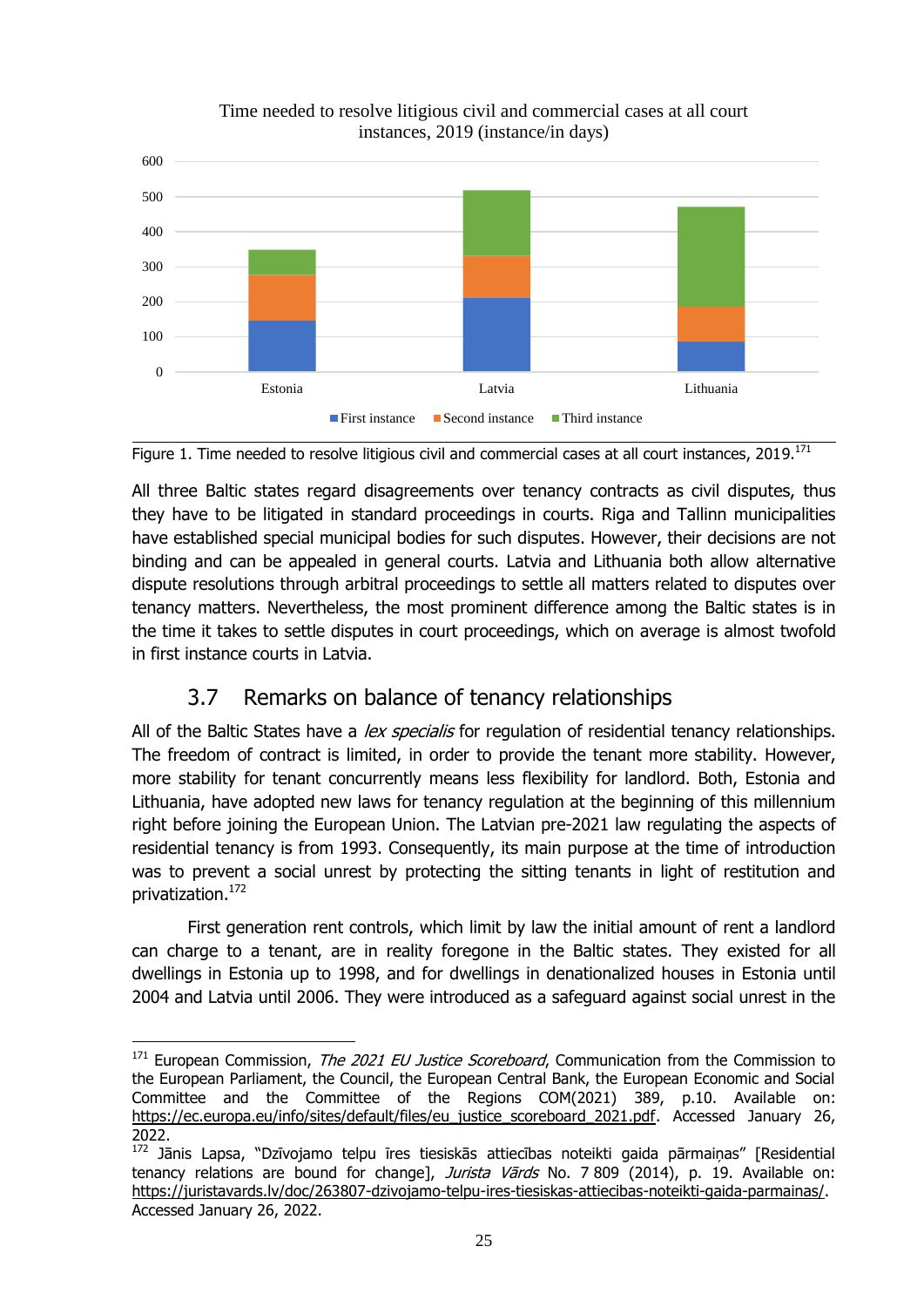

#### Time needed to resolve litigious civil and commercial cases at all court instances, 2019 (instance/in days)

<span id="page-27-1"></span>

All three Baltic states regard disagreements over tenancy contracts as civil disputes, thus they have to be litigated in standard proceedings in courts. Riga and Tallinn municipalities have established special municipal bodies for such disputes. However, their decisions are not binding and can be appealed in general courts. Latvia and Lithuania both allow alternative dispute resolutions through arbitral proceedings to settle all matters related to disputes over tenancy matters. Nevertheless, the most prominent difference among the Baltic states is in the time it takes to settle disputes in court proceedings, which on average is almost twofold in first instance courts in Latvia.

## 3.7 Remarks on balance of tenancy relationships

<span id="page-27-0"></span>All of the Baltic States have a *lex specialis* for regulation of residential tenancy relationships. The freedom of contract is limited, in order to provide the tenant more stability. However, more stability for tenant concurrently means less flexibility for landlord. Both, Estonia and Lithuania, have adopted new laws for tenancy regulation at the beginning of this millennium right before joining the European Union. The Latvian pre-2021 law regulating the aspects of residential tenancy is from 1993. Consequently, its main purpose at the time of introduction was to prevent a social unrest by protecting the sitting tenants in light of restitution and privatization.<sup>172</sup>

First generation rent controls, which limit by law the initial amount of rent a landlord can charge to a tenant, are in reality foregone in the Baltic states. They existed for all dwellings in Estonia up to 1998, and for dwellings in denationalized houses in Estonia until 2004 and Latvia until 2006. They were introduced as a safeguard against social unrest in the

1

 $171$  European Commission, *The 2021 EU Justice Scoreboard*, Communication from the Commission to the European Parliament, the Council, the European Central Bank, the European Economic and Social Committee and the Committee of the Regions COM(2021) 389, p.10. Available on: https://ec.europa.eu/info/sites/default/files/eu\_justice\_scoreboard\_2021.pdf. Accessed January 26, 2022.

<sup>172</sup> Jānis Lapsa, "Dzīvojamo telpu īres tiesiskās attiecības noteikti gaida pārmaiņas" [Residential tenancy relations are bound for change], Jurista Vards No. 7 809 (2014), p. 19. Available on: [https://juristavards.lv/doc/263807-dzivojamo-telpu-ires-tiesiskas-attiecibas-noteikti-gaida-parmainas/.](https://juristavards.lv/doc/263807-dzivojamo-telpu-ires-tiesiskas-attiecibas-noteikti-gaida-parmainas/) Accessed January 26, 2022.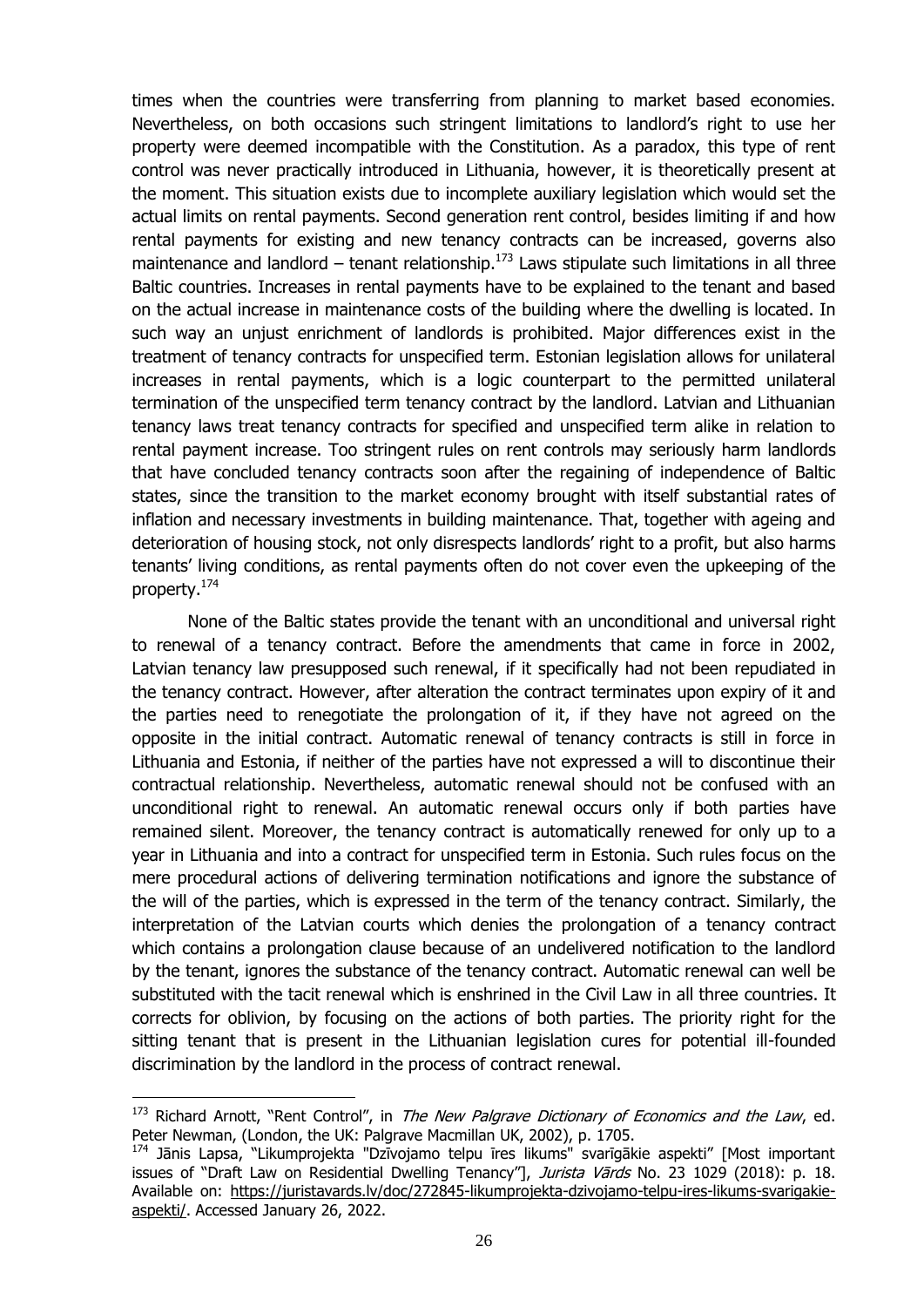times when the countries were transferring from planning to market based economies. Nevertheless, on both occasions such stringent limitations to landlord's right to use her property were deemed incompatible with the Constitution. As a paradox, this type of rent control was never practically introduced in Lithuania, however, it is theoretically present at the moment. This situation exists due to incomplete auxiliary legislation which would set the actual limits on rental payments. Second generation rent control, besides limiting if and how rental payments for existing and new tenancy contracts can be increased, governs also maintenance and landlord – tenant relationship.<sup>173</sup> Laws stipulate such limitations in all three Baltic countries. Increases in rental payments have to be explained to the tenant and based on the actual increase in maintenance costs of the building where the dwelling is located. In such way an unjust enrichment of landlords is prohibited. Major differences exist in the treatment of tenancy contracts for unspecified term. Estonian legislation allows for unilateral increases in rental payments, which is a logic counterpart to the permitted unilateral termination of the unspecified term tenancy contract by the landlord. Latvian and Lithuanian tenancy laws treat tenancy contracts for specified and unspecified term alike in relation to rental payment increase. Too stringent rules on rent controls may seriously harm landlords that have concluded tenancy contracts soon after the regaining of independence of Baltic states, since the transition to the market economy brought with itself substantial rates of inflation and necessary investments in building maintenance. That, together with ageing and deterioration of housing stock, not only disrespects landlords' right to a profit, but also harms tenants' living conditions, as rental payments often do not cover even the upkeeping of the property.<sup>174</sup>

<span id="page-28-0"></span>None of the Baltic states provide the tenant with an unconditional and universal right to renewal of a tenancy contract. Before the amendments that came in force in 2002, Latvian tenancy law presupposed such renewal, if it specifically had not been repudiated in the tenancy contract. However, after alteration the contract terminates upon expiry of it and the parties need to renegotiate the prolongation of it, if they have not agreed on the opposite in the initial contract. Automatic renewal of tenancy contracts is still in force in Lithuania and Estonia, if neither of the parties have not expressed a will to discontinue their contractual relationship. Nevertheless, automatic renewal should not be confused with an unconditional right to renewal. An automatic renewal occurs only if both parties have remained silent. Moreover, the tenancy contract is automatically renewed for only up to a year in Lithuania and into a contract for unspecified term in Estonia. Such rules focus on the mere procedural actions of delivering termination notifications and ignore the substance of the will of the parties, which is expressed in the term of the tenancy contract. Similarly, the interpretation of the Latvian courts which denies the prolongation of a tenancy contract which contains a prolongation clause because of an undelivered notification to the landlord by the tenant, ignores the substance of the tenancy contract. Automatic renewal can well be substituted with the tacit renewal which is enshrined in the Civil Law in all three countries. It corrects for oblivion, by focusing on the actions of both parties. The priority right for the sitting tenant that is present in the Lithuanian legislation cures for potential ill-founded discrimination by the landlord in the process of contract renewal.

 $173$  Richard Arnott, "Rent Control", in The New Palgrave Dictionary of Economics and the Law, ed. Peter Newman, (London, the UK: Palgrave Macmillan UK, 2002), p. 1705.

<sup>&</sup>lt;sup>174</sup> Jānis Lapsa, "Likumprojekta "Dzīvojamo telpu īres likums" svarīgākie aspekti" [Most important issues of "Draft Law on Residential Dwelling Tenancy"], Jurista Vārds No. 23 1029 (2018): p. 18. Available on: [https://juristavards.lv/doc/272845-likumprojekta-dzivojamo-telpu-ires-likums-svarigakie](https://juristavards.lv/doc/272845-likumprojekta-dzivojamo-telpu-ires-likums-svarigakie-aspekti/)[aspekti/.](https://juristavards.lv/doc/272845-likumprojekta-dzivojamo-telpu-ires-likums-svarigakie-aspekti/) Accessed January 26, 2022.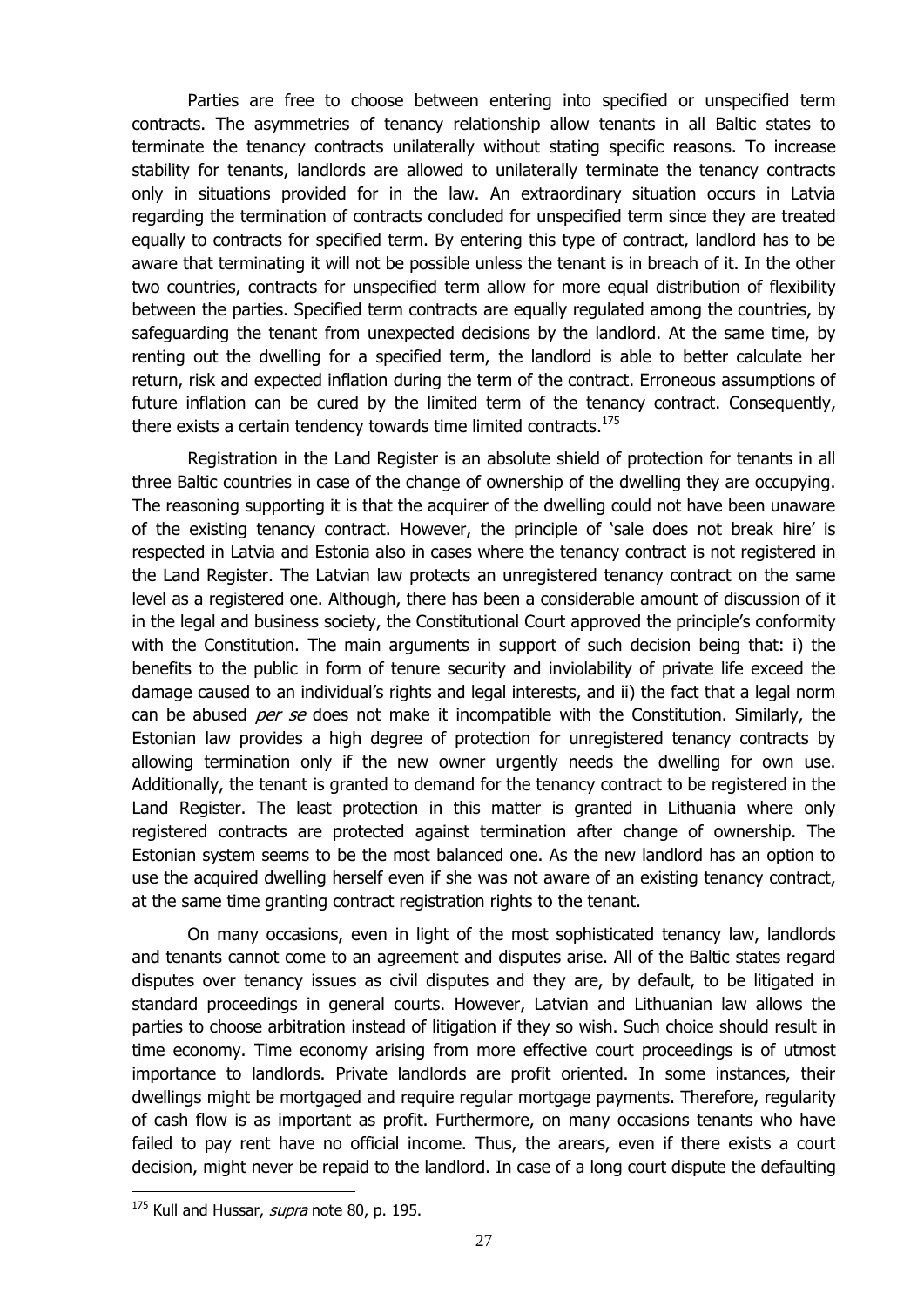Parties are free to choose between entering into specified or unspecified term contracts. The asymmetries of tenancy relationship allow tenants in all Baltic states to terminate the tenancy contracts unilaterally without stating specific reasons. To increase stability for tenants, landlords are allowed to unilaterally terminate the tenancy contracts only in situations provided for in the law. An extraordinary situation occurs in Latvia regarding the termination of contracts concluded for unspecified term since they are treated equally to contracts for specified term. By entering this type of contract, landlord has to be aware that terminating it will not be possible unless the tenant is in breach of it. In the other two countries, contracts for unspecified term allow for more equal distribution of flexibility between the parties. Specified term contracts are equally regulated among the countries, by safeguarding the tenant from unexpected decisions by the landlord. At the same time, by renting out the dwelling for a specified term, the landlord is able to better calculate her return, risk and expected inflation during the term of the contract. Erroneous assumptions of future inflation can be cured by the limited term of the tenancy contract. Consequently, there exists a certain tendency towards time limited contracts.<sup>175</sup>

Registration in the Land Register is an absolute shield of protection for tenants in all three Baltic countries in case of the change of ownership of the dwelling they are occupying. The reasoning supporting it is that the acquirer of the dwelling could not have been unaware of the existing tenancy contract. However, the principle of 'sale does not break hire' is respected in Latvia and Estonia also in cases where the tenancy contract is not registered in the Land Register. The Latvian law protects an unregistered tenancy contract on the same level as a registered one. Although, there has been a considerable amount of discussion of it in the legal and business society, the Constitutional Court approved the principle's conformity with the Constitution. The main arguments in support of such decision being that: i) the benefits to the public in form of tenure security and inviolability of private life exceed the damage caused to an individual's rights and legal interests, and ii) the fact that a legal norm can be abused *per se* does not make it incompatible with the Constitution. Similarly, the Estonian law provides a high degree of protection for unregistered tenancy contracts by allowing termination only if the new owner urgently needs the dwelling for own use. Additionally, the tenant is granted to demand for the tenancy contract to be registered in the Land Register. The least protection in this matter is granted in Lithuania where only registered contracts are protected against termination after change of ownership. The Estonian system seems to be the most balanced one. As the new landlord has an option to use the acquired dwelling herself even if she was not aware of an existing tenancy contract, at the same time granting contract registration rights to the tenant.

On many occasions, even in light of the most sophisticated tenancy law, landlords and tenants cannot come to an agreement and disputes arise. All of the Baltic states regard disputes over tenancy issues as civil disputes and they are, by default, to be litigated in standard proceedings in general courts. However, Latvian and Lithuanian law allows the parties to choose arbitration instead of litigation if they so wish. Such choice should result in time economy. Time economy arising from more effective court proceedings is of utmost importance to landlords. Private landlords are profit oriented. In some instances, their dwellings might be mortgaged and require regular mortgage payments. Therefore, regularity of cash flow is as important as profit. Furthermore, on many occasions tenants who have failed to pay rent have no official income. Thus, the arears, even if there exists a court decision, might never be repaid to the landlord. In case of a long court dispute the defaulting

 $175$  Kull and Hussar, *supra* note [80,](#page-17-0) p. 195.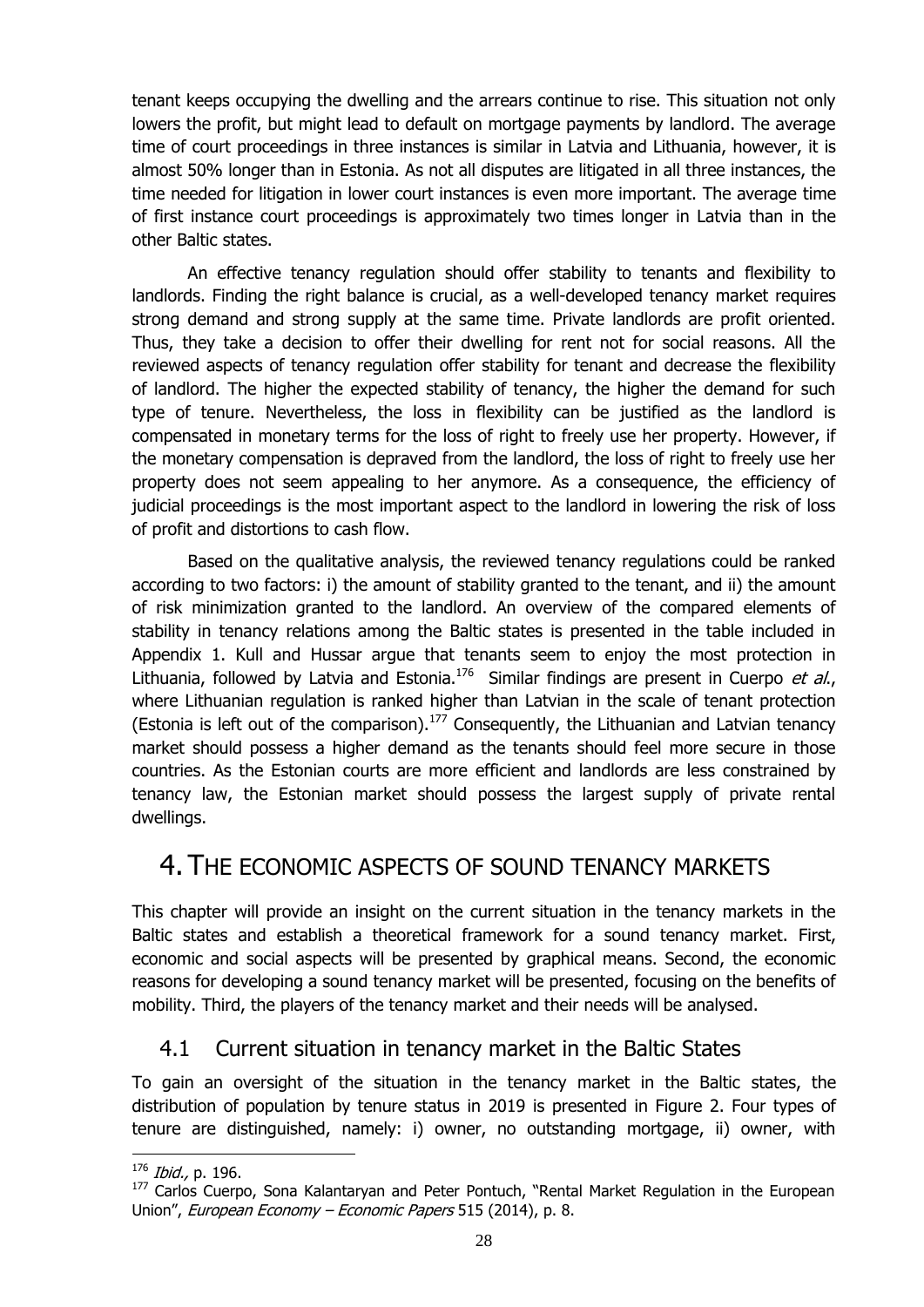tenant keeps occupying the dwelling and the arrears continue to rise. This situation not only lowers the profit, but might lead to default on mortgage payments by landlord. The average time of court proceedings in three instances is similar in Latvia and Lithuania, however, it is almost 50% longer than in Estonia. As not all disputes are litigated in all three instances, the time needed for litigation in lower court instances is even more important. The average time of first instance court proceedings is approximately two times longer in Latvia than in the other Baltic states.

An effective tenancy regulation should offer stability to tenants and flexibility to landlords. Finding the right balance is crucial, as a well-developed tenancy market requires strong demand and strong supply at the same time. Private landlords are profit oriented. Thus, they take a decision to offer their dwelling for rent not for social reasons. All the reviewed aspects of tenancy regulation offer stability for tenant and decrease the flexibility of landlord. The higher the expected stability of tenancy, the higher the demand for such type of tenure. Nevertheless, the loss in flexibility can be justified as the landlord is compensated in monetary terms for the loss of right to freely use her property. However, if the monetary compensation is depraved from the landlord, the loss of right to freely use her property does not seem appealing to her anymore. As a consequence, the efficiency of judicial proceedings is the most important aspect to the landlord in lowering the risk of loss of profit and distortions to cash flow.

Based on the qualitative analysis, the reviewed tenancy regulations could be ranked according to two factors: i) the amount of stability granted to the tenant, and ii) the amount of risk minimization granted to the landlord. An overview of the compared elements of stability in tenancy relations among the Baltic states is presented in the table included in Appendix 1. Kull and Hussar argue that tenants seem to enjoy the most protection in Lithuania, followed by Latvia and Estonia.<sup>176</sup> Similar findings are present in Cuerpo et al., where Lithuanian regulation is ranked higher than Latvian in the scale of tenant protection (Estonia is left out of the comparison).<sup>177</sup> Consequently, the Lithuanian and Latvian tenancy market should possess a higher demand as the tenants should feel more secure in those countries. As the Estonian courts are more efficient and landlords are less constrained by tenancy law, the Estonian market should possess the largest supply of private rental dwellings.

## <span id="page-30-0"></span>4. THE ECONOMIC ASPECTS OF SOUND TENANCY MARKETS

This chapter will provide an insight on the current situation in the tenancy markets in the Baltic states and establish a theoretical framework for a sound tenancy market. First, economic and social aspects will be presented by graphical means. Second, the economic reasons for developing a sound tenancy market will be presented, focusing on the benefits of mobility. Third, the players of the tenancy market and their needs will be analysed.

## <span id="page-30-1"></span>4.1 Current situation in tenancy market in the Baltic States

To gain an oversight of the situation in the tenancy market in the Baltic states, the distribution of population by tenure status in 2019 is presented in Figure 2. Four types of tenure are distinguished, namely: i) owner, no outstanding mortgage, ii) owner, with

1

<sup>176</sup> Ibid., p. 196.

<sup>&</sup>lt;sup>177</sup> Carlos Cuerpo, Sona Kalantaryan and Peter Pontuch, "Rental Market Regulation in the European Union", *European Economy – Economic Papers* 515 (2014), p. 8.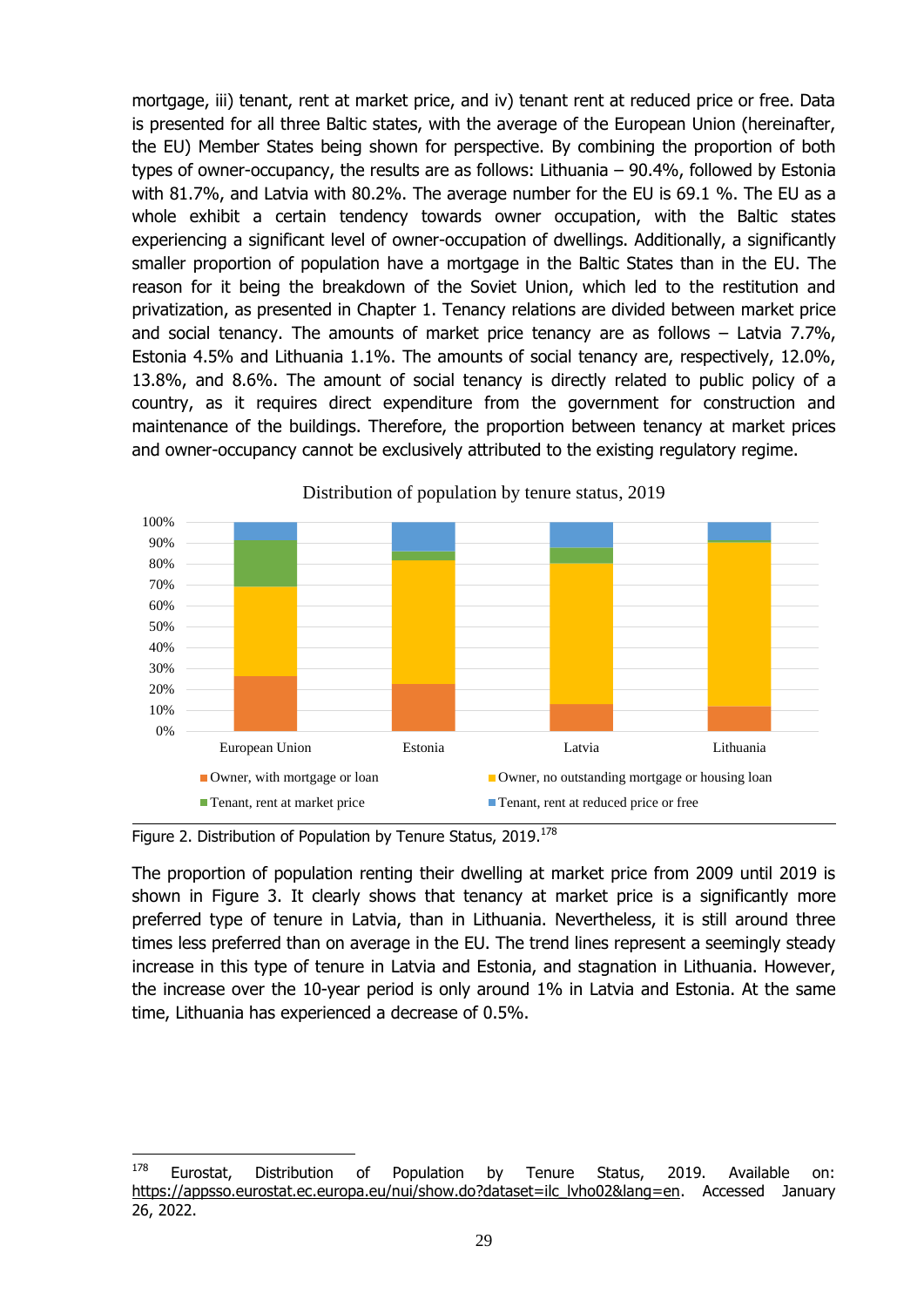mortgage, iii) tenant, rent at market price, and iv) tenant rent at reduced price or free. Data is presented for all three Baltic states, with the average of the European Union (hereinafter, the EU) Member States being shown for perspective. By combining the proportion of both types of owner-occupancy, the results are as follows: Lithuania – 90.4%, followed by Estonia with 81.7%, and Latvia with 80.2%. The average number for the EU is 69.1 %. The EU as a whole exhibit a certain tendency towards owner occupation, with the Baltic states experiencing a significant level of owner-occupation of dwellings. Additionally, a significantly smaller proportion of population have a mortgage in the Baltic States than in the EU. The reason for it being the breakdown of the Soviet Union, which led to the restitution and privatization, as presented in Chapter 1. Tenancy relations are divided between market price and social tenancy. The amounts of market price tenancy are as follows – Latvia 7.7%, Estonia 4.5% and Lithuania 1.1%. The amounts of social tenancy are, respectively, 12.0%, 13.8%, and 8.6%. The amount of social tenancy is directly related to public policy of a country, as it requires direct expenditure from the government for construction and maintenance of the buildings. Therefore, the proportion between tenancy at market prices and owner-occupancy cannot be exclusively attributed to the existing regulatory regime.



Distribution of population by tenure status, 2019

<span id="page-31-0"></span>Figure 2. Distribution of Population by Tenure Status, 2019.<sup>178</sup>

1

The proportion of population renting their dwelling at market price from 2009 until 2019 is shown in Figure 3. It clearly shows that tenancy at market price is a significantly more preferred type of tenure in Latvia, than in Lithuania. Nevertheless, it is still around three times less preferred than on average in the EU. The trend lines represent a seemingly steady increase in this type of tenure in Latvia and Estonia, and stagnation in Lithuania. However, the increase over the 10-year period is only around 1% in Latvia and Estonia. At the same time, Lithuania has experienced a decrease of 0.5%.

 $178$  Eurostat, Distribution of Population by Tenure Status, 2019. Available on: [https://appsso.eurostat.ec.europa.eu/nui/show.do?dataset=ilc\\_lvho02&lang=en.](https://appsso.eurostat.ec.europa.eu/nui/show.do?dataset=ilc_lvho02&lang=en) Accessed January 26, 2022.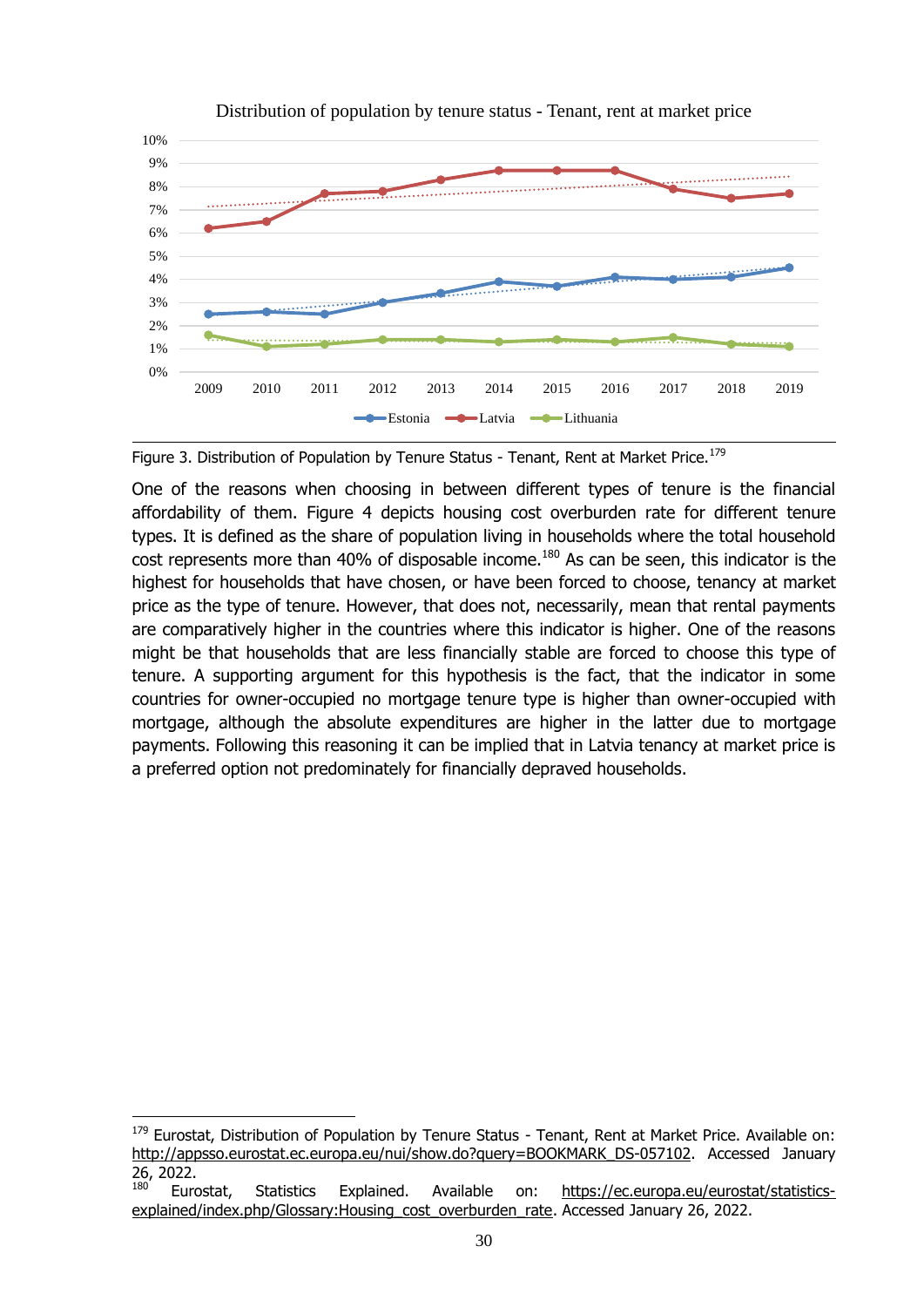

Distribution of population by tenure status - Tenant, rent at market price

<span id="page-32-0"></span>

One of the reasons when choosing in between different types of tenure is the financial affordability of them. Figure 4 depicts housing cost overburden rate for different tenure types. It is defined as the share of population living in households where the total household cost represents more than 40% of disposable income.<sup>180</sup> As can be seen, this indicator is the highest for households that have chosen, or have been forced to choose, tenancy at market price as the type of tenure. However, that does not, necessarily, mean that rental payments are comparatively higher in the countries where this indicator is higher. One of the reasons might be that households that are less financially stable are forced to choose this type of tenure. A supporting argument for this hypothesis is the fact, that the indicator in some countries for owner-occupied no mortgage tenure type is higher than owner-occupied with mortgage, although the absolute expenditures are higher in the latter due to mortgage payments. Following this reasoning it can be implied that in Latvia tenancy at market price is a preferred option not predominately for financially depraved households.

<sup>&</sup>lt;sup>179</sup> Eurostat, Distribution of Population by Tenure Status - Tenant, Rent at Market Price. Available on: [http://appsso.eurostat.ec.europa.eu/nui/show.do?query=BOOKMARK\\_DS-057102.](http://appsso.eurostat.ec.europa.eu/nui/show.do?query=BOOKMARK_DS-057102_QID_19AF11B6_UID_-3F171EB0&layout=TENURE,L,X,0;GEO,L,Y,0;INCGRP,L,Z,0;HHTYP,L,Z,1;TIME,C,Z,2;INDICATORS,C,Z,3;&zSelection=DS-057102INCGRP,TOTAL;DS-057102TIME,2015;DS-057102HHTYP,TOTAL;DS-057102INDICATORS,OBS_FLAG;&rankName1=HHTYP_1_2_-1_2&rankName2=TIME_1_0_-1_2&rankName3=GEO_1_2_0_1&rankName4=INDICATORS_1_2_-1_2&rankName5=INCGRP_1_2_-1_2&rankName6=TENURE_1_2_0_0&rStp=&cStp=&rDCh=&cDCh=&rDM=true&cDM=true&footnes=false&empty=false&wai=false&time_mode=ROLLING&time_most_recent=false&lang=EN&cfo=%23%23%23%2C%23%23%23.%23%23%23) Accessed January 26, 2022.

Eurostat, Statistics Explained. Available on: [https://ec.europa.eu/eurostat/statistics](https://ec.europa.eu/eurostat/statistics-explained/index.php/Glossary:Housing_cost_overburden_rate)[explained/index.php/Glossary:Housing\\_cost\\_overburden\\_rate.](https://ec.europa.eu/eurostat/statistics-explained/index.php/Glossary:Housing_cost_overburden_rate) Accessed January 26, 2022.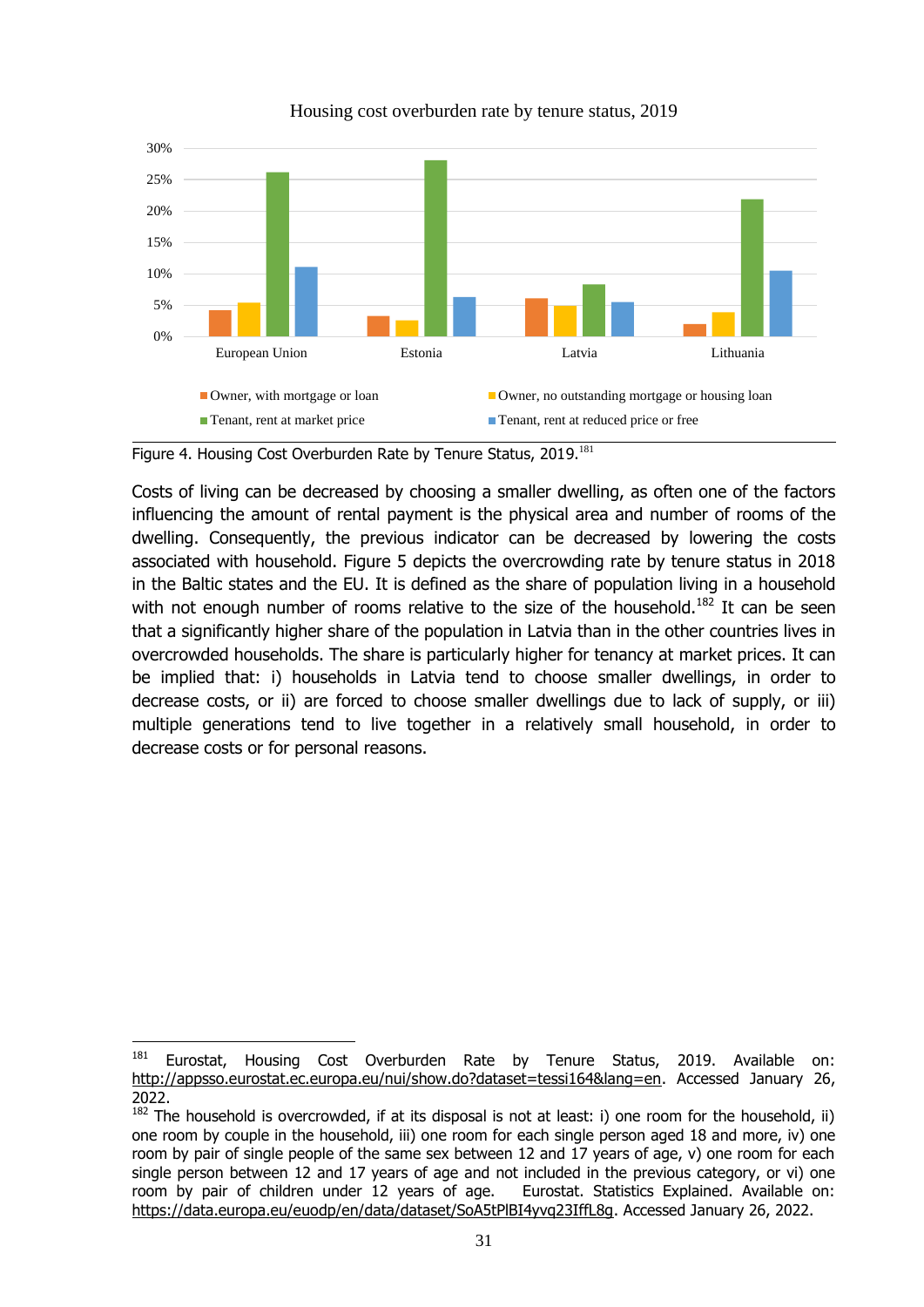

Housing cost overburden rate by tenure status, 2019

1

Costs of living can be decreased by choosing a smaller dwelling, as often one of the factors influencing the amount of rental payment is the physical area and number of rooms of the dwelling. Consequently, the previous indicator can be decreased by lowering the costs associated with household. Figure 5 depicts the overcrowding rate by tenure status in 2018 in the Baltic states and the EU. It is defined as the share of population living in a household with not enough number of rooms relative to the size of the household.<sup>182</sup> It can be seen that a significantly higher share of the population in Latvia than in the other countries lives in overcrowded households. The share is particularly higher for tenancy at market prices. It can be implied that: i) households in Latvia tend to choose smaller dwellings, in order to decrease costs, or ii) are forced to choose smaller dwellings due to lack of supply, or iii) multiple generations tend to live together in a relatively small household, in order to decrease costs or for personal reasons.

<span id="page-33-0"></span>Figure 4. Housing Cost Overburden Rate by Tenure Status, 2019.<sup>181</sup>

<sup>&</sup>lt;sup>181</sup> Eurostat, Housing Cost Overburden Rate by Tenure Status, 2019. Available on: [http://appsso.eurostat.ec.europa.eu/nui/show.do?dataset=tessi164&lang=en.](http://appsso.eurostat.ec.europa.eu/nui/show.do?dataset=tessi164&lang=en) Accessed January 26, 2022.

 $182$  The household is overcrowded, if at its disposal is not at least: i) one room for the household, ii) one room by couple in the household, iii) one room for each single person aged 18 and more, iv) one room by pair of single people of the same sex between 12 and 17 years of age, v) one room for each single person between 12 and 17 years of age and not included in the previous category, or vi) one room by pair of children under 12 years of age. Eurostat. Statistics Explained. Available on: [https://data.europa.eu/euodp/en/data/dataset/SoA5tPlBI4yvq23IffL8g.](https://data.europa.eu/euodp/en/data/dataset/SoA5tPlBI4yvq23IffL8g) Accessed January 26, 2022.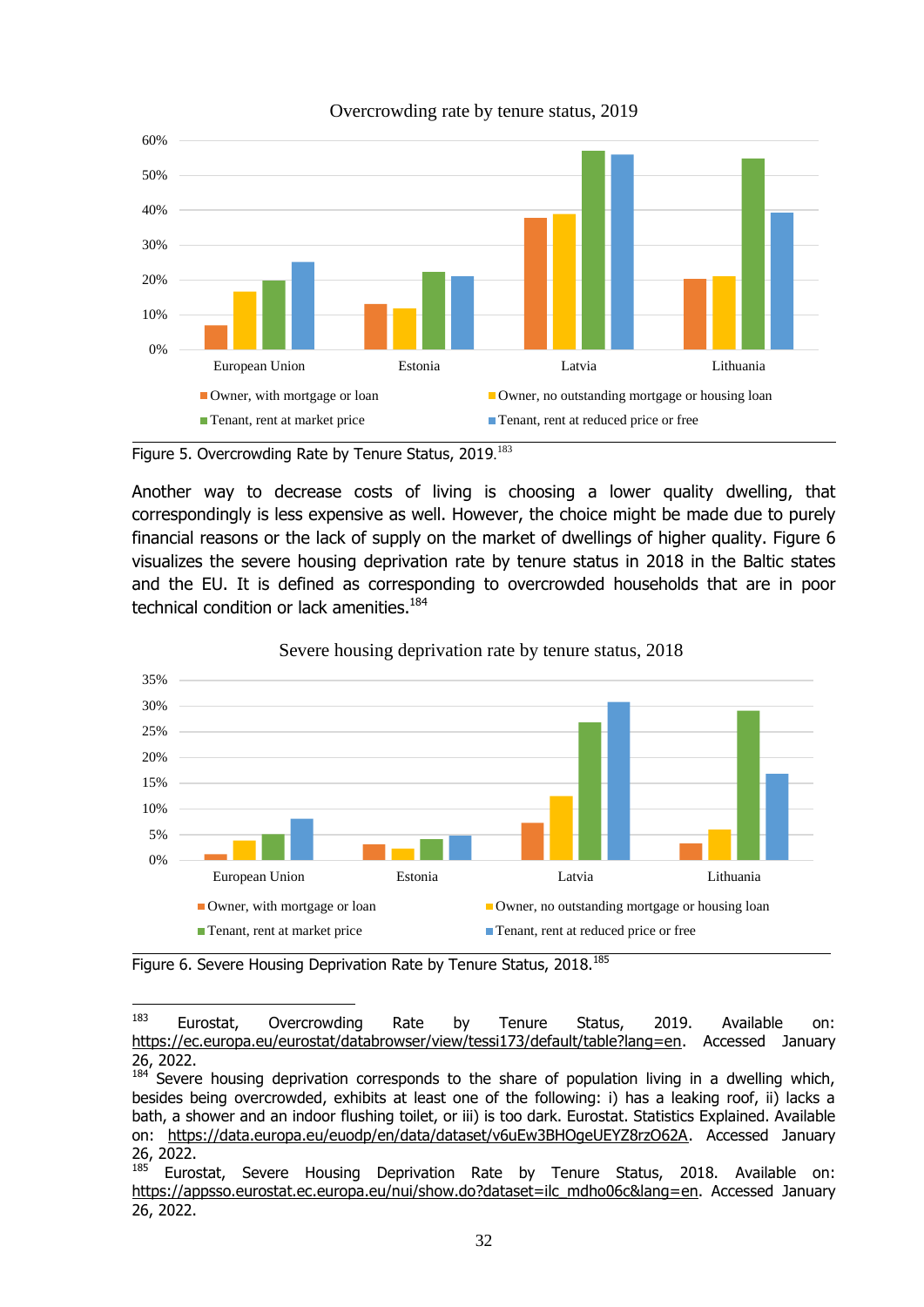

#### Overcrowding rate by tenure status, 2019

Another way to decrease costs of living is choosing a lower quality dwelling, that correspondingly is less expensive as well. However, the choice might be made due to purely financial reasons or the lack of supply on the market of dwellings of higher quality. Figure 6 visualizes the severe housing deprivation rate by tenure status in 2018 in the Baltic states and the EU. It is defined as corresponding to overcrowded households that are in poor technical condition or lack amenities.<sup>184</sup>



Severe housing deprivation rate by tenure status, 2018

 $184$  Severe housing deprivation corresponds to the share of population living in a dwelling which, besides being overcrowded, exhibits at least one of the following: i) has a leaking roof, ii) lacks a bath, a shower and an indoor flushing toilet, or iii) is too dark. Eurostat. Statistics Explained. Available on: [https://data.europa.eu/euodp/en/data/dataset/v6uEw3BHOgeUEYZ8rzO62A.](https://data.europa.eu/euodp/en/data/dataset/v6uEw3BHOgeUEYZ8rzO62A) Accessed January 26, 2022.

<span id="page-34-0"></span>Figure 5. Overcrowding Rate by Tenure Status, 2019.<sup>183</sup>

<span id="page-34-1"></span>Figure 6. Severe Housing Deprivation Rate by Tenure Status, 2018.<sup>185</sup>

<sup>183</sup> <sup>183</sup> Eurostat, Overcrowding Rate by Tenure Status, 2019. Available on: [https://ec.europa.eu/eurostat/databrowser/view/tessi173/default/table?lang=en.](https://ec.europa.eu/eurostat/databrowser/view/tessi173/default/table?lang=en) Accessed January 26, 2022.

Eurostat, Severe Housing Deprivation Rate by Tenure Status, 2018. Available on: [https://appsso.eurostat.ec.europa.eu/nui/show.do?dataset=ilc\\_mdho06c&lang=en.](https://appsso.eurostat.ec.europa.eu/nui/show.do?dataset=ilc_mdho06c&lang=en) Accessed January 26, 2022.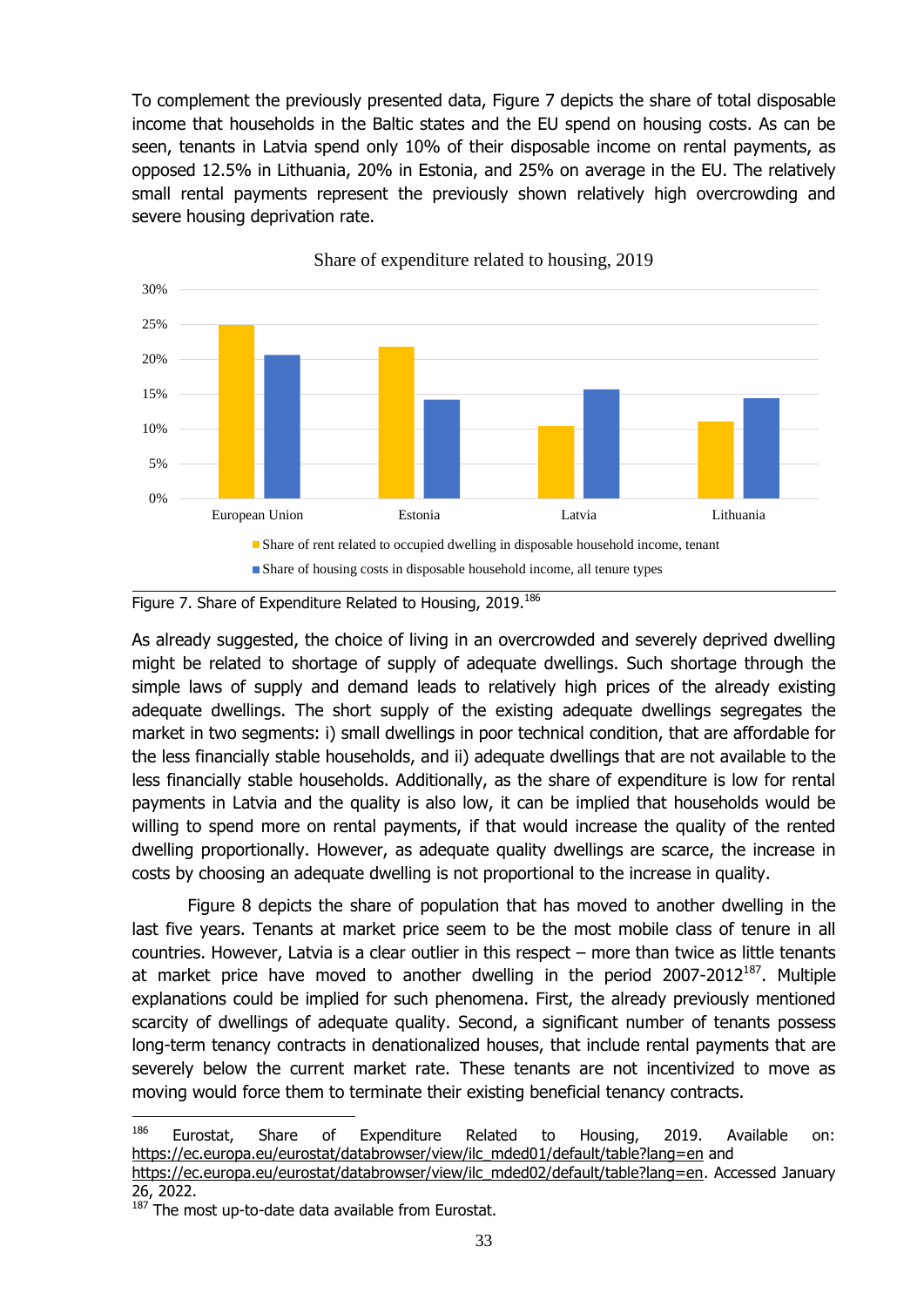To complement the previously presented data, Figure 7 depicts the share of total disposable income that households in the Baltic states and the EU spend on housing costs. As can be seen, tenants in Latvia spend only 10% of their disposable income on rental payments, as opposed 12.5% in Lithuania, 20% in Estonia, and 25% on average in the EU. The relatively small rental payments represent the previously shown relatively high overcrowding and severe housing deprivation rate.



Share of expenditure related to housing, 2019

<span id="page-35-0"></span>

As already suggested, the choice of living in an overcrowded and severely deprived dwelling might be related to shortage of supply of adequate dwellings. Such shortage through the simple laws of supply and demand leads to relatively high prices of the already existing adequate dwellings. The short supply of the existing adequate dwellings segregates the market in two segments: i) small dwellings in poor technical condition, that are affordable for the less financially stable households, and ii) adequate dwellings that are not available to the less financially stable households. Additionally, as the share of expenditure is low for rental payments in Latvia and the quality is also low, it can be implied that households would be willing to spend more on rental payments, if that would increase the quality of the rented dwelling proportionally. However, as adequate quality dwellings are scarce, the increase in costs by choosing an adequate dwelling is not proportional to the increase in quality.

Figure 8 depicts the share of population that has moved to another dwelling in the last five years. Tenants at market price seem to be the most mobile class of tenure in all countries. However, Latvia is a clear outlier in this respect – more than twice as little tenants at market price have moved to another dwelling in the period  $2007-2012^{187}$ . Multiple explanations could be implied for such phenomena. First, the already previously mentioned scarcity of dwellings of adequate quality. Second, a significant number of tenants possess long-term tenancy contracts in denationalized houses, that include rental payments that are severely below the current market rate. These tenants are not incentivized to move as moving would force them to terminate their existing beneficial tenancy contracts.

[https://ec.europa.eu/eurostat/databrowser/view/ilc\\_mded02/default/table?lang=en.](https://ec.europa.eu/eurostat/databrowser/view/ilc_mded02/default/table?lang=en) Accessed January 26, 2022.

<sup>186</sup> Eurostat, Share of Expenditure Related to Housing, 2019. Available on: [https://ec.europa.eu/eurostat/databrowser/view/ilc\\_mded01/default/table?lang=en](https://ec.europa.eu/eurostat/databrowser/view/ilc_mded01/default/table?lang=en) and

<sup>&</sup>lt;sup>187</sup> The most up-to-date data available from Eurostat.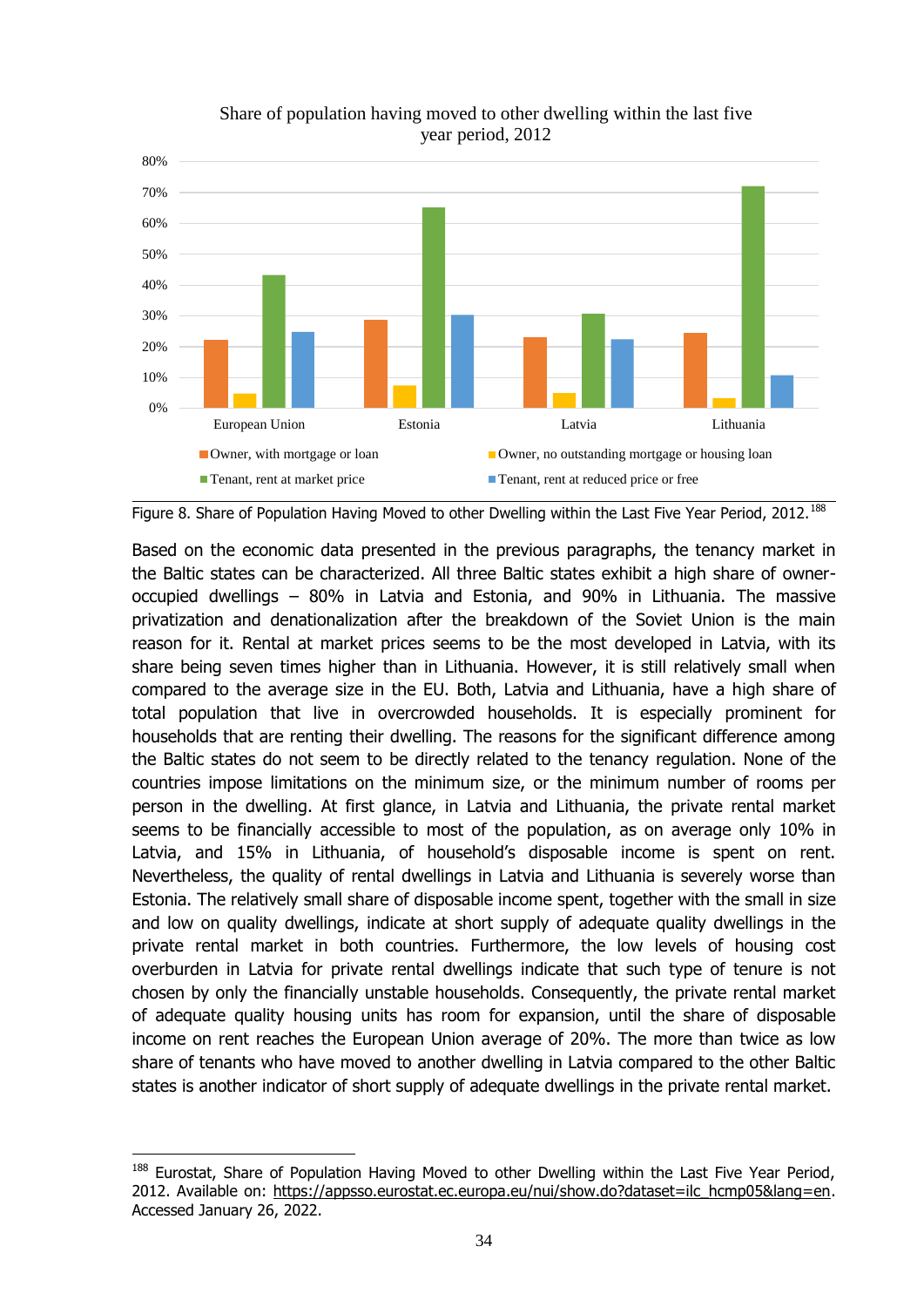



Based on the economic data presented in the previous paragraphs, the tenancy market in the Baltic states can be characterized. All three Baltic states exhibit a high share of owneroccupied dwellings – 80% in Latvia and Estonia, and 90% in Lithuania. The massive privatization and denationalization after the breakdown of the Soviet Union is the main reason for it. Rental at market prices seems to be the most developed in Latvia, with its share being seven times higher than in Lithuania. However, it is still relatively small when compared to the average size in the EU. Both, Latvia and Lithuania, have a high share of total population that live in overcrowded households. It is especially prominent for households that are renting their dwelling. The reasons for the significant difference among the Baltic states do not seem to be directly related to the tenancy regulation. None of the countries impose limitations on the minimum size, or the minimum number of rooms per person in the dwelling. At first glance, in Latvia and Lithuania, the private rental market seems to be financially accessible to most of the population, as on average only 10% in Latvia, and 15% in Lithuania, of household's disposable income is spent on rent. Nevertheless, the quality of rental dwellings in Latvia and Lithuania is severely worse than Estonia. The relatively small share of disposable income spent, together with the small in size and low on quality dwellings, indicate at short supply of adequate quality dwellings in the private rental market in both countries. Furthermore, the low levels of housing cost overburden in Latvia for private rental dwellings indicate that such type of tenure is not chosen by only the financially unstable households. Consequently, the private rental market of adequate quality housing units has room for expansion, until the share of disposable income on rent reaches the European Union average of 20%. The more than twice as low share of tenants who have moved to another dwelling in Latvia compared to the other Baltic states is another indicator of short supply of adequate dwellings in the private rental market.

1

<span id="page-36-0"></span>Figure 8. Share of Population Having Moved to other Dwelling within the Last Five Year Period, 2012.<sup>188</sup>

<sup>&</sup>lt;sup>188</sup> Eurostat, Share of Population Having Moved to other Dwelling within the Last Five Year Period, 2012. Available on: [https://appsso.eurostat.ec.europa.eu/nui/show.do?dataset=ilc\\_hcmp05&lang=en.](https://appsso.eurostat.ec.europa.eu/nui/show.do?dataset=ilc_hcmp05&lang=en) Accessed January 26, 2022.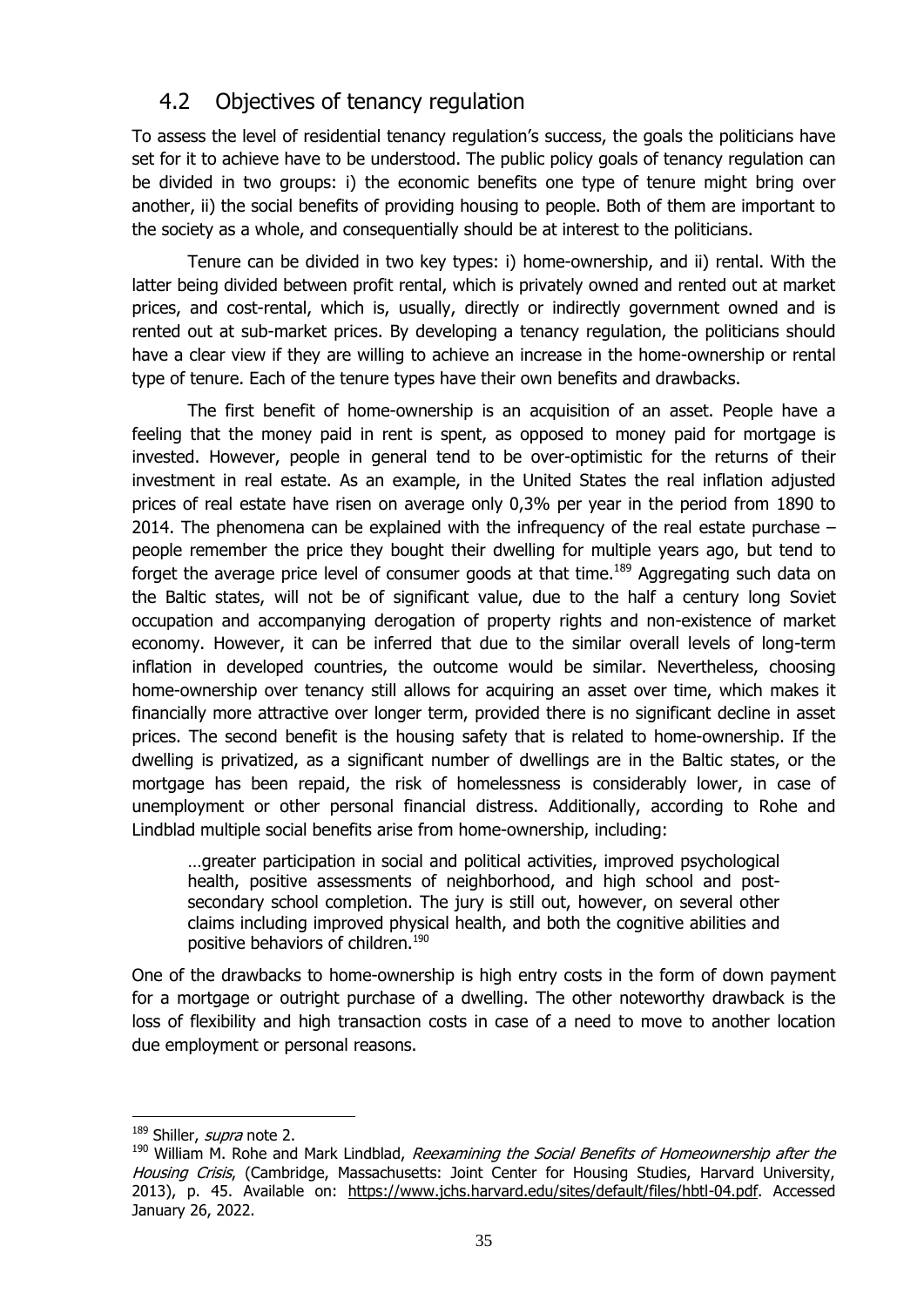## <span id="page-37-0"></span>4.2 Objectives of tenancy regulation

To assess the level of residential tenancy regulation's success, the goals the politicians have set for it to achieve have to be understood. The public policy goals of tenancy regulation can be divided in two groups: i) the economic benefits one type of tenure might bring over another, ii) the social benefits of providing housing to people. Both of them are important to the society as a whole, and consequentially should be at interest to the politicians.

Tenure can be divided in two key types: i) home-ownership, and ii) rental. With the latter being divided between profit rental, which is privately owned and rented out at market prices, and cost-rental, which is, usually, directly or indirectly government owned and is rented out at sub-market prices. By developing a tenancy regulation, the politicians should have a clear view if they are willing to achieve an increase in the home-ownership or rental type of tenure. Each of the tenure types have their own benefits and drawbacks.

The first benefit of home-ownership is an acquisition of an asset. People have a feeling that the money paid in rent is spent, as opposed to money paid for mortgage is invested. However, people in general tend to be over-optimistic for the returns of their investment in real estate. As an example, in the United States the real inflation adjusted prices of real estate have risen on average only 0,3% per year in the period from 1890 to 2014. The phenomena can be explained with the infrequency of the real estate purchase  $$ people remember the price they bought their dwelling for multiple years ago, but tend to forget the average price level of consumer goods at that time.<sup>189</sup> Aggregating such data on the Baltic states, will not be of significant value, due to the half a century long Soviet occupation and accompanying derogation of property rights and non-existence of market economy. However, it can be inferred that due to the similar overall levels of long-term inflation in developed countries, the outcome would be similar. Nevertheless, choosing home-ownership over tenancy still allows for acquiring an asset over time, which makes it financially more attractive over longer term, provided there is no significant decline in asset prices. The second benefit is the housing safety that is related to home-ownership. If the dwelling is privatized, as a significant number of dwellings are in the Baltic states, or the mortgage has been repaid, the risk of homelessness is considerably lower, in case of unemployment or other personal financial distress. Additionally, according to Rohe and Lindblad multiple social benefits arise from home-ownership, including:

…greater participation in social and political activities, improved psychological health, positive assessments of neighborhood, and high school and postsecondary school completion. The jury is still out, however, on several other claims including improved physical health, and both the cognitive abilities and positive behaviors of children.<sup>190</sup>

One of the drawbacks to home-ownership is high entry costs in the form of down payment for a mortgage or outright purchase of a dwelling. The other noteworthy drawback is the loss of flexibility and high transaction costs in case of a need to move to another location due employment or personal reasons.

<sup>&</sup>lt;sup>189</sup> Shiller, *supra* note [2.](#page-5-1)

<sup>&</sup>lt;sup>190</sup> William M. Rohe and Mark Lindblad, Reexamining the Social Benefits of Homeownership after the Housing Crisis, (Cambridge, Massachusetts: Joint Center for Housing Studies, Harvard University, 2013), p. 45. Available on: [https://www.jchs.harvard.edu/sites/default/files/hbtl-04.pdf.](https://www.jchs.harvard.edu/sites/default/files/hbtl-04.pdf) Accessed January 26, 2022.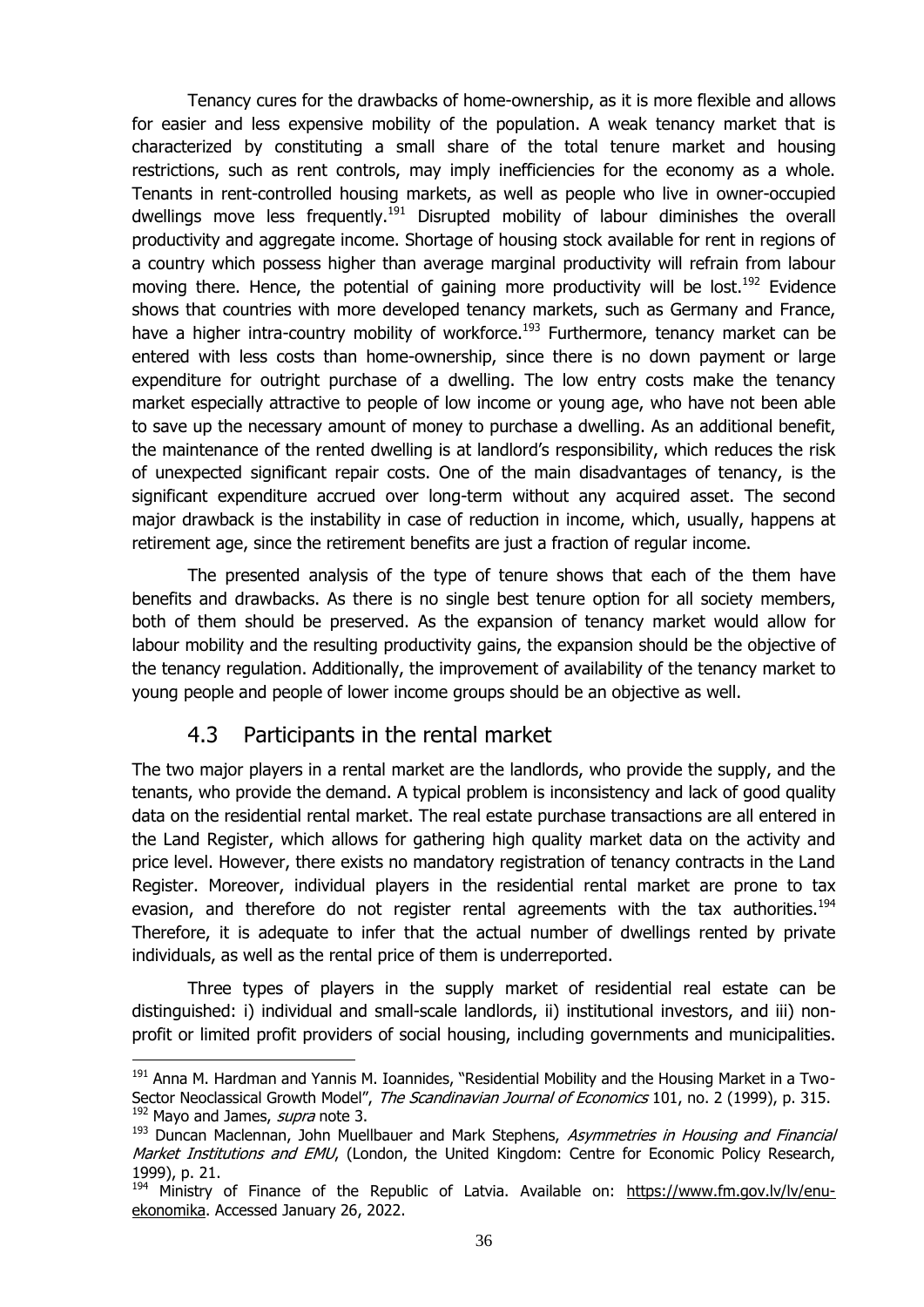Tenancy cures for the drawbacks of home-ownership, as it is more flexible and allows for easier and less expensive mobility of the population. A weak tenancy market that is characterized by constituting a small share of the total tenure market and housing restrictions, such as rent controls, may imply inefficiencies for the economy as a whole. Tenants in rent-controlled housing markets, as well as people who live in owner-occupied dwellings move less frequently.<sup>191</sup> Disrupted mobility of labour diminishes the overall productivity and aggregate income. Shortage of housing stock available for rent in regions of a country which possess higher than average marginal productivity will refrain from labour moving there. Hence, the potential of gaining more productivity will be lost.<sup>192</sup> Evidence shows that countries with more developed tenancy markets, such as Germany and France, have a higher intra-country mobility of workforce.<sup>193</sup> Furthermore, tenancy market can be entered with less costs than home-ownership, since there is no down payment or large expenditure for outright purchase of a dwelling. The low entry costs make the tenancy market especially attractive to people of low income or young age, who have not been able to save up the necessary amount of money to purchase a dwelling. As an additional benefit, the maintenance of the rented dwelling is at landlord's responsibility, which reduces the risk of unexpected significant repair costs. One of the main disadvantages of tenancy, is the significant expenditure accrued over long-term without any acquired asset. The second major drawback is the instability in case of reduction in income, which, usually, happens at retirement age, since the retirement benefits are just a fraction of regular income.

The presented analysis of the type of tenure shows that each of the them have benefits and drawbacks. As there is no single best tenure option for all society members, both of them should be preserved. As the expansion of tenancy market would allow for labour mobility and the resulting productivity gains, the expansion should be the objective of the tenancy regulation. Additionally, the improvement of availability of the tenancy market to young people and people of lower income groups should be an objective as well.

## 4.3 Participants in the rental market

1

<span id="page-38-0"></span>The two major players in a rental market are the landlords, who provide the supply, and the tenants, who provide the demand. A typical problem is inconsistency and lack of good quality data on the residential rental market. The real estate purchase transactions are all entered in the Land Register, which allows for gathering high quality market data on the activity and price level. However, there exists no mandatory registration of tenancy contracts in the Land Register. Moreover, individual players in the residential rental market are prone to tax evasion, and therefore do not register rental agreements with the tax authorities.<sup>194</sup> Therefore, it is adequate to infer that the actual number of dwellings rented by private individuals, as well as the rental price of them is underreported.

Three types of players in the supply market of residential real estate can be distinguished: i) individual and small-scale landlords, ii) institutional investors, and iii) nonprofit or limited profit providers of social housing, including governments and municipalities.

<sup>&</sup>lt;sup>191</sup> Anna M. Hardman and Yannis M. Ioannides, "Residential Mobility and the Housing Market in a Two-Sector Neoclassical Growth Model", The Scandinavian Journal of Economics 101, no. 2 (1999), p. 315. <sup>192</sup> Mayo and James, *supra* note [3.](#page-5-2)

<sup>&</sup>lt;sup>193</sup> Duncan Maclennan, John Muellbauer and Mark Stephens, Asymmetries in Housing and Financial Market Institutions and EMU, (London, the United Kingdom: Centre for Economic Policy Research, 1999), p. 21.

<sup>194</sup> Ministry of Finance of the Republic of Latvia. Available on: [https://www.fm.gov.lv/lv/enu](https://www.fm.gov.lv/lv/enu-ekonomika)[ekonomika.](https://www.fm.gov.lv/lv/enu-ekonomika) Accessed January 26, 2022.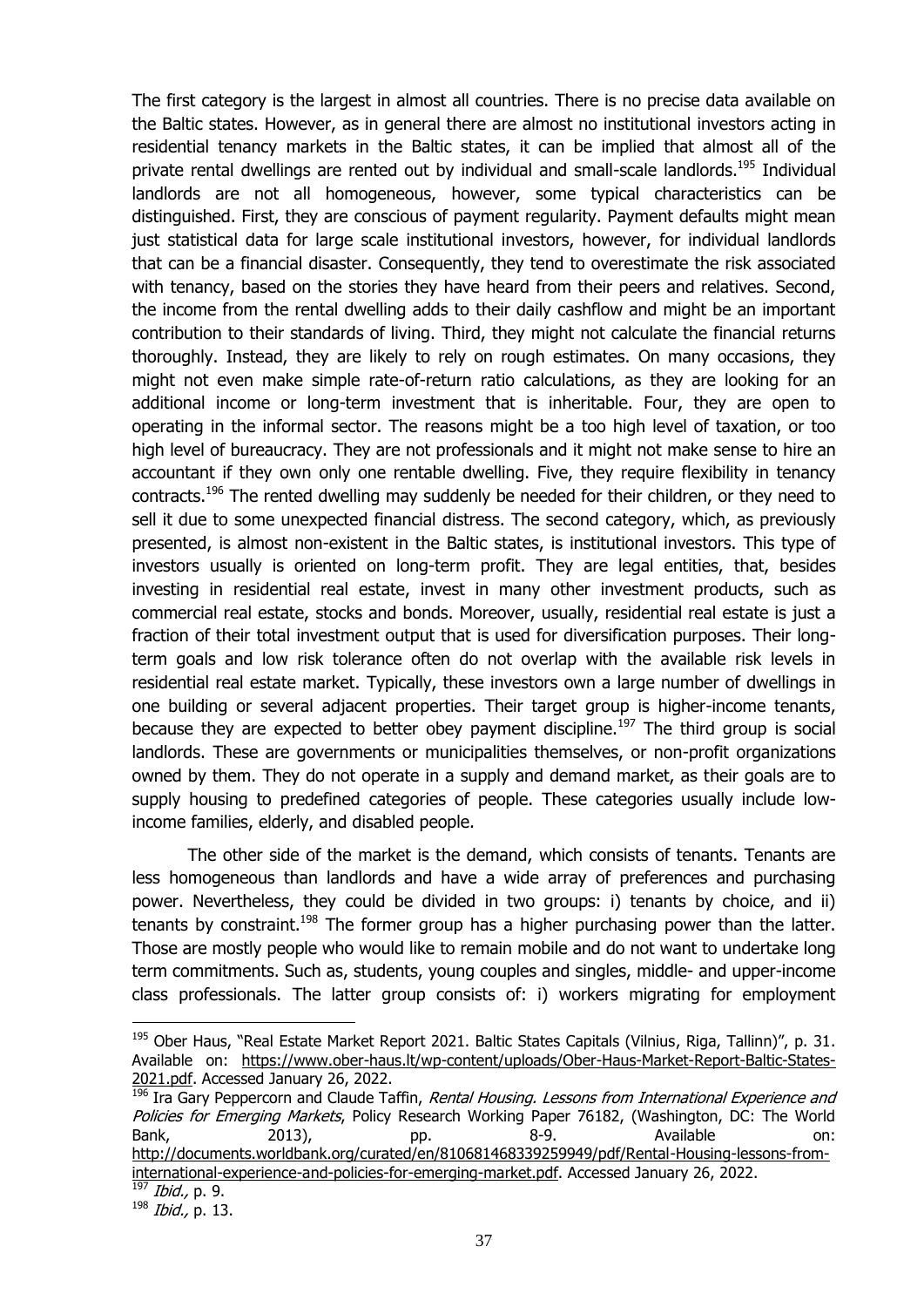The first category is the largest in almost all countries. There is no precise data available on the Baltic states. However, as in general there are almost no institutional investors acting in residential tenancy markets in the Baltic states, it can be implied that almost all of the private rental dwellings are rented out by individual and small-scale landlords.<sup>195</sup> Individual landlords are not all homogeneous, however, some typical characteristics can be distinguished. First, they are conscious of payment regularity. Payment defaults might mean just statistical data for large scale institutional investors, however, for individual landlords that can be a financial disaster. Consequently, they tend to overestimate the risk associated with tenancy, based on the stories they have heard from their peers and relatives. Second, the income from the rental dwelling adds to their daily cashflow and might be an important contribution to their standards of living. Third, they might not calculate the financial returns thoroughly. Instead, they are likely to rely on rough estimates. On many occasions, they might not even make simple rate-of-return ratio calculations, as they are looking for an additional income or long-term investment that is inheritable. Four, they are open to operating in the informal sector. The reasons might be a too high level of taxation, or too high level of bureaucracy. They are not professionals and it might not make sense to hire an accountant if they own only one rentable dwelling. Five, they require flexibility in tenancy contracts.<sup>196</sup> The rented dwelling may suddenly be needed for their children, or they need to sell it due to some unexpected financial distress. The second category, which, as previously presented, is almost non-existent in the Baltic states, is institutional investors. This type of investors usually is oriented on long-term profit. They are legal entities, that, besides investing in residential real estate, invest in many other investment products, such as commercial real estate, stocks and bonds. Moreover, usually, residential real estate is just a fraction of their total investment output that is used for diversification purposes. Their longterm goals and low risk tolerance often do not overlap with the available risk levels in residential real estate market. Typically, these investors own a large number of dwellings in one building or several adjacent properties. Their target group is higher-income tenants, because they are expected to better obey payment discipline.<sup>197</sup> The third group is social landlords. These are governments or municipalities themselves, or non-profit organizations owned by them. They do not operate in a supply and demand market, as their goals are to supply housing to predefined categories of people. These categories usually include lowincome families, elderly, and disabled people.

The other side of the market is the demand, which consists of tenants. Tenants are less homogeneous than landlords and have a wide array of preferences and purchasing power. Nevertheless, they could be divided in two groups: i) tenants by choice, and ii) tenants by constraint.<sup>198</sup> The former group has a higher purchasing power than the latter. Those are mostly people who would like to remain mobile and do not want to undertake long term commitments. Such as, students, young couples and singles, middle- and upper-income class professionals. The latter group consists of: i) workers migrating for employment

<sup>&</sup>lt;sup>195</sup> Ober Haus, "Real Estate Market Report 2021. Baltic States Capitals (Vilnius, Riga, Tallinn)", p. 31. Available on: [https://www.ober-haus.lt/wp-content/uploads/Ober-Haus-Market-Report-Baltic-States-](https://www.ober-haus.lt/wp-content/uploads/Ober-Haus-Market-Report-Baltic-States-2021.pdf)[2021.pdf.](https://www.ober-haus.lt/wp-content/uploads/Ober-Haus-Market-Report-Baltic-States-2021.pdf) Accessed January 26, 2022.

<sup>&</sup>lt;sup>196</sup> Ira Gary Peppercorn and Claude Taffin, Rental Housing. Lessons from International Experience and Policies for Emerging Markets, Policy Research Working Paper 76182, (Washington, DC: The World Bank, 2013), pp. 8-9. Available on: [http://documents.worldbank.org/curated/en/810681468339259949/pdf/Rental-Housing-lessons-from](http://documents.worldbank.org/curated/en/810681468339259949/pdf/Rental-Housing-lessons-from-international-experience-and-policies-for-emerging-market.pdf)[international-experience-and-policies-for-emerging-market.pdf.](http://documents.worldbank.org/curated/en/810681468339259949/pdf/Rental-Housing-lessons-from-international-experience-and-policies-for-emerging-market.pdf) Accessed January 26, 2022.  $197$  *Ibid.*, p. 9.

<sup>198</sup> Ibid., p. 13.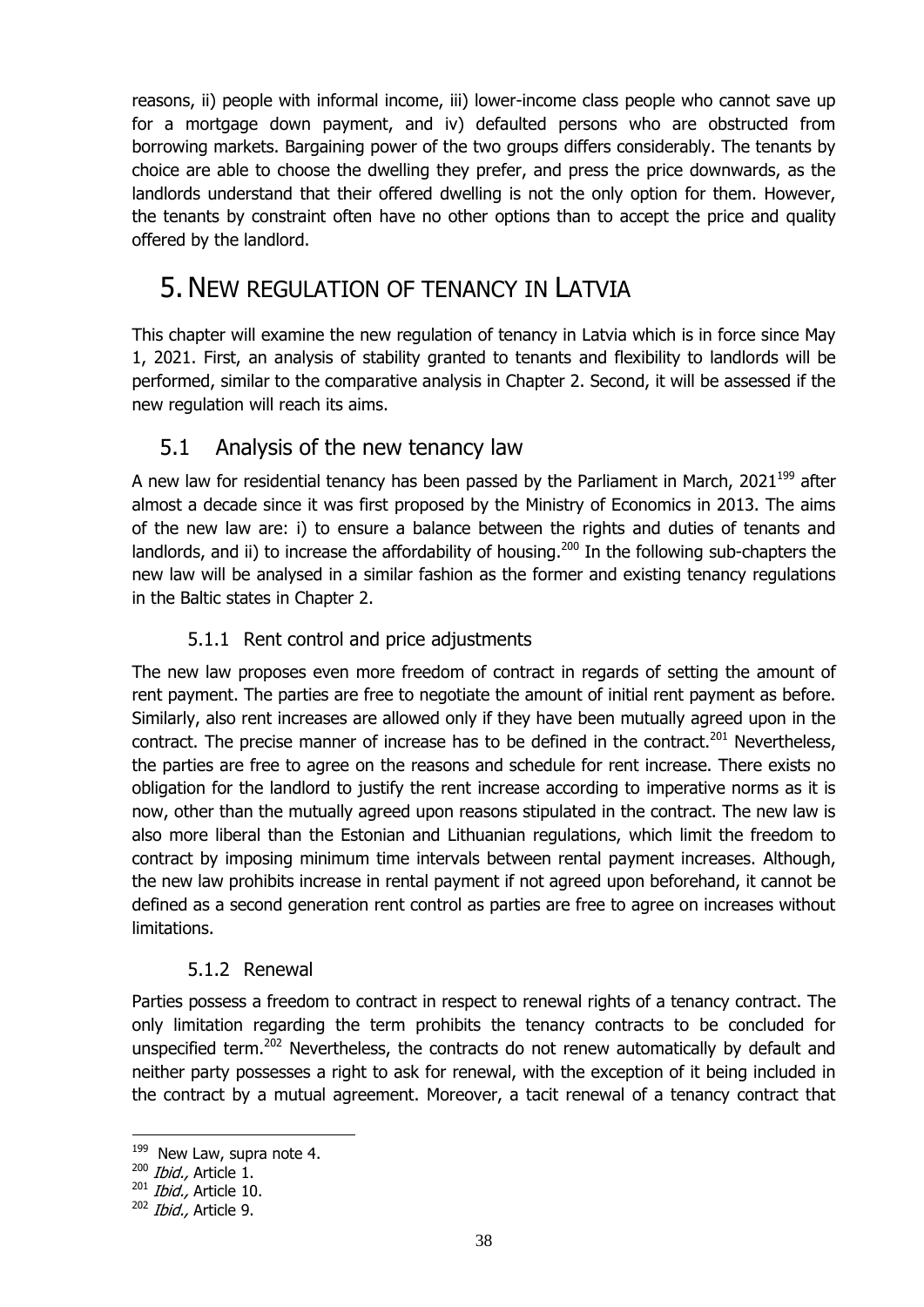reasons, ii) people with informal income, iii) lower-income class people who cannot save up for a mortgage down payment, and iv) defaulted persons who are obstructed from borrowing markets. Bargaining power of the two groups differs considerably. The tenants by choice are able to choose the dwelling they prefer, and press the price downwards, as the landlords understand that their offered dwelling is not the only option for them. However, the tenants by constraint often have no other options than to accept the price and quality offered by the landlord.

## <span id="page-40-0"></span>5.NEW REGULATION OF TENANCY IN LATVIA

This chapter will examine the new regulation of tenancy in Latvia which is in force since May 1, 2021. First, an analysis of stability granted to tenants and flexibility to landlords will be performed, similar to the comparative analysis in Chapter 2. Second, it will be assessed if the new regulation will reach its aims.

## <span id="page-40-1"></span>5.1 Analysis of the new tenancy law

A new law for residential tenancy has been passed by the Parliament in March,  $2021^{199}$  after almost a decade since it was first proposed by the Ministry of Economics in 2013. The aims of the new law are: i) to ensure a balance between the rights and duties of tenants and landlords, and ii) to increase the affordability of housing.<sup>200</sup> In the following sub-chapters the new law will be analysed in a similar fashion as the former and existing tenancy regulations in the Baltic states in Chapter 2.

## 5.1.1 Rent control and price adjustments

<span id="page-40-2"></span>The new law proposes even more freedom of contract in regards of setting the amount of rent payment. The parties are free to negotiate the amount of initial rent payment as before. Similarly, also rent increases are allowed only if they have been mutually agreed upon in the contract. The precise manner of increase has to be defined in the contract. $201$  Nevertheless, the parties are free to agree on the reasons and schedule for rent increase. There exists no obligation for the landlord to justify the rent increase according to imperative norms as it is now, other than the mutually agreed upon reasons stipulated in the contract. The new law is also more liberal than the Estonian and Lithuanian regulations, which limit the freedom to contract by imposing minimum time intervals between rental payment increases. Although, the new law prohibits increase in rental payment if not agreed upon beforehand, it cannot be defined as a second generation rent control as parties are free to agree on increases without limitations.

## 5.1.2 Renewal

<span id="page-40-3"></span>Parties possess a freedom to contract in respect to renewal rights of a tenancy contract. The only limitation regarding the term prohibits the tenancy contracts to be concluded for unspecified term.<sup>202</sup> Nevertheless, the contracts do not renew automatically by default and neither party possesses a right to ask for renewal, with the exception of it being included in the contract by a mutual agreement. Moreover, a tacit renewal of a tenancy contract that

1

<sup>&</sup>lt;sup>199</sup> New Law, supra note [4.](#page-6-0)

 $200$  *Ibid.*, Article 1.

 $^{201}$  *Ibid.*, Article 10.

 $202$  *Ibid.*, Article 9.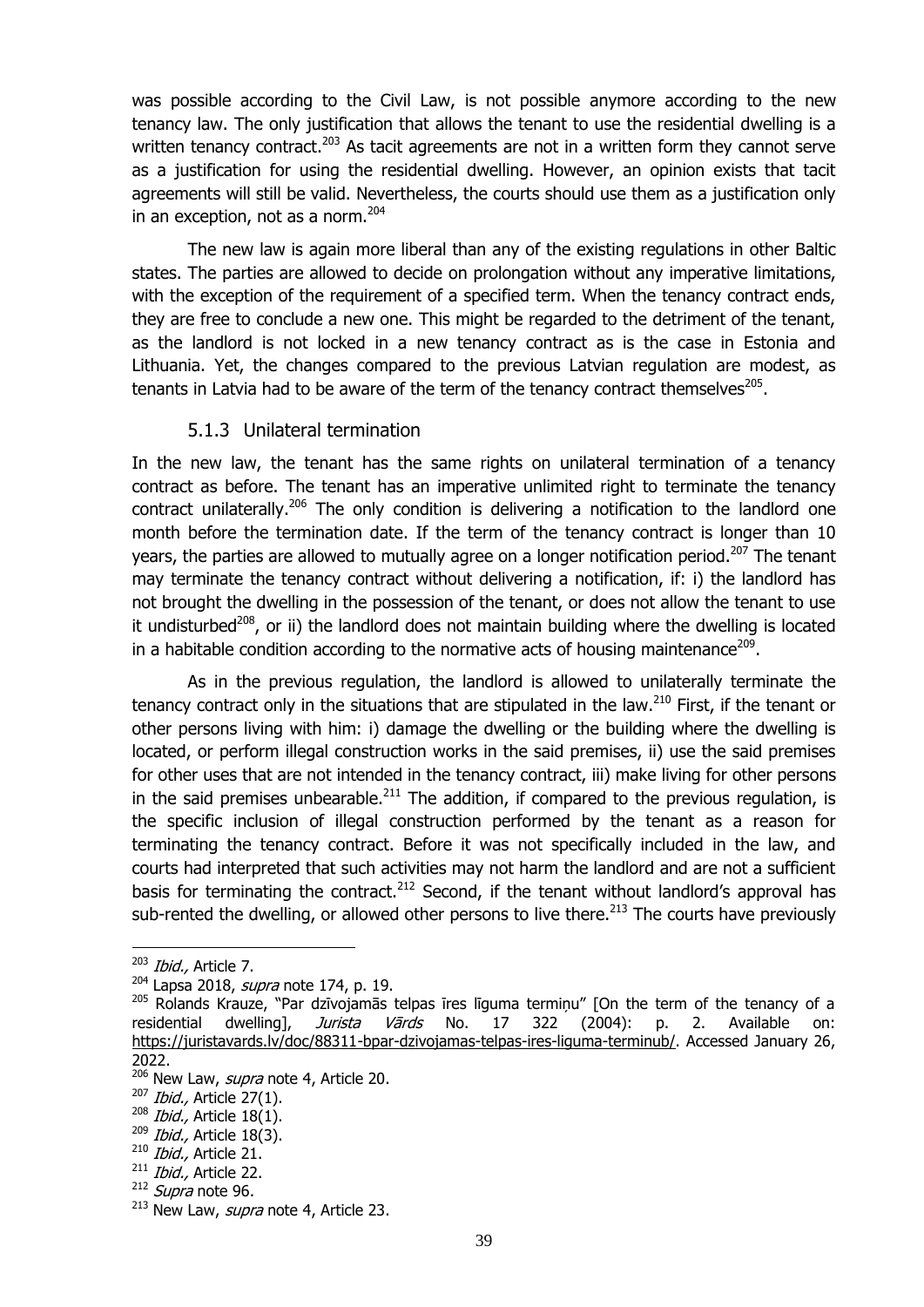was possible according to the Civil Law, is not possible anymore according to the new tenancy law. The only justification that allows the tenant to use the residential dwelling is a written tenancy contract.<sup>203</sup> As tacit agreements are not in a written form they cannot serve as a justification for using the residential dwelling. However, an opinion exists that tacit agreements will still be valid. Nevertheless, the courts should use them as a justification only in an exception, not as a norm.<sup>204</sup>

The new law is again more liberal than any of the existing regulations in other Baltic states. The parties are allowed to decide on prolongation without any imperative limitations, with the exception of the requirement of a specified term. When the tenancy contract ends, they are free to conclude a new one. This might be regarded to the detriment of the tenant, as the landlord is not locked in a new tenancy contract as is the case in Estonia and Lithuania. Yet, the changes compared to the previous Latvian regulation are modest, as tenants in Latvia had to be aware of the term of the tenancy contract themselves<sup>205</sup>.

#### 5.1.3 Unilateral termination

<span id="page-41-0"></span>In the new law, the tenant has the same rights on unilateral termination of a tenancy contract as before. The tenant has an imperative unlimited right to terminate the tenancy contract unilaterally.<sup>206</sup> The only condition is delivering a notification to the landlord one month before the termination date. If the term of the tenancy contract is longer than 10 years, the parties are allowed to mutually agree on a longer notification period.<sup>207</sup> The tenant may terminate the tenancy contract without delivering a notification, if: i) the landlord has not brought the dwelling in the possession of the tenant, or does not allow the tenant to use it undisturbed<sup>208</sup>, or ii) the landlord does not maintain building where the dwelling is located in a habitable condition according to the normative acts of housing maintenance $^{209}$ .

As in the previous regulation, the landlord is allowed to unilaterally terminate the tenancy contract only in the situations that are stipulated in the law. $^{210}$  First, if the tenant or other persons living with him: i) damage the dwelling or the building where the dwelling is located, or perform illegal construction works in the said premises, ii) use the said premises for other uses that are not intended in the tenancy contract, iii) make living for other persons in the said premises unbearable. $^{211}$  The addition, if compared to the previous regulation, is the specific inclusion of illegal construction performed by the tenant as a reason for terminating the tenancy contract. Before it was not specifically included in the law, and courts had interpreted that such activities may not harm the landlord and are not a sufficient basis for terminating the contract.<sup>212</sup> Second, if the tenant without landlord's approval has sub-rented the dwelling, or allowed other persons to live there.<sup>213</sup> The courts have previously

 $203$  *Ibid.*, Article 7.

 $204$  Lapsa 2018, *supra* note [174,](#page-28-0) p. 19.

<sup>205</sup> Rolands Krauze, "Par dzīvojamās telpas īres līguma termiņu" [On the term of the tenancy of a residential dwelling], Jurista Vārds No. 17 322 (2004): p. 2. Available on: [https://juristavards.lv/doc/88311-bpar-dzivojamas-telpas-ires-liguma-terminub/.](https://juristavards.lv/doc/88311-bpar-dzivojamas-telpas-ires-liguma-terminub/) Accessed January 26, 2022.

<sup>&</sup>lt;sup>206</sup> New Law, *supra* note [4,](#page-6-1) Article 20.

 $207$  *Ibid.*, Article 27(1).

 $208$  *Ibid.*, Article 18(1).

 $209$  *Ibid.*, Article 18(3).

<sup>&</sup>lt;sup>210</sup> Ibid., Article 21.

 $211$  *Ibid.*, Article 22.

 $212$  *Supra* note [96.](#page-19-0)

 $213$  New Law, *supra* note [4,](#page-6-1) Article 23.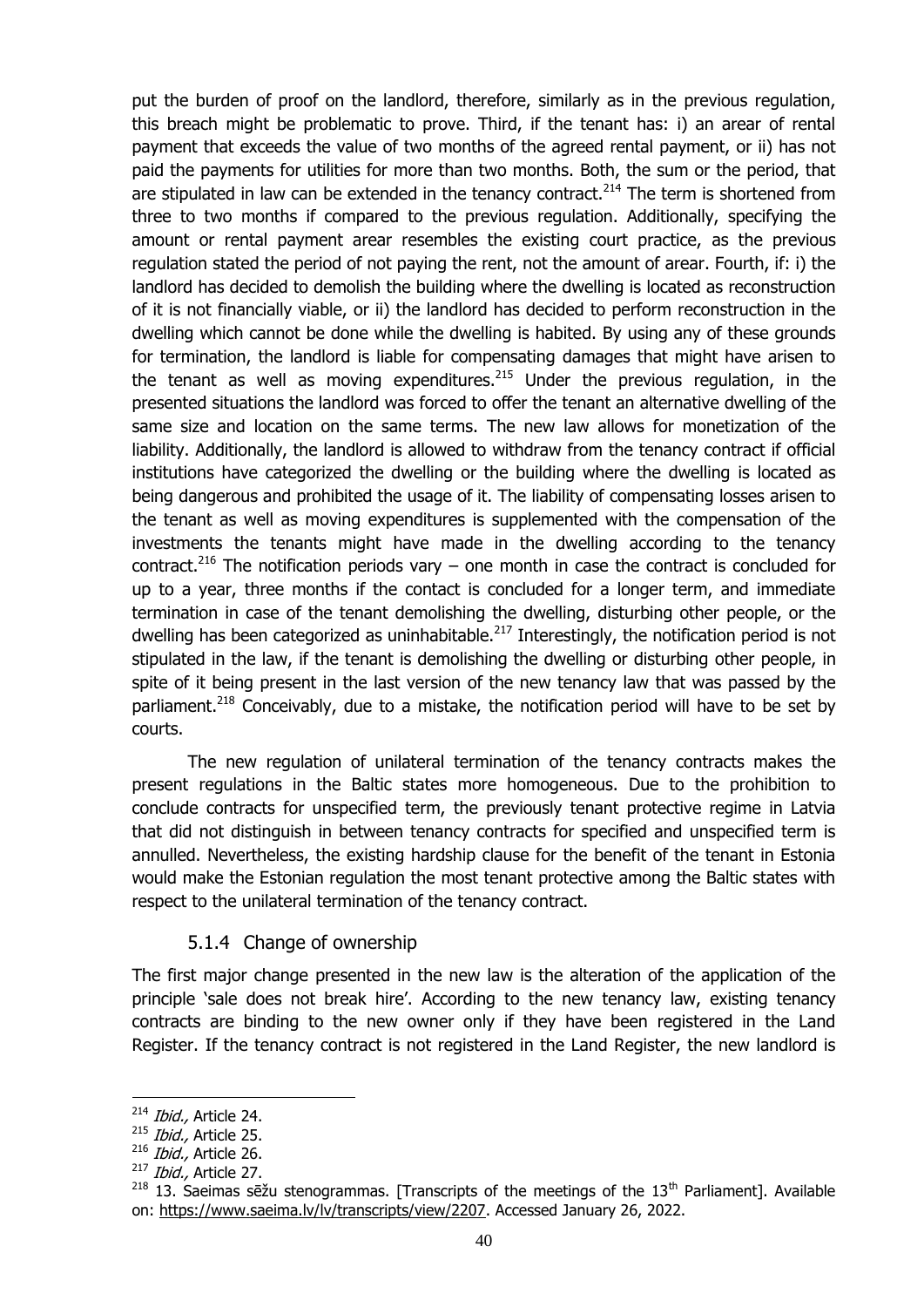put the burden of proof on the landlord, therefore, similarly as in the previous regulation, this breach might be problematic to prove. Third, if the tenant has: i) an arear of rental payment that exceeds the value of two months of the agreed rental payment, or ii) has not paid the payments for utilities for more than two months. Both, the sum or the period, that are stipulated in law can be extended in the tenancy contract.<sup>214</sup> The term is shortened from three to two months if compared to the previous regulation. Additionally, specifying the amount or rental payment arear resembles the existing court practice, as the previous regulation stated the period of not paying the rent, not the amount of arear. Fourth, if: i) the landlord has decided to demolish the building where the dwelling is located as reconstruction of it is not financially viable, or ii) the landlord has decided to perform reconstruction in the dwelling which cannot be done while the dwelling is habited. By using any of these grounds for termination, the landlord is liable for compensating damages that might have arisen to the tenant as well as moving expenditures.<sup>215</sup> Under the previous regulation, in the presented situations the landlord was forced to offer the tenant an alternative dwelling of the same size and location on the same terms. The new law allows for monetization of the liability. Additionally, the landlord is allowed to withdraw from the tenancy contract if official institutions have categorized the dwelling or the building where the dwelling is located as being dangerous and prohibited the usage of it. The liability of compensating losses arisen to the tenant as well as moving expenditures is supplemented with the compensation of the investments the tenants might have made in the dwelling according to the tenancy contract.<sup>216</sup> The notification periods vary – one month in case the contract is concluded for up to a year, three months if the contact is concluded for a longer term, and immediate termination in case of the tenant demolishing the dwelling, disturbing other people, or the dwelling has been categorized as uninhabitable. $^{217}$  Interestingly, the notification period is not stipulated in the law, if the tenant is demolishing the dwelling or disturbing other people, in spite of it being present in the last version of the new tenancy law that was passed by the parliament.<sup>218</sup> Conceivably, due to a mistake, the notification period will have to be set by courts.

The new regulation of unilateral termination of the tenancy contracts makes the present regulations in the Baltic states more homogeneous. Due to the prohibition to conclude contracts for unspecified term, the previously tenant protective regime in Latvia that did not distinguish in between tenancy contracts for specified and unspecified term is annulled. Nevertheless, the existing hardship clause for the benefit of the tenant in Estonia would make the Estonian regulation the most tenant protective among the Baltic states with respect to the unilateral termination of the tenancy contract.

#### 5.1.4 Change of ownership

<span id="page-42-0"></span>The first major change presented in the new law is the alteration of the application of the principle 'sale does not break hire'. According to the new tenancy law, existing tenancy contracts are binding to the new owner only if they have been registered in the Land Register. If the tenancy contract is not registered in the Land Register, the new landlord is

<sup>&</sup>lt;u>.</u> <sup>214</sup> Ibid., Article 24.

 $215$  *Ibid.*, Article 25.

 $216$  *Ibid.*, Article 26.

 $217$  *Ibid.*, Article 27.

<sup>&</sup>lt;sup>218</sup> 13. Saeimas sēžu stenogrammas. [Transcripts of the meetings of the 13<sup>th</sup> Parliament]. Available on: [https://www.saeima.lv/lv/transcripts/view/2207.](https://www.saeima.lv/lv/transcripts/view/2207) Accessed January 26, 2022.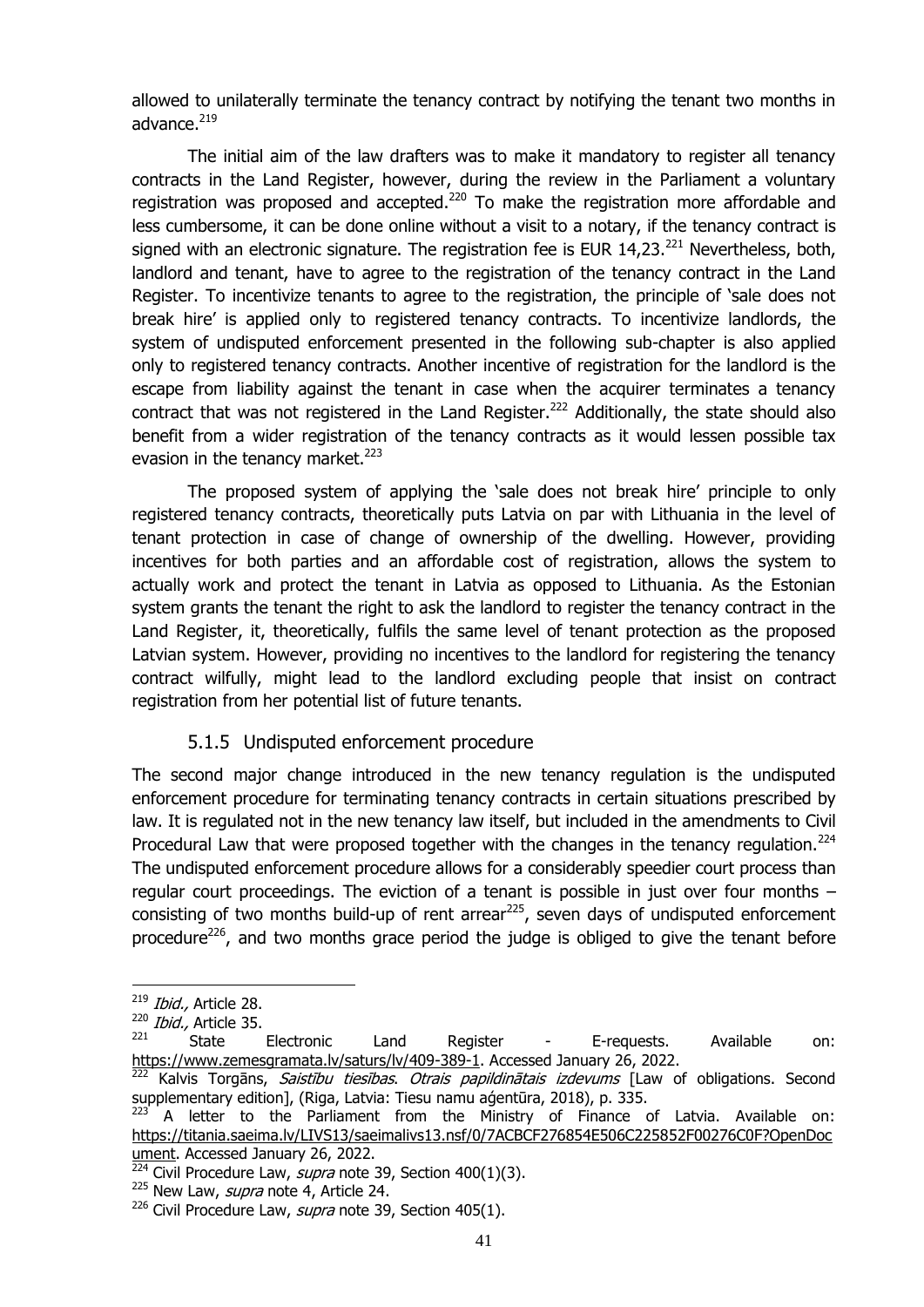allowed to unilaterally terminate the tenancy contract by notifying the tenant two months in advance.<sup>219</sup>

The initial aim of the law drafters was to make it mandatory to register all tenancy contracts in the Land Register, however, during the review in the Parliament a voluntary registration was proposed and accepted. $^{220}$  To make the registration more affordable and less cumbersome, it can be done online without a visit to a notary, if the tenancy contract is signed with an electronic signature. The registration fee is EUR  $14,23$ .<sup>221</sup> Nevertheless, both, landlord and tenant, have to agree to the registration of the tenancy contract in the Land Register. To incentivize tenants to agree to the registration, the principle of 'sale does not break hire' is applied only to registered tenancy contracts. To incentivize landlords, the system of undisputed enforcement presented in the following sub-chapter is also applied only to registered tenancy contracts. Another incentive of registration for the landlord is the escape from liability against the tenant in case when the acquirer terminates a tenancy contract that was not registered in the Land Register.<sup>222</sup> Additionally, the state should also benefit from a wider registration of the tenancy contracts as it would lessen possible tax evasion in the tenancy market. $223$ 

The proposed system of applying the 'sale does not break hire' principle to only registered tenancy contracts, theoretically puts Latvia on par with Lithuania in the level of tenant protection in case of change of ownership of the dwelling. However, providing incentives for both parties and an affordable cost of registration, allows the system to actually work and protect the tenant in Latvia as opposed to Lithuania. As the Estonian system grants the tenant the right to ask the landlord to register the tenancy contract in the Land Register, it, theoretically, fulfils the same level of tenant protection as the proposed Latvian system. However, providing no incentives to the landlord for registering the tenancy contract wilfully, might lead to the landlord excluding people that insist on contract registration from her potential list of future tenants.

#### <span id="page-43-1"></span>5.1.5 Undisputed enforcement procedure

<span id="page-43-0"></span>The second major change introduced in the new tenancy regulation is the undisputed enforcement procedure for terminating tenancy contracts in certain situations prescribed by law. It is regulated not in the new tenancy law itself, but included in the amendments to Civil Procedural Law that were proposed together with the changes in the tenancy regulation.<sup>224</sup> The undisputed enforcement procedure allows for a considerably speedier court process than regular court proceedings. The eviction of a tenant is possible in just over four months – consisting of two months build-up of rent arrear<sup>225</sup>, seven days of undisputed enforcement procedure<sup>226</sup>, and two months grace period the judge is obliged to give the tenant before

<sup>&</sup>lt;sup>219</sup> *Ibid.,* Article 28.

 $\frac{220}{221}$  *Ibid.*, Article 35.

 $221$  State Electronic Land Register - E-requests. Available on: [https://www.zemesgramata.lv/saturs/lv/409-389-1.](https://www.zemesgramata.lv/saturs/lv/409-389-1) Accessed January 26, 2022.

<sup>&</sup>lt;sup>222</sup> Kalvis Torgāns, *Saistību tiesības. Otrais papildinātais izdevums* [Law of obligations. Second supplementary edition], (Riga, Latvia: Tiesu namu aģentūra, 2018), p. 335.

A letter to the Parliament from the Ministry of Finance of Latvia. Available on: [https://titania.saeima.lv/LIVS13/saeimalivs13.nsf/0/7ACBCF276854E506C225852F00276C0F?OpenDoc](https://titania.saeima.lv/LIVS13/saeimalivs13.nsf/0/7ACBCF276854E506C225852F00276C0F?OpenDocument) [ument.](https://titania.saeima.lv/LIVS13/saeimalivs13.nsf/0/7ACBCF276854E506C225852F00276C0F?OpenDocument) Accessed January 26, 2022.

 $\frac{224}{224}$  Civil Procedure Law, *supra* note [39,](#page-12-2) Section 400(1)(3).

<sup>&</sup>lt;sup>225</sup> New Law, *supra* note [4,](#page-6-1) Article 24.

<sup>&</sup>lt;sup>226</sup> Civil Procedure Law, *supra* note [39,](#page-12-2) Section 405(1).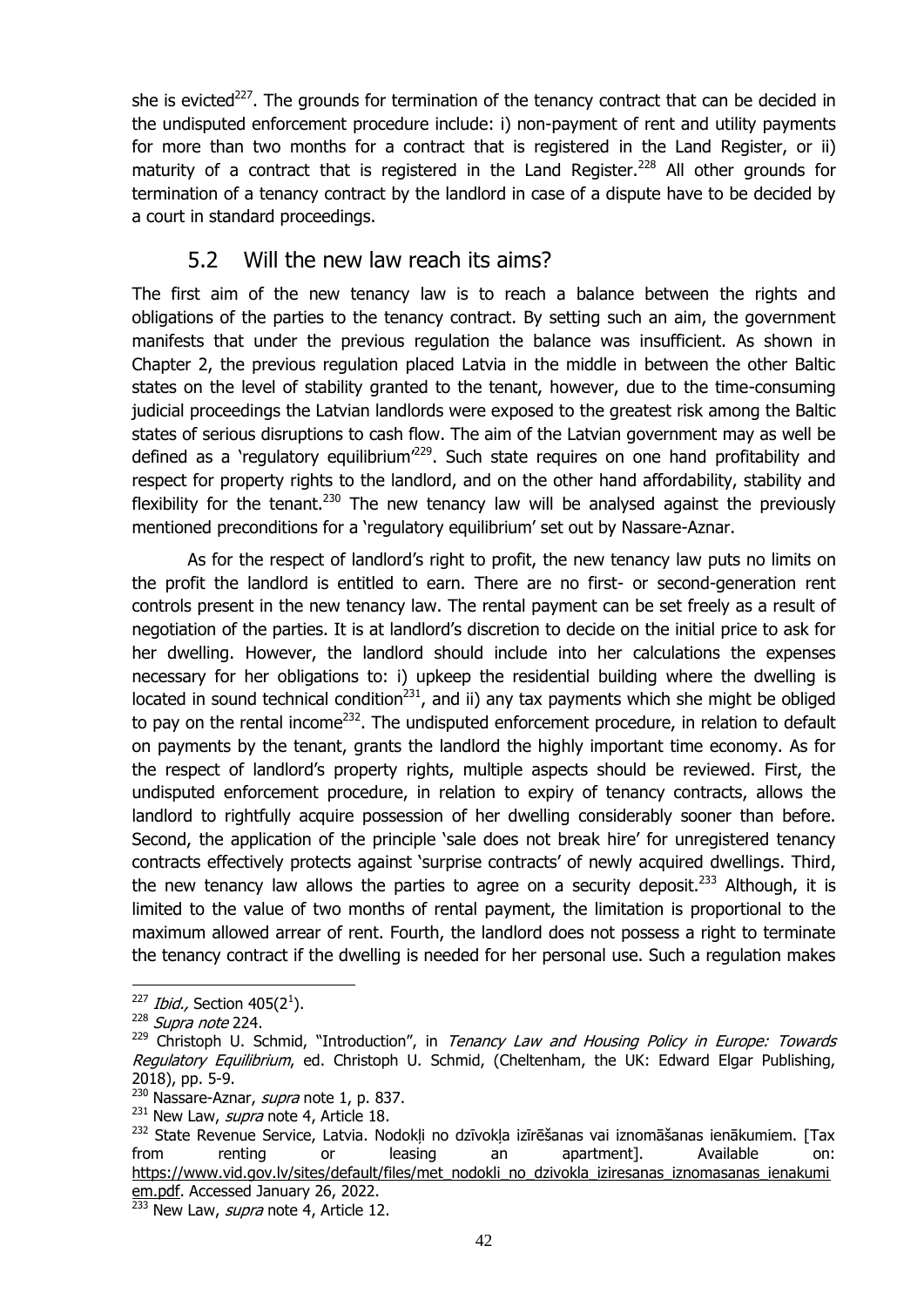she is evicted<sup>227</sup>. The grounds for termination of the tenancy contract that can be decided in the undisputed enforcement procedure include: i) non-payment of rent and utility payments for more than two months for a contract that is registered in the Land Register, or ii) maturity of a contract that is registered in the Land Register.<sup>228</sup> All other grounds for termination of a tenancy contract by the landlord in case of a dispute have to be decided by a court in standard proceedings.

## 5.2 Will the new law reach its aims?

<span id="page-44-0"></span>The first aim of the new tenancy law is to reach a balance between the rights and obligations of the parties to the tenancy contract. By setting such an aim, the government manifests that under the previous regulation the balance was insufficient. As shown in Chapter 2, the previous regulation placed Latvia in the middle in between the other Baltic states on the level of stability granted to the tenant, however, due to the time-consuming judicial proceedings the Latvian landlords were exposed to the greatest risk among the Baltic states of serious disruptions to cash flow. The aim of the Latvian government may as well be defined as a 'regulatory equilibrium<sup> $229$ </sup>. Such state requires on one hand profitability and respect for property rights to the landlord, and on the other hand affordability, stability and flexibility for the tenant.<sup>230</sup> The new tenancy law will be analysed against the previously mentioned preconditions for a 'regulatory equilibrium' set out by Nassare-Aznar.

As for the respect of landlord's right to profit, the new tenancy law puts no limits on the profit the landlord is entitled to earn. There are no first- or second-generation rent controls present in the new tenancy law. The rental payment can be set freely as a result of negotiation of the parties. It is at landlord's discretion to decide on the initial price to ask for her dwelling. However, the landlord should include into her calculations the expenses necessary for her obligations to: i) upkeep the residential building where the dwelling is located in sound technical condition<sup>231</sup>, and ii) any tax payments which she might be obliged to pay on the rental income<sup>232</sup>. The undisputed enforcement procedure, in relation to default on payments by the tenant, grants the landlord the highly important time economy. As for the respect of landlord's property rights, multiple aspects should be reviewed. First, the undisputed enforcement procedure, in relation to expiry of tenancy contracts, allows the landlord to rightfully acquire possession of her dwelling considerably sooner than before. Second, the application of the principle 'sale does not break hire' for unregistered tenancy contracts effectively protects against 'surprise contracts' of newly acquired dwellings. Third, the new tenancy law allows the parties to agree on a security deposit.<sup>233</sup> Although, it is limited to the value of two months of rental payment, the limitation is proportional to the maximum allowed arrear of rent. Fourth, the landlord does not possess a right to terminate the tenancy contract if the dwelling is needed for her personal use. Such a regulation makes

 $^{227}$  *Ibid.,* Section 405(2<sup>1</sup>).

<sup>&</sup>lt;sup>228</sup> Supra note [224.](#page-43-1)

<sup>&</sup>lt;sup>229</sup> Christoph U. Schmid, "Introduction", in Tenancy Law and Housing Policy in Europe: Towards Regulatory Equilibrium, ed. Christoph U. Schmid, (Cheltenham, the UK: Edward Elgar Publishing, 2018), pp. 5-9.

 $230$  Nassare-Aznar, *supra* note [1,](#page-5-3) p. 837.

 $^{231}$  New Law, *supra* note [4,](#page-6-1) Article 18.

<sup>&</sup>lt;sup>232</sup> State Revenue Service, Latvia. Nodokļi no dzīvokļa izīrēšanas vai iznomāšanas ienākumiem. [Tax from renting or leasing an apartment]. Available on: [https://www.vid.gov.lv/sites/default/files/met\\_nodokli\\_no\\_dzivokla\\_iziresanas\\_iznomasanas\\_ienakumi](https://www.vid.gov.lv/sites/default/files/met_nodokli_no_dzivokla_iziresanas_iznomasanas_ienakumiem.pdf) [em.pdf.](https://www.vid.gov.lv/sites/default/files/met_nodokli_no_dzivokla_iziresanas_iznomasanas_ienakumiem.pdf) Accessed January 26, 2022.

 $\frac{233}{233}$  New Law, *supra* note [4,](#page-6-1) Article 12.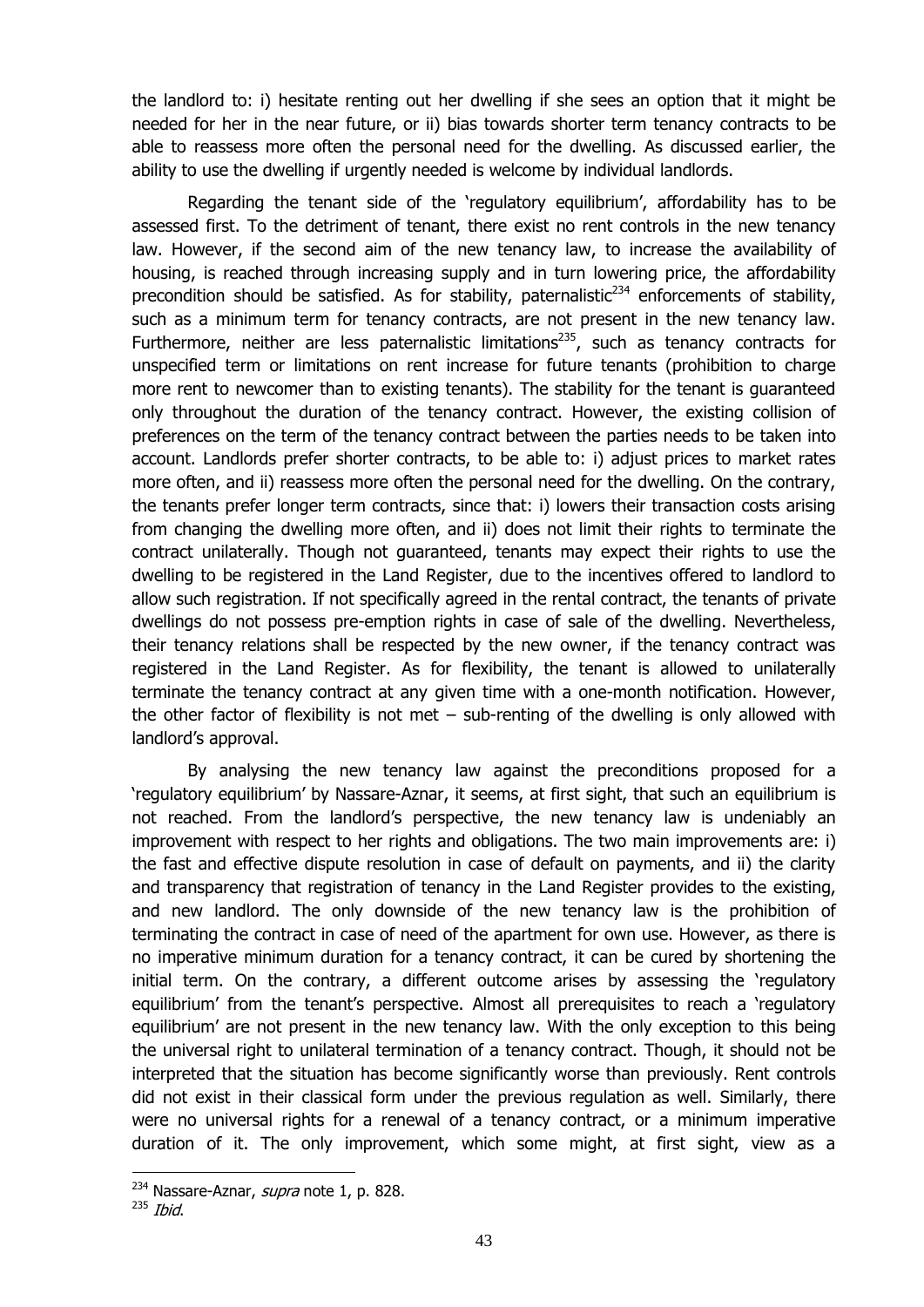the landlord to: i) hesitate renting out her dwelling if she sees an option that it might be needed for her in the near future, or ii) bias towards shorter term tenancy contracts to be able to reassess more often the personal need for the dwelling. As discussed earlier, the ability to use the dwelling if urgently needed is welcome by individual landlords.

Regarding the tenant side of the 'regulatory equilibrium', affordability has to be assessed first. To the detriment of tenant, there exist no rent controls in the new tenancy law. However, if the second aim of the new tenancy law, to increase the availability of housing, is reached through increasing supply and in turn lowering price, the affordability precondition should be satisfied. As for stability, paternalistic<sup>234</sup> enforcements of stability, such as a minimum term for tenancy contracts, are not present in the new tenancy law. Furthermore, neither are less paternalistic limitations<sup>235</sup>, such as tenancy contracts for unspecified term or limitations on rent increase for future tenants (prohibition to charge more rent to newcomer than to existing tenants). The stability for the tenant is guaranteed only throughout the duration of the tenancy contract. However, the existing collision of preferences on the term of the tenancy contract between the parties needs to be taken into account. Landlords prefer shorter contracts, to be able to: i) adjust prices to market rates more often, and ii) reassess more often the personal need for the dwelling. On the contrary, the tenants prefer longer term contracts, since that: i) lowers their transaction costs arising from changing the dwelling more often, and ii) does not limit their rights to terminate the contract unilaterally. Though not guaranteed, tenants may expect their rights to use the dwelling to be registered in the Land Register, due to the incentives offered to landlord to allow such registration. If not specifically agreed in the rental contract, the tenants of private dwellings do not possess pre-emption rights in case of sale of the dwelling. Nevertheless, their tenancy relations shall be respected by the new owner, if the tenancy contract was registered in the Land Register. As for flexibility, the tenant is allowed to unilaterally terminate the tenancy contract at any given time with a one-month notification. However, the other factor of flexibility is not met  $-$  sub-renting of the dwelling is only allowed with landlord's approval.

By analysing the new tenancy law against the preconditions proposed for a 'regulatory equilibrium' by Nassare-Aznar, it seems, at first sight, that such an equilibrium is not reached. From the landlord's perspective, the new tenancy law is undeniably an improvement with respect to her rights and obligations. The two main improvements are: i) the fast and effective dispute resolution in case of default on payments, and ii) the clarity and transparency that registration of tenancy in the Land Register provides to the existing, and new landlord. The only downside of the new tenancy law is the prohibition of terminating the contract in case of need of the apartment for own use. However, as there is no imperative minimum duration for a tenancy contract, it can be cured by shortening the initial term. On the contrary, a different outcome arises by assessing the 'regulatory equilibrium' from the tenant's perspective. Almost all prerequisites to reach a 'regulatory equilibrium' are not present in the new tenancy law. With the only exception to this being the universal right to unilateral termination of a tenancy contract. Though, it should not be interpreted that the situation has become significantly worse than previously. Rent controls did not exist in their classical form under the previous regulation as well. Similarly, there were no universal rights for a renewal of a tenancy contract, or a minimum imperative duration of it. The only improvement, which some might, at first sight, view as a

<sup>&</sup>lt;sup>234</sup> Nassare-Aznar, *supra* note [1,](#page-5-3) p. 828.

 $235$  Ibid.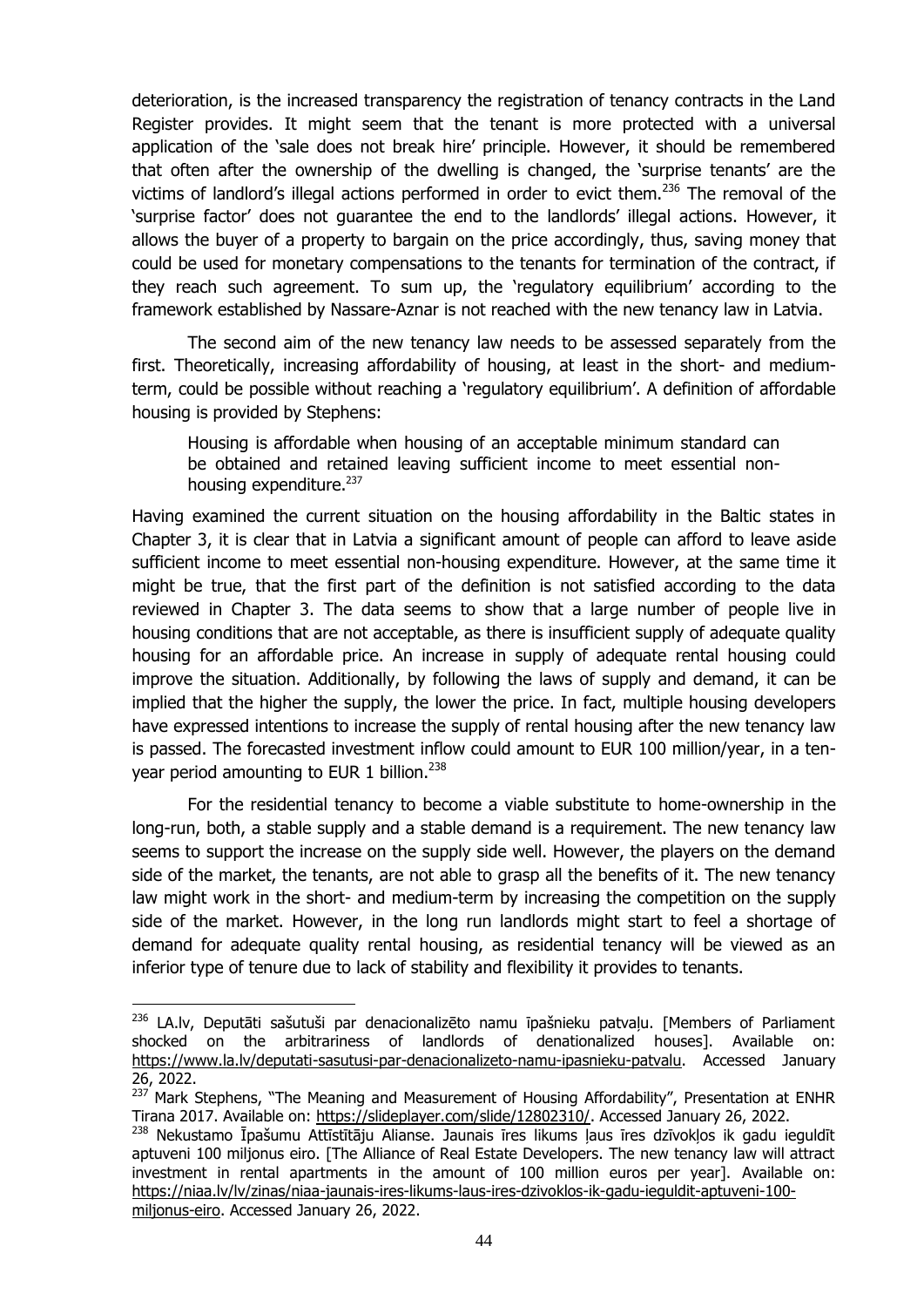deterioration, is the increased transparency the registration of tenancy contracts in the Land Register provides. It might seem that the tenant is more protected with a universal application of the 'sale does not break hire' principle. However, it should be remembered that often after the ownership of the dwelling is changed, the 'surprise tenants' are the victims of landlord's illegal actions performed in order to evict them.<sup>236</sup> The removal of the 'surprise factor' does not guarantee the end to the landlords' illegal actions. However, it allows the buyer of a property to bargain on the price accordingly, thus, saving money that could be used for monetary compensations to the tenants for termination of the contract, if they reach such agreement. To sum up, the 'regulatory equilibrium' according to the framework established by Nassare-Aznar is not reached with the new tenancy law in Latvia.

The second aim of the new tenancy law needs to be assessed separately from the first. Theoretically, increasing affordability of housing, at least in the short- and mediumterm, could be possible without reaching a 'regulatory equilibrium'. A definition of affordable housing is provided by Stephens:

Housing is affordable when housing of an acceptable minimum standard can be obtained and retained leaving sufficient income to meet essential nonhousing expenditure.<sup>237</sup>

Having examined the current situation on the housing affordability in the Baltic states in Chapter 3, it is clear that in Latvia a significant amount of people can afford to leave aside sufficient income to meet essential non-housing expenditure. However, at the same time it might be true, that the first part of the definition is not satisfied according to the data reviewed in Chapter 3. The data seems to show that a large number of people live in housing conditions that are not acceptable, as there is insufficient supply of adequate quality housing for an affordable price. An increase in supply of adequate rental housing could improve the situation. Additionally, by following the laws of supply and demand, it can be implied that the higher the supply, the lower the price. In fact, multiple housing developers have expressed intentions to increase the supply of rental housing after the new tenancy law is passed. The forecasted investment inflow could amount to EUR 100 million/year, in a tenyear period amounting to EUR 1 billion.<sup>238</sup>

For the residential tenancy to become a viable substitute to home-ownership in the long-run, both, a stable supply and a stable demand is a requirement. The new tenancy law seems to support the increase on the supply side well. However, the players on the demand side of the market, the tenants, are not able to grasp all the benefits of it. The new tenancy law might work in the short- and medium-term by increasing the competition on the supply side of the market. However, in the long run landlords might start to feel a shortage of demand for adequate quality rental housing, as residential tenancy will be viewed as an inferior type of tenure due to lack of stability and flexibility it provides to tenants.

<sup>&</sup>lt;sup>236</sup> LA.lv, Deputāti sašutuši par denacionalizēto namu īpašnieku patvaļu. [Members of Parliament shocked on the arbitrariness of landlords of denationalized houses]. Available on: [https://www.la.lv/deputati-sasutusi-par-denacionalizeto-namu-ipasnieku-patvalu.](https://www.la.lv/deputati-sasutusi-par-denacionalizeto-namu-ipasnieku-patvalu) Accessed January 26, 2022.

<sup>&</sup>lt;sup>237'</sup> Mark Stephens, "The Meaning and Measurement of Housing Affordability", Presentation at ENHR Tirana 2017. Available on: https://slideplayer.com/slide/12802310/. Accessed January 26, 2022.

<sup>&</sup>lt;sup>238</sup> Nekustamo Īpašumu Attīstītāju Alianse. Jaunais īres likums ļaus īres dzīvokļos ik gadu ieguldīt aptuveni 100 miljonus eiro. [The Alliance of Real Estate Developers. The new tenancy law will attract investment in rental apartments in the amount of 100 million euros per year]. Available on: [https://niaa.lv/lv/zinas/niaa-jaunais-ires-likums-laus-ires-dzivoklos-ik-gadu-ieguldit-aptuveni-100](https://niaa.lv/lv/zinas/niaa-jaunais-ires-likums-laus-ires-dzivoklos-ik-gadu-ieguldit-aptuveni-100-miljonus-eiro) [miljonus-eiro.](https://niaa.lv/lv/zinas/niaa-jaunais-ires-likums-laus-ires-dzivoklos-ik-gadu-ieguldit-aptuveni-100-miljonus-eiro) Accessed January 26, 2022.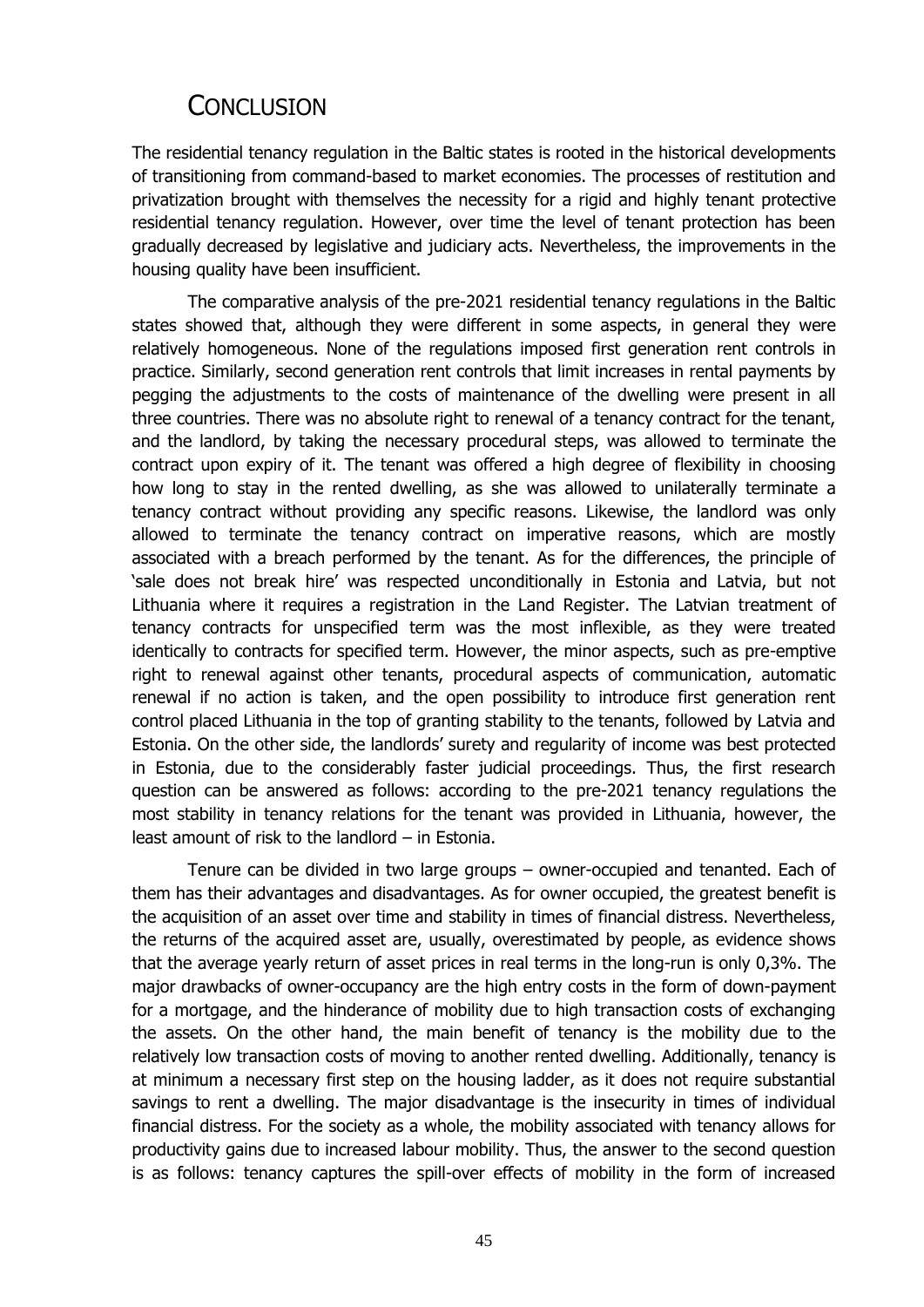## **CONCLUSION**

<span id="page-47-0"></span>The residential tenancy regulation in the Baltic states is rooted in the historical developments of transitioning from command-based to market economies. The processes of restitution and privatization brought with themselves the necessity for a rigid and highly tenant protective residential tenancy regulation. However, over time the level of tenant protection has been gradually decreased by legislative and judiciary acts. Nevertheless, the improvements in the housing quality have been insufficient.

The comparative analysis of the pre-2021 residential tenancy regulations in the Baltic states showed that, although they were different in some aspects, in general they were relatively homogeneous. None of the regulations imposed first generation rent controls in practice. Similarly, second generation rent controls that limit increases in rental payments by pegging the adjustments to the costs of maintenance of the dwelling were present in all three countries. There was no absolute right to renewal of a tenancy contract for the tenant, and the landlord, by taking the necessary procedural steps, was allowed to terminate the contract upon expiry of it. The tenant was offered a high degree of flexibility in choosing how long to stay in the rented dwelling, as she was allowed to unilaterally terminate a tenancy contract without providing any specific reasons. Likewise, the landlord was only allowed to terminate the tenancy contract on imperative reasons, which are mostly associated with a breach performed by the tenant. As for the differences, the principle of 'sale does not break hire' was respected unconditionally in Estonia and Latvia, but not Lithuania where it requires a registration in the Land Register. The Latvian treatment of tenancy contracts for unspecified term was the most inflexible, as they were treated identically to contracts for specified term. However, the minor aspects, such as pre-emptive right to renewal against other tenants, procedural aspects of communication, automatic renewal if no action is taken, and the open possibility to introduce first generation rent control placed Lithuania in the top of granting stability to the tenants, followed by Latvia and Estonia. On the other side, the landlords' surety and regularity of income was best protected in Estonia, due to the considerably faster judicial proceedings. Thus, the first research question can be answered as follows: according to the pre-2021 tenancy regulations the most stability in tenancy relations for the tenant was provided in Lithuania, however, the least amount of risk to the landlord – in Estonia.

Tenure can be divided in two large groups – owner-occupied and tenanted. Each of them has their advantages and disadvantages. As for owner occupied, the greatest benefit is the acquisition of an asset over time and stability in times of financial distress. Nevertheless, the returns of the acquired asset are, usually, overestimated by people, as evidence shows that the average yearly return of asset prices in real terms in the long-run is only 0,3%. The major drawbacks of owner-occupancy are the high entry costs in the form of down-payment for a mortgage, and the hinderance of mobility due to high transaction costs of exchanging the assets. On the other hand, the main benefit of tenancy is the mobility due to the relatively low transaction costs of moving to another rented dwelling. Additionally, tenancy is at minimum a necessary first step on the housing ladder, as it does not require substantial savings to rent a dwelling. The major disadvantage is the insecurity in times of individual financial distress. For the society as a whole, the mobility associated with tenancy allows for productivity gains due to increased labour mobility. Thus, the answer to the second question is as follows: tenancy captures the spill-over effects of mobility in the form of increased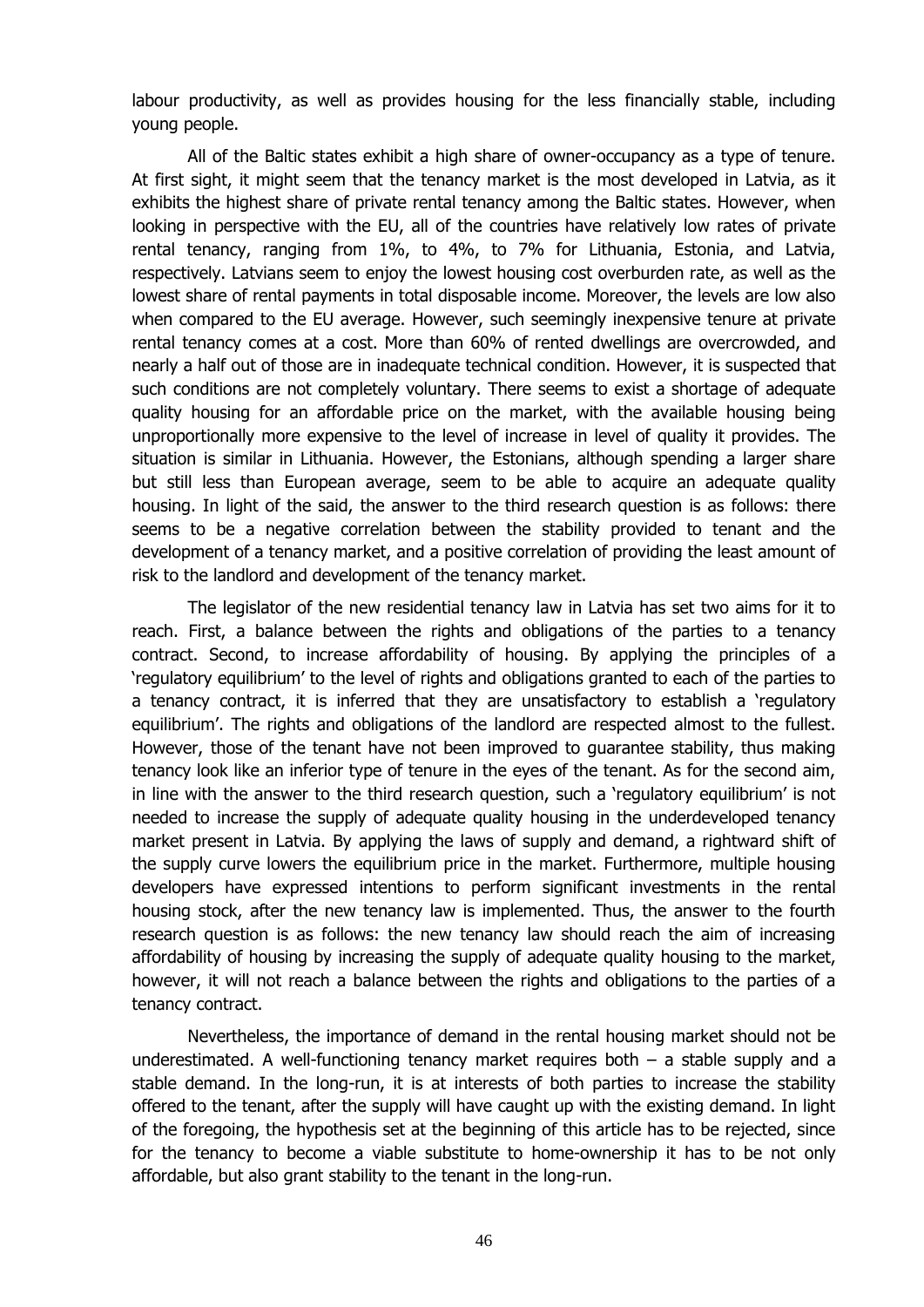labour productivity, as well as provides housing for the less financially stable, including young people.

All of the Baltic states exhibit a high share of owner-occupancy as a type of tenure. At first sight, it might seem that the tenancy market is the most developed in Latvia, as it exhibits the highest share of private rental tenancy among the Baltic states. However, when looking in perspective with the EU, all of the countries have relatively low rates of private rental tenancy, ranging from 1%, to 4%, to 7% for Lithuania, Estonia, and Latvia, respectively. Latvians seem to enjoy the lowest housing cost overburden rate, as well as the lowest share of rental payments in total disposable income. Moreover, the levels are low also when compared to the EU average. However, such seemingly inexpensive tenure at private rental tenancy comes at a cost. More than 60% of rented dwellings are overcrowded, and nearly a half out of those are in inadequate technical condition. However, it is suspected that such conditions are not completely voluntary. There seems to exist a shortage of adequate quality housing for an affordable price on the market, with the available housing being unproportionally more expensive to the level of increase in level of quality it provides. The situation is similar in Lithuania. However, the Estonians, although spending a larger share but still less than European average, seem to be able to acquire an adequate quality housing. In light of the said, the answer to the third research question is as follows: there seems to be a negative correlation between the stability provided to tenant and the development of a tenancy market, and a positive correlation of providing the least amount of risk to the landlord and development of the tenancy market.

The legislator of the new residential tenancy law in Latvia has set two aims for it to reach. First, a balance between the rights and obligations of the parties to a tenancy contract. Second, to increase affordability of housing. By applying the principles of a 'regulatory equilibrium' to the level of rights and obligations granted to each of the parties to a tenancy contract, it is inferred that they are unsatisfactory to establish a 'regulatory equilibrium'. The rights and obligations of the landlord are respected almost to the fullest. However, those of the tenant have not been improved to guarantee stability, thus making tenancy look like an inferior type of tenure in the eyes of the tenant. As for the second aim, in line with the answer to the third research question, such a 'regulatory equilibrium' is not needed to increase the supply of adequate quality housing in the underdeveloped tenancy market present in Latvia. By applying the laws of supply and demand, a rightward shift of the supply curve lowers the equilibrium price in the market. Furthermore, multiple housing developers have expressed intentions to perform significant investments in the rental housing stock, after the new tenancy law is implemented. Thus, the answer to the fourth research question is as follows: the new tenancy law should reach the aim of increasing affordability of housing by increasing the supply of adequate quality housing to the market, however, it will not reach a balance between the rights and obligations to the parties of a tenancy contract.

Nevertheless, the importance of demand in the rental housing market should not be underestimated. A well-functioning tenancy market requires both  $-$  a stable supply and a stable demand. In the long-run, it is at interests of both parties to increase the stability offered to the tenant, after the supply will have caught up with the existing demand. In light of the foregoing, the hypothesis set at the beginning of this article has to be rejected, since for the tenancy to become a viable substitute to home-ownership it has to be not only affordable, but also grant stability to the tenant in the long-run.